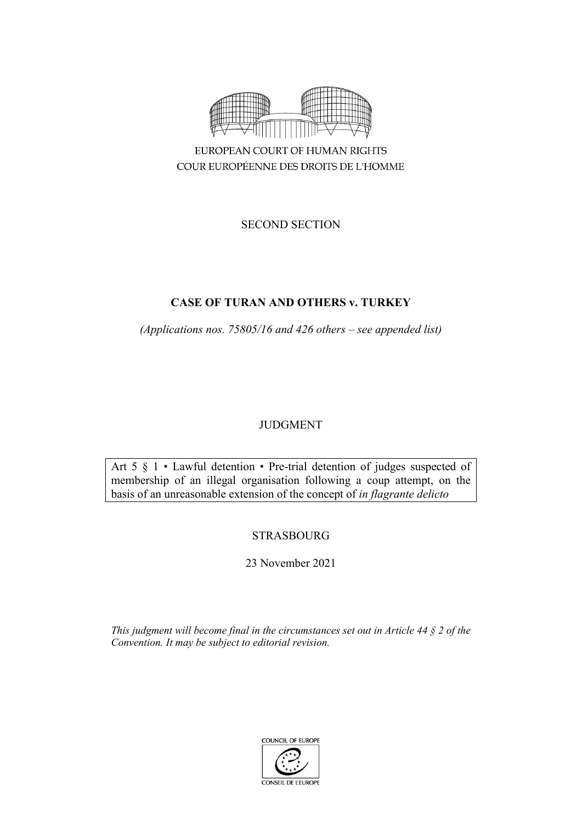

SECOND SECTION

# **CASE OF TURAN AND OTHERS v. TURKEY**

*(Applications nos. 75805/16 and 426 others – see appended list)*

# JUDGMENT

Art 5 § 1 • Lawful detention • Pre-trial detention of judges suspected of membership of an illegal organisation following a coup attempt, on the basis of an unreasonable extension of the concept of *in flagrante delicto*

# STRASBOURG

23 November 2021

*This judgment will become final in the circumstances set out in Article 44 § 2 of the Convention. It may be subject to editorial revision.*

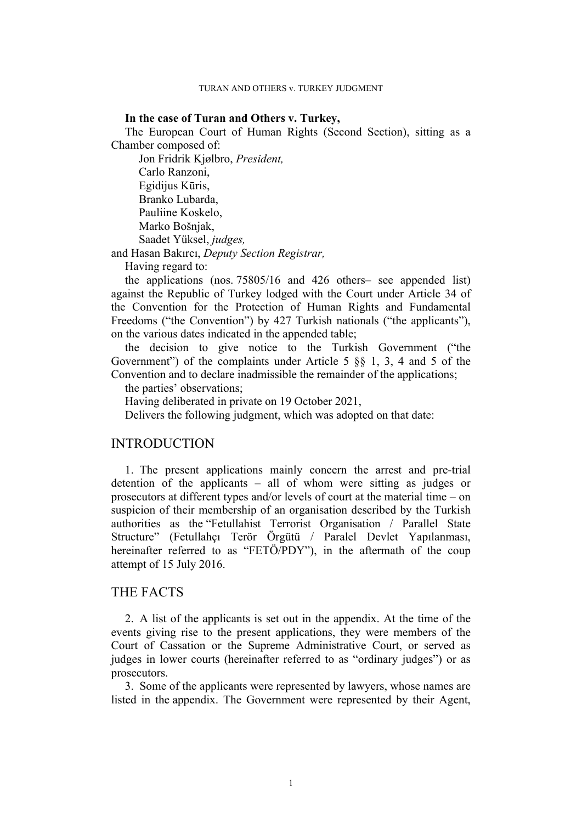### **In the case of Turan and Others v. Turkey,**

The European Court of Human Rights (Second Section), sitting as a Chamber composed of:

Jon Fridrik Kjølbro, *President,* Carlo Ranzoni, Egidijus Kūris, Branko Lubarda, Pauliine Koskelo, Marko Bošnjak, Saadet Yüksel, *judges,*

and Hasan Bakırcı, *Deputy Section Registrar,*

Having regard to:

the applications (nos. 75805/16 and 426 others– see appended list) against the Republic of Turkey lodged with the Court under Article 34 of the Convention for the Protection of Human Rights and Fundamental Freedoms ("the Convention") by 427 Turkish nationals ("the applicants"), on the various dates indicated in the appended table;

the decision to give notice to the Turkish Government ("the Government") of the complaints under Article 5 §§ 1, 3, 4 and 5 of the Convention and to declare inadmissible the remainder of the applications;

the parties' observations;

Having deliberated in private on 19 October 2021,

Delivers the following judgment, which was adopted on that date:

# INTRODUCTION

1. The present applications mainly concern the arrest and pre-trial detention of the applicants – all of whom were sitting as judges or prosecutors at different types and/or levels of court at the material time – on suspicion of their membership of an organisation described by the Turkish authorities as the "Fetullahist Terrorist Organisation / Parallel State Structure" (Fetullahçı Terör Örgütü / Paralel Devlet Yapılanması, hereinafter referred to as "FETÖ/PDY"), in the aftermath of the coup attempt of 15 July 2016.

# THE FACTS

2. A list of the applicants is set out in the appendix. At the time of the events giving rise to the present applications, they were members of the Court of Cassation or the Supreme Administrative Court, or served as judges in lower courts (hereinafter referred to as "ordinary judges") or as prosecutors.

3. Some of the applicants were represented by lawyers, whose names are listed in the appendix. The Government were represented by their Agent,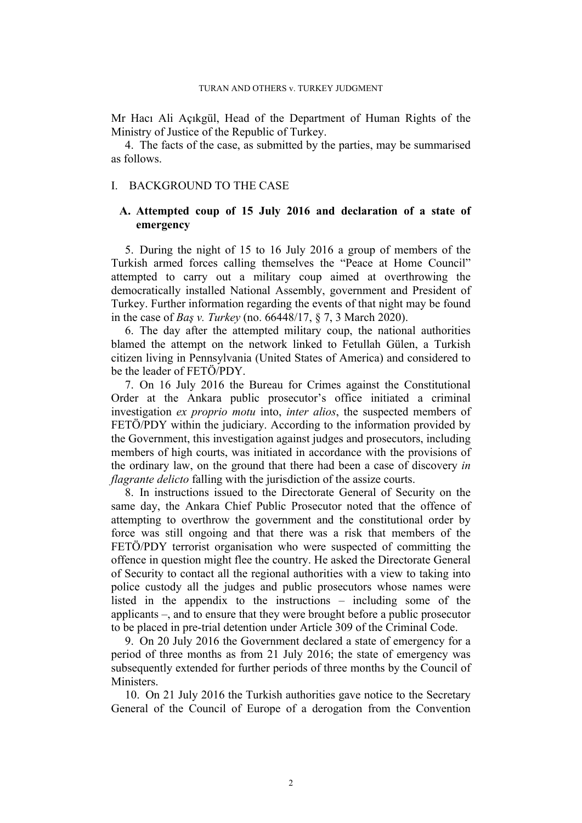Mr Hacı Ali Açıkgül, Head of the Department of Human Rights of the Ministry of Justice of the Republic of Turkey.

4. The facts of the case, as submitted by the parties, may be summarised as follows.

# I. BACKGROUND TO THE CASE

# **A. Attempted coup of 15 July 2016 and declaration of a state of emergency**

5. During the night of 15 to 16 July 2016 a group of members of the Turkish armed forces calling themselves the "Peace at Home Council" attempted to carry out a military coup aimed at overthrowing the democratically installed National Assembly, government and President of Turkey. Further information regarding the events of that night may be found in the case of *Baş v. Turkey* (no. 66448/17, § 7, 3 March 2020).

6. The day after the attempted military coup, the national authorities blamed the attempt on the network linked to Fetullah Gülen, a Turkish citizen living in Pennsylvania (United States of America) and considered to be the leader of FETÖ/PDY.

<span id="page-2-0"></span>7. On 16 July 2016 the Bureau for Crimes against the Constitutional Order at the Ankara public prosecutor's office initiated a criminal investigation *ex proprio motu* into, *inter alios*, the suspected members of FETÖ/PDY within the judiciary. According to the information provided by the Government, this investigation against judges and prosecutors, including members of high courts, was initiated in accordance with the provisions of the ordinary law, on the ground that there had been a case of discovery *in flagrante delicto* falling with the jurisdiction of the assize courts.

<span id="page-2-1"></span>8. In instructions issued to the Directorate General of Security on the same day, the Ankara Chief Public Prosecutor noted that the offence of attempting to overthrow the government and the constitutional order by force was still ongoing and that there was a risk that members of the FETÖ/PDY terrorist organisation who were suspected of committing the offence in question might flee the country. He asked the Directorate General of Security to contact all the regional authorities with a view to taking into police custody all the judges and public prosecutors whose names were listed in the appendix to the instructions – including some of the applicants –, and to ensure that they were brought before a public prosecutor to be placed in pre-trial detention under Article 309 of the Criminal Code.

9. On 20 July 2016 the Government declared a state of emergency for a period of three months as from 21 July 2016; the state of emergency was subsequently extended for further periods of three months by the Council of **Ministers** 

10. On 21 July 2016 the Turkish authorities gave notice to the Secretary General of the Council of Europe of a derogation from the Convention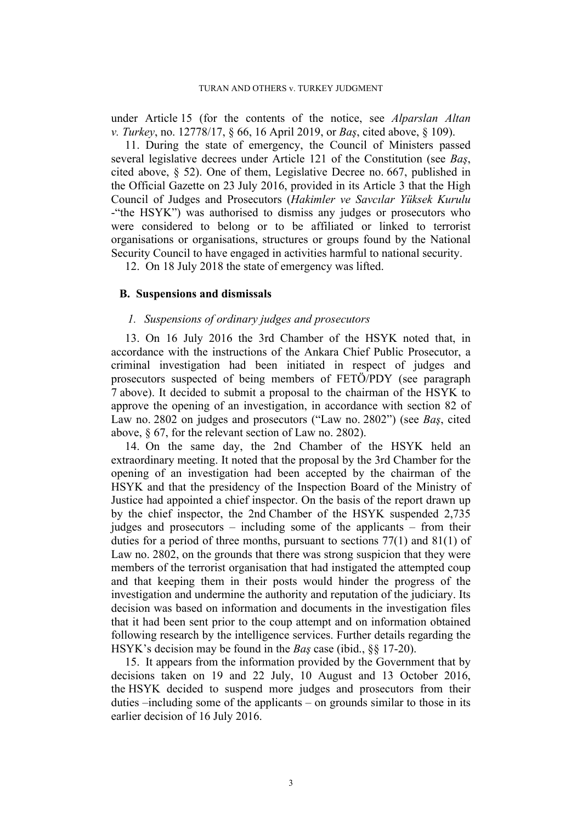under Article 15 (for the contents of the notice, see *Alparslan Altan v. Turkey*, no. 12778/17, § 66, 16 April 2019, or *Baş*, cited above, § 109).

<span id="page-3-0"></span>11. During the state of emergency, the Council of Ministers passed several legislative decrees under Article 121 of the Constitution (see *Baş*, cited above, § 52). One of them, Legislative Decree no. 667, published in the Official Gazette on 23 July 2016, provided in its Article 3 that the High Council of Judges and Prosecutors (*Hakimler ve Savcılar Yüksek Kurulu* -"the HSYK") was authorised to dismiss any judges or prosecutors who were considered to belong or to be affiliated or linked to terrorist organisations or organisations, structures or groups found by the National Security Council to have engaged in activities harmful to national security.

12. On 18 July 2018 the state of emergency was lifted.

## **B. Suspensions and dismissals**

## *1. Suspensions of ordinary judges and prosecutors*

13. On 16 July 2016 the 3rd Chamber of the HSYK noted that, in accordance with the instructions of the Ankara Chief Public Prosecutor, a criminal investigation had been initiated in respect of judges and prosecutors suspected of being members of FETÖ/PDY (see paragraph [7](#page-2-0) above). It decided to submit a proposal to the chairman of the HSYK to approve the opening of an investigation, in accordance with section 82 of Law no. 2802 on judges and prosecutors ("Law no. 2802") (see *Baş*, cited above, § 67, for the relevant section of Law no. 2802).

14. On the same day, the 2nd Chamber of the HSYK held an extraordinary meeting. It noted that the proposal by the 3rd Chamber for the opening of an investigation had been accepted by the chairman of the HSYK and that the presidency of the Inspection Board of the Ministry of Justice had appointed a chief inspector. On the basis of the report drawn up by the chief inspector, the 2nd Chamber of the HSYK suspended 2,735 judges and prosecutors – including some of the applicants – from their duties for a period of three months, pursuant to sections 77(1) and 81(1) of Law no. 2802, on the grounds that there was strong suspicion that they were members of the terrorist organisation that had instigated the attempted coup and that keeping them in their posts would hinder the progress of the investigation and undermine the authority and reputation of the judiciary. Its decision was based on information and documents in the investigation files that it had been sent prior to the coup attempt and on information obtained following research by the intelligence services. Further details regarding the HSYK's decision may be found in the *Baş* case (ibid., §§ 17-20).

15. It appears from the information provided by the Government that by decisions taken on 19 and 22 July, 10 August and 13 October 2016, the HSYK decided to suspend more judges and prosecutors from their duties –including some of the applicants – on grounds similar to those in its earlier decision of 16 July 2016.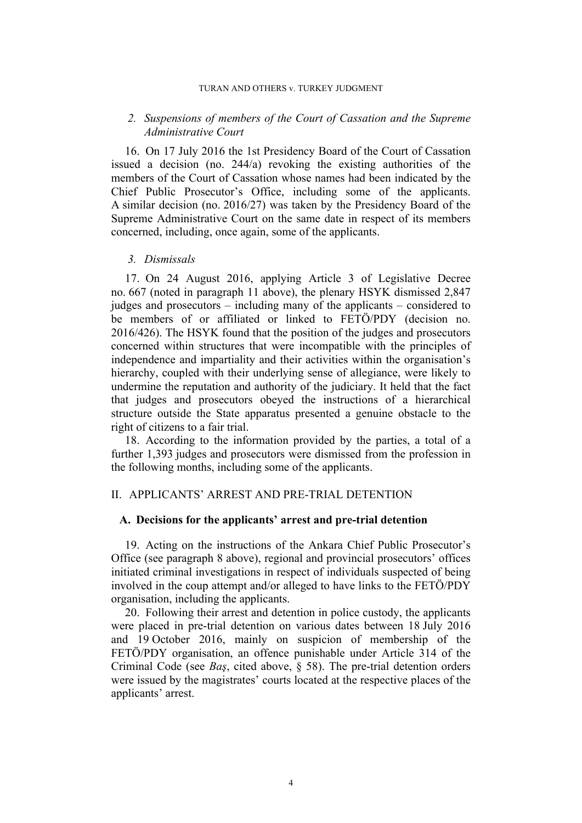# *2. Suspensions of members of the Court of Cassation and the Supreme Administrative Court*

16. On 17 July 2016 the 1st Presidency Board of the Court of Cassation issued a decision (no. 244/a) revoking the existing authorities of the members of the Court of Cassation whose names had been indicated by the Chief Public Prosecutor's Office, including some of the applicants. A similar decision (no. 2016/27) was taken by the Presidency Board of the Supreme Administrative Court on the same date in respect of its members concerned, including, once again, some of the applicants.

### *3. Dismissals*

17. On 24 August 2016, applying Article 3 of Legislative Decree no. 667 (noted in paragraph [11](#page-3-0) above), the plenary HSYK dismissed 2,847 judges and prosecutors – including many of the applicants – considered to be members of or affiliated or linked to FETÖ/PDY (decision no. 2016/426). The HSYK found that the position of the judges and prosecutors concerned within structures that were incompatible with the principles of independence and impartiality and their activities within the organisation's hierarchy, coupled with their underlying sense of allegiance, were likely to undermine the reputation and authority of the judiciary. It held that the fact that judges and prosecutors obeyed the instructions of a hierarchical structure outside the State apparatus presented a genuine obstacle to the right of citizens to a fair trial.

18. According to the information provided by the parties, a total of a further 1,393 judges and prosecutors were dismissed from the profession in the following months, including some of the applicants.

# II. APPLICANTS' ARREST AND PRE-TRIAL DETENTION

# **A. Decisions for the applicants' arrest and pre-trial detention**

19. Acting on the instructions of the Ankara Chief Public Prosecutor's Office (see paragraph [8](#page-2-1) above), regional and provincial prosecutors' offices initiated criminal investigations in respect of individuals suspected of being involved in the coup attempt and/or alleged to have links to the FETÖ/PDY organisation, including the applicants.

20. Following their arrest and detention in police custody, the applicants were placed in pre-trial detention on various dates between 18 July 2016 and 19 October 2016, mainly on suspicion of membership of the FETÖ/PDY organisation, an offence punishable under Article 314 of the Criminal Code (see *Baş*, cited above, § 58). The pre-trial detention orders were issued by the magistrates' courts located at the respective places of the applicants' arrest.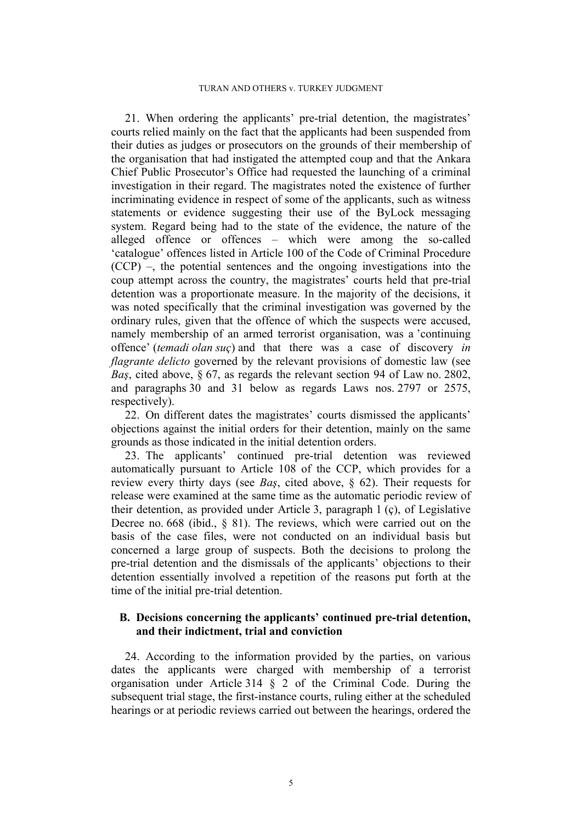21. When ordering the applicants' pre-trial detention, the magistrates' courts relied mainly on the fact that the applicants had been suspended from their duties as judges or prosecutors on the grounds of their membership of the organisation that had instigated the attempted coup and that the Ankara Chief Public Prosecutor's Office had requested the launching of a criminal investigation in their regard. The magistrates noted the existence of further incriminating evidence in respect of some of the applicants, such as witness statements or evidence suggesting their use of the ByLock messaging system. Regard being had to the state of the evidence, the nature of the alleged offence or offences – which were among the so-called 'catalogue' offences listed in Article 100 of the Code of Criminal Procedure (CCP) –, the potential sentences and the ongoing investigations into the coup attempt across the country, the magistrates' courts held that pre-trial detention was a proportionate measure. In the majority of the decisions, it was noted specifically that the criminal investigation was governed by the ordinary rules, given that the offence of which the suspects were accused, namely membership of an armed terrorist organisation, was a 'continuing offence' (*temadi olan suç*) and that there was a case of discovery *in flagrante delicto* governed by the relevant provisions of domestic law (see *Baş*, cited above, § 67, as regards the relevant section 94 of Law no. 2802, and paragraphs [30](#page-7-0) and [31](#page-7-1) below as regards Laws nos. 2797 or 2575, respectively).

22. On different dates the magistrates' courts dismissed the applicants' objections against the initial orders for their detention, mainly on the same grounds as those indicated in the initial detention orders.

23. The applicants' continued pre-trial detention was reviewed automatically pursuant to Article 108 of the CCP, which provides for a review every thirty days (see *Baş*, cited above, § 62). Their requests for release were examined at the same time as the automatic periodic review of their detention, as provided under Article 3, paragraph 1 (ç), of Legislative Decree no. 668 (ibid., § 81). The reviews, which were carried out on the basis of the case files, were not conducted on an individual basis but concerned a large group of suspects. Both the decisions to prolong the pre-trial detention and the dismissals of the applicants' objections to their detention essentially involved a repetition of the reasons put forth at the time of the initial pre-trial detention.

# **B. Decisions concerning the applicants' continued pre-trial detention, and their indictment, trial and conviction**

24. According to the information provided by the parties, on various dates the applicants were charged with membership of a terrorist organisation under Article 314 § 2 of the Criminal Code. During the subsequent trial stage, the first-instance courts, ruling either at the scheduled hearings or at periodic reviews carried out between the hearings, ordered the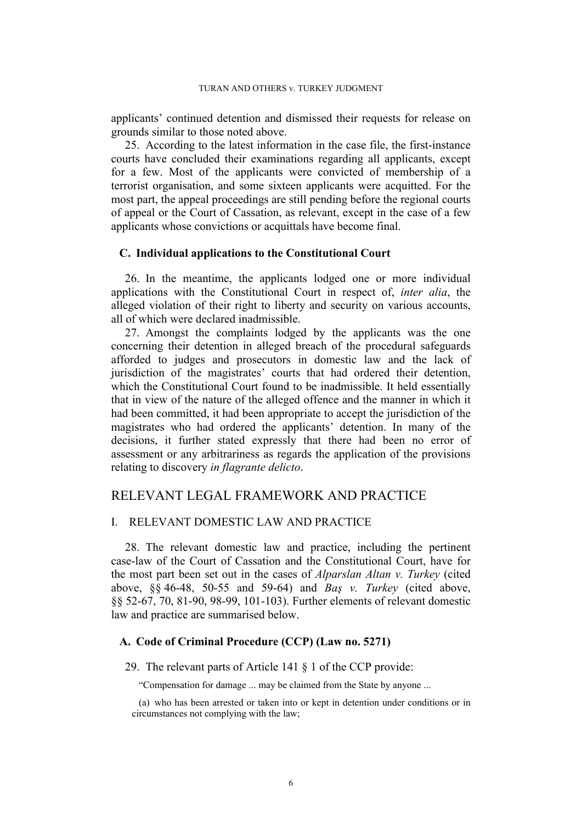applicants' continued detention and dismissed their requests for release on grounds similar to those noted above.

25. According to the latest information in the case file, the first-instance courts have concluded their examinations regarding all applicants, except for a few. Most of the applicants were convicted of membership of a terrorist organisation, and some sixteen applicants were acquitted. For the most part, the appeal proceedings are still pending before the regional courts of appeal or the Court of Cassation, as relevant, except in the case of a few applicants whose convictions or acquittals have become final.

# **C. Individual applications to the Constitutional Court**

26. In the meantime, the applicants lodged one or more individual applications with the Constitutional Court in respect of, *inter alia*, the alleged violation of their right to liberty and security on various accounts, all of which were declared inadmissible.

<span id="page-6-0"></span>27. Amongst the complaints lodged by the applicants was the one concerning their detention in alleged breach of the procedural safeguards afforded to judges and prosecutors in domestic law and the lack of jurisdiction of the magistrates' courts that had ordered their detention, which the Constitutional Court found to be inadmissible. It held essentially that in view of the nature of the alleged offence and the manner in which it had been committed, it had been appropriate to accept the jurisdiction of the magistrates who had ordered the applicants' detention. In many of the decisions, it further stated expressly that there had been no error of assessment or any arbitrariness as regards the application of the provisions relating to discovery *in flagrante delicto*.

# RELEVANT LEGAL FRAMEWORK AND PRACTICE

# I. RELEVANT DOMESTIC LAW AND PRACTICE

28. The relevant domestic law and practice, including the pertinent case-law of the Court of Cassation and the Constitutional Court, have for the most part been set out in the cases of *Alparslan Altan v. Turkey* (cited above, §§ 46-48, 50-55 and 59-64) and *Baş v. Turkey* (cited above, §§ 52-67, 70, 81-90, 98-99, 101-103). Further elements of relevant domestic law and practice are summarised below.

### **A. Code of Criminal Procedure (CCP) (Law no. 5271)**

29. The relevant parts of Article 141 § 1 of the CCP provide:

"Compensation for damage ... may be claimed from the State by anyone ...

(a) who has been arrested or taken into or kept in detention under conditions or in circumstances not complying with the law;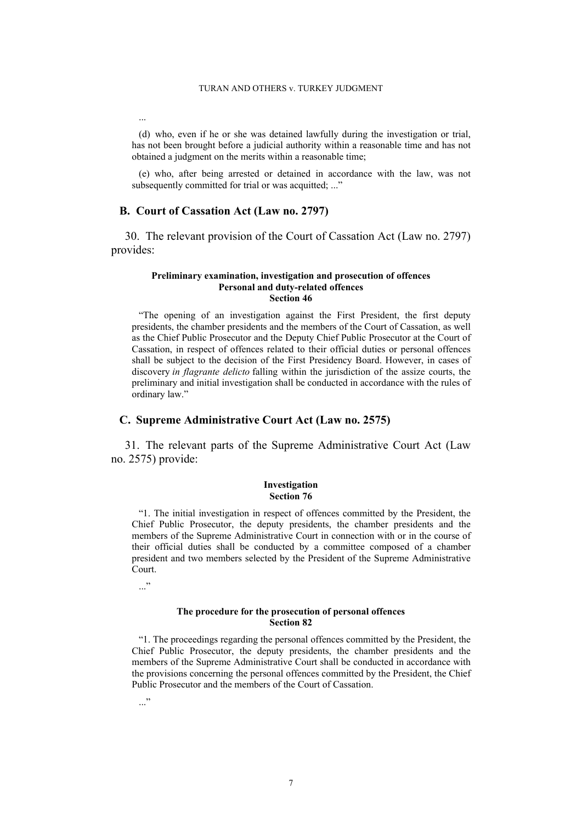(d) who, even if he or she was detained lawfully during the investigation or trial, has not been brought before a judicial authority within a reasonable time and has not obtained a judgment on the merits within a reasonable time;

(e) who, after being arrested or detained in accordance with the law, was not subsequently committed for trial or was acquitted; ..."

### **B. Court of Cassation Act (Law no. 2797)**

<span id="page-7-0"></span>30. The relevant provision of the Court of Cassation Act (Law no. 2797) provides:

#### **Preliminary examination, investigation and prosecution of offences Personal and duty-related offences Section 46**

"The opening of an investigation against the First President, the first deputy presidents, the chamber presidents and the members of the Court of Cassation, as well as the Chief Public Prosecutor and the Deputy Chief Public Prosecutor at the Court of Cassation, in respect of offences related to their official duties or personal offences shall be subject to the decision of the First Presidency Board. However, in cases of discovery *in flagrante delicto* falling within the jurisdiction of the assize courts, the preliminary and initial investigation shall be conducted in accordance with the rules of ordinary law."

#### **C. Supreme Administrative Court Act (Law no. 2575)**

<span id="page-7-1"></span>31. The relevant parts of the Supreme Administrative Court Act (Law no. 2575) provide:

#### **Investigation Section 76**

"1. The initial investigation in respect of offences committed by the President, the Chief Public Prosecutor, the deputy presidents, the chamber presidents and the members of the Supreme Administrative Court in connection with or in the course of their official duties shall be conducted by a committee composed of a chamber president and two members selected by the President of the Supreme Administrative Court.

 $\cdot$ ..."

...

#### **The procedure for the prosecution of personal offences Section 82**

"1. The proceedings regarding the personal offences committed by the President, the Chief Public Prosecutor, the deputy presidents, the chamber presidents and the members of the Supreme Administrative Court shall be conducted in accordance with the provisions concerning the personal offences committed by the President, the Chief Public Prosecutor and the members of the Court of Cassation.

 $\cdot$ ..."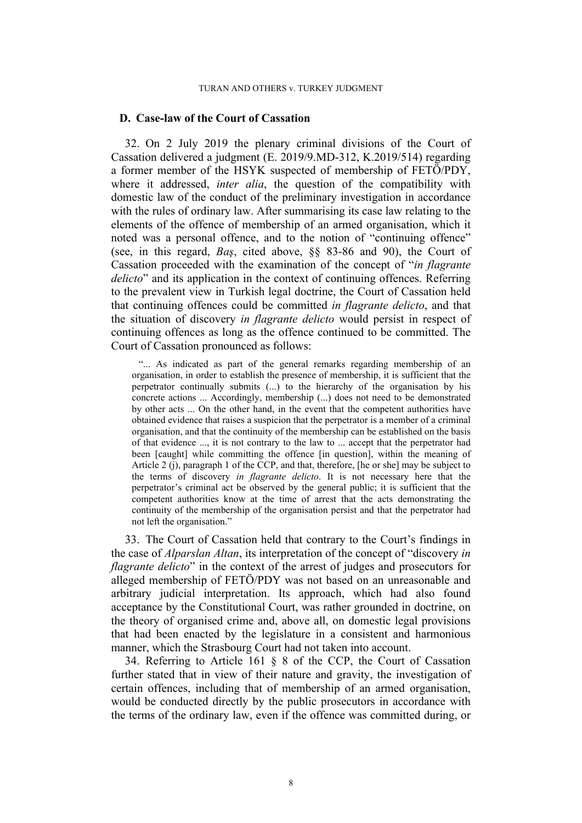### **D. Case-law of the Court of Cassation**

<span id="page-8-0"></span>32. On 2 July 2019 the plenary criminal divisions of the Court of Cassation delivered a judgment (E. 2019/9.MD-312, K.2019/514) regarding a former member of the HSYK suspected of membership of FETÖ/PDY, where it addressed, *inter alia*, the question of the compatibility with domestic law of the conduct of the preliminary investigation in accordance with the rules of ordinary law. After summarising its case law relating to the elements of the offence of membership of an armed organisation, which it noted was a personal offence, and to the notion of "continuing offence" (see, in this regard, *Baş*, cited above, §§ 83-86 and 90), the Court of Cassation proceeded with the examination of the concept of "*in flagrante delicto*" and its application in the context of continuing offences. Referring to the prevalent view in Turkish legal doctrine, the Court of Cassation held that continuing offences could be committed *in flagrante delicto*, and that the situation of discovery *in flagrante delicto* would persist in respect of continuing offences as long as the offence continued to be committed. The Court of Cassation pronounced as follows:

"... As indicated as part of the general remarks regarding membership of an organisation, in order to establish the presence of membership, it is sufficient that the perpetrator continually submits (...) to the hierarchy of the organisation by his concrete actions ... Accordingly, membership (...) does not need to be demonstrated by other acts ... On the other hand, in the event that the competent authorities have obtained evidence that raises a suspicion that the perpetrator is a member of a criminal organisation, and that the continuity of the membership can be established on the basis of that evidence ..., it is not contrary to the law to ... accept that the perpetrator had been [caught] while committing the offence [in question], within the meaning of Article 2 (j), paragraph 1 of the CCP, and that, therefore, [he or she] may be subject to the terms of discovery *in flagrante delicto*. It is not necessary here that the perpetrator's criminal act be observed by the general public; it is sufficient that the competent authorities know at the time of arrest that the acts demonstrating the continuity of the membership of the organisation persist and that the perpetrator had not left the organisation."

33. The Court of Cassation held that contrary to the Court's findings in the case of *Alparslan Altan*, its interpretation of the concept of "discovery *in flagrante delicto*" in the context of the arrest of judges and prosecutors for alleged membership of FETÖ/PDY was not based on an unreasonable and arbitrary judicial interpretation. Its approach, which had also found acceptance by the Constitutional Court, was rather grounded in doctrine, on the theory of organised crime and, above all, on domestic legal provisions that had been enacted by the legislature in a consistent and harmonious manner, which the Strasbourg Court had not taken into account.

34. Referring to Article 161 § 8 of the CCP, the Court of Cassation further stated that in view of their nature and gravity, the investigation of certain offences, including that of membership of an armed organisation, would be conducted directly by the public prosecutors in accordance with the terms of the ordinary law, even if the offence was committed during, or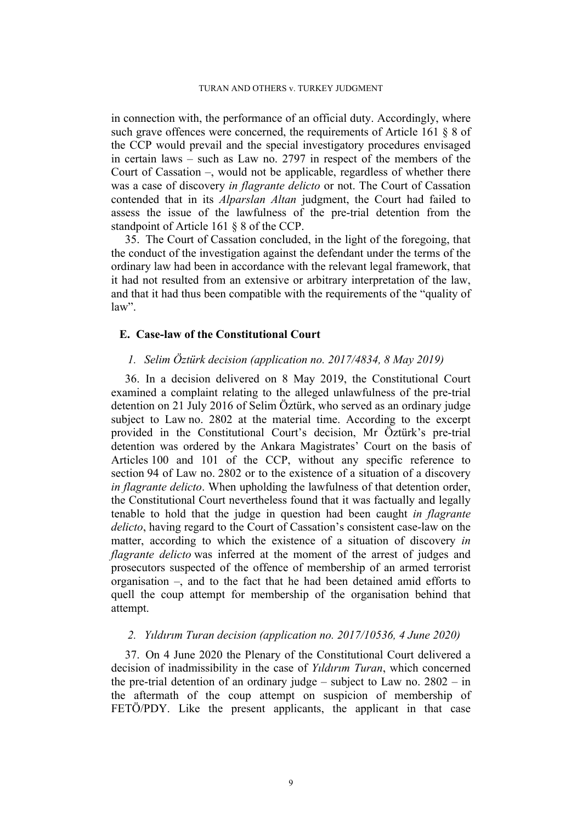in connection with, the performance of an official duty. Accordingly, where such grave offences were concerned, the requirements of Article 161 § 8 of the CCP would prevail and the special investigatory procedures envisaged in certain laws – such as Law no. 2797 in respect of the members of the Court of Cassation –, would not be applicable, regardless of whether there was a case of discovery *in flagrante delicto* or not. The Court of Cassation contended that in its *Alparslan Altan* judgment, the Court had failed to assess the issue of the lawfulness of the pre-trial detention from the standpoint of Article 161 § 8 of the CCP.

<span id="page-9-1"></span>35. The Court of Cassation concluded, in the light of the foregoing, that the conduct of the investigation against the defendant under the terms of the ordinary law had been in accordance with the relevant legal framework, that it had not resulted from an extensive or arbitrary interpretation of the law, and that it had thus been compatible with the requirements of the "quality of law".

# **E. Case-law of the Constitutional Court**

# *1. Selim Öztürk decision (application no. 2017/4834, 8 May 2019)*

<span id="page-9-0"></span>36. In a decision delivered on 8 May 2019, the Constitutional Court examined a complaint relating to the alleged unlawfulness of the pre-trial detention on 21 July 2016 of Selim Öztürk, who served as an ordinary judge subject to Law no. 2802 at the material time. According to the excerpt provided in the Constitutional Court's decision, Mr Öztürk's pre-trial detention was ordered by the Ankara Magistrates' Court on the basis of Articles 100 and 101 of the CCP, without any specific reference to section 94 of Law no. 2802 or to the existence of a situation of a discovery *in flagrante delicto*. When upholding the lawfulness of that detention order, the Constitutional Court nevertheless found that it was factually and legally tenable to hold that the judge in question had been caught *in flagrante delicto*, having regard to the Court of Cassation's consistent case-law on the matter, according to which the existence of a situation of discovery *in flagrante delicto* was inferred at the moment of the arrest of judges and prosecutors suspected of the offence of membership of an armed terrorist organisation –, and to the fact that he had been detained amid efforts to quell the coup attempt for membership of the organisation behind that attempt.

## *2. Yıldırım Turan decision (application no. 2017/10536, 4 June 2020)*

<span id="page-9-2"></span>37. On 4 June 2020 the Plenary of the Constitutional Court delivered a decision of inadmissibility in the case of *Yıldırım Turan*, which concerned the pre-trial detention of an ordinary judge – subject to Law no.  $2802 - in$ the aftermath of the coup attempt on suspicion of membership of FETÖ/PDY. Like the present applicants, the applicant in that case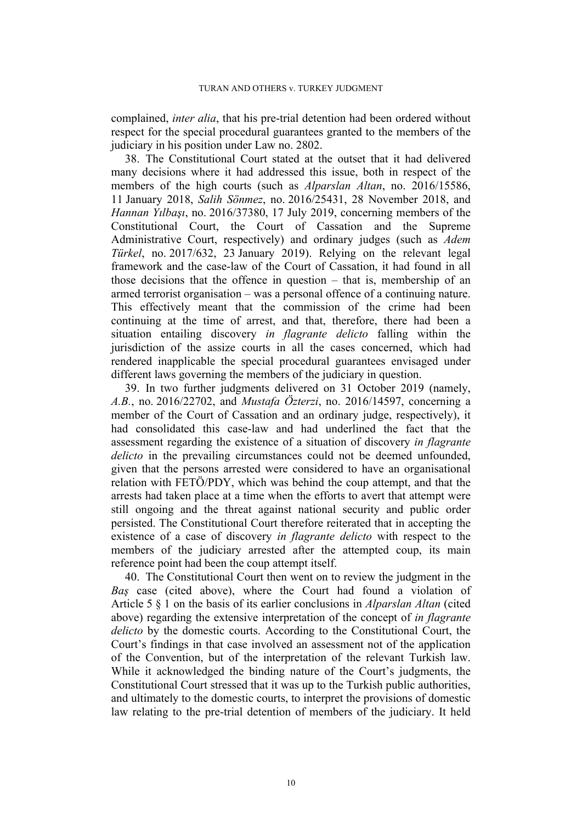complained, *inter alia*, that his pre-trial detention had been ordered without respect for the special procedural guarantees granted to the members of the judiciary in his position under Law no. 2802.

38. The Constitutional Court stated at the outset that it had delivered many decisions where it had addressed this issue, both in respect of the members of the high courts (such as *Alparslan Altan*, no. 2016/15586, 11 January 2018, *Salih Sönmez*, no. 2016/25431, 28 November 2018, and *Hannan Yılbaşı*, no. 2016/37380, 17 July 2019, concerning members of the Constitutional Court, the Court of Cassation and the Supreme Administrative Court, respectively) and ordinary judges (such as *Adem Türkel*, no. 2017/632, 23 January 2019). Relying on the relevant legal framework and the case-law of the Court of Cassation, it had found in all those decisions that the offence in question – that is, membership of an armed terrorist organisation – was a personal offence of a continuing nature. This effectively meant that the commission of the crime had been continuing at the time of arrest, and that, therefore, there had been a situation entailing discovery *in flagrante delicto* falling within the jurisdiction of the assize courts in all the cases concerned, which had rendered inapplicable the special procedural guarantees envisaged under different laws governing the members of the judiciary in question.

<span id="page-10-0"></span>39. In two further judgments delivered on 31 October 2019 (namely, *A.B.*, no. 2016/22702, and *Mustafa Özterzi*, no. 2016/14597, concerning a member of the Court of Cassation and an ordinary judge, respectively), it had consolidated this case-law and had underlined the fact that the assessment regarding the existence of a situation of discovery *in flagrante delicto* in the prevailing circumstances could not be deemed unfounded, given that the persons arrested were considered to have an organisational relation with FETÖ/PDY, which was behind the coup attempt, and that the arrests had taken place at a time when the efforts to avert that attempt were still ongoing and the threat against national security and public order persisted. The Constitutional Court therefore reiterated that in accepting the existence of a case of discovery *in flagrante delicto* with respect to the members of the judiciary arrested after the attempted coup, its main reference point had been the coup attempt itself.

40. The Constitutional Court then went on to review the judgment in the *Baş* case (cited above), where the Court had found a violation of Article 5 § 1 on the basis of its earlier conclusions in *Alparslan Altan* (cited above) regarding the extensive interpretation of the concept of *in flagrante delicto* by the domestic courts. According to the Constitutional Court, the Court's findings in that case involved an assessment not of the application of the Convention, but of the interpretation of the relevant Turkish law. While it acknowledged the binding nature of the Court's judgments, the Constitutional Court stressed that it was up to the Turkish public authorities, and ultimately to the domestic courts, to interpret the provisions of domestic law relating to the pre-trial detention of members of the judiciary. It held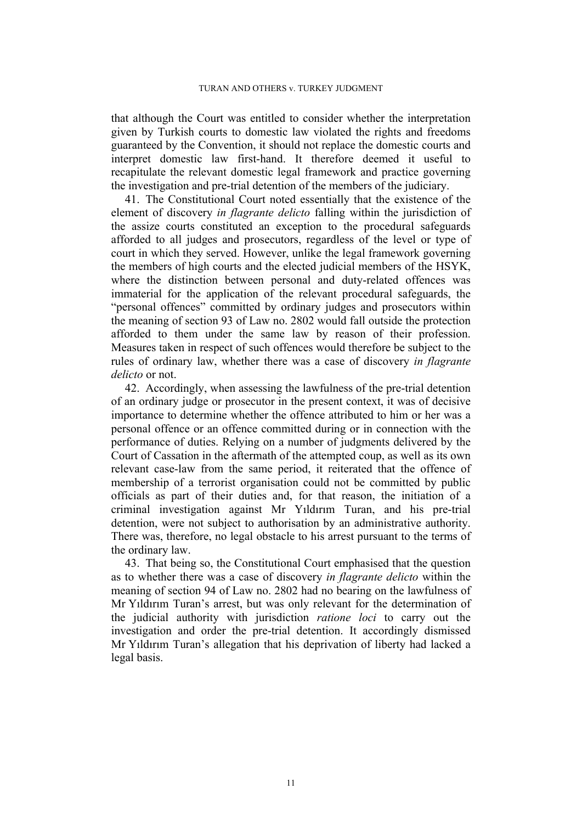that although the Court was entitled to consider whether the interpretation given by Turkish courts to domestic law violated the rights and freedoms guaranteed by the Convention, it should not replace the domestic courts and interpret domestic law first-hand. It therefore deemed it useful to recapitulate the relevant domestic legal framework and practice governing the investigation and pre-trial detention of the members of the judiciary.

41. The Constitutional Court noted essentially that the existence of the element of discovery *in flagrante delicto* falling within the jurisdiction of the assize courts constituted an exception to the procedural safeguards afforded to all judges and prosecutors, regardless of the level or type of court in which they served. However, unlike the legal framework governing the members of high courts and the elected judicial members of the HSYK, where the distinction between personal and duty-related offences was immaterial for the application of the relevant procedural safeguards, the "personal offences" committed by ordinary judges and prosecutors within the meaning of section 93 of Law no. 2802 would fall outside the protection afforded to them under the same law by reason of their profession. Measures taken in respect of such offences would therefore be subject to the rules of ordinary law, whether there was a case of discovery *in flagrante delicto* or not.

42. Accordingly, when assessing the lawfulness of the pre-trial detention of an ordinary judge or prosecutor in the present context, it was of decisive importance to determine whether the offence attributed to him or her was a personal offence or an offence committed during or in connection with the performance of duties. Relying on a number of judgments delivered by the Court of Cassation in the aftermath of the attempted coup, as well as its own relevant case-law from the same period, it reiterated that the offence of membership of a terrorist organisation could not be committed by public officials as part of their duties and, for that reason, the initiation of a criminal investigation against Mr Yıldırım Turan, and his pre-trial detention, were not subject to authorisation by an administrative authority. There was, therefore, no legal obstacle to his arrest pursuant to the terms of the ordinary law.

<span id="page-11-0"></span>43. That being so, the Constitutional Court emphasised that the question as to whether there was a case of discovery *in flagrante delicto* within the meaning of section 94 of Law no. 2802 had no bearing on the lawfulness of Mr Yıldırım Turan's arrest, but was only relevant for the determination of the judicial authority with jurisdiction *ratione loci* to carry out the investigation and order the pre-trial detention. It accordingly dismissed Mr Yıldırım Turan's allegation that his deprivation of liberty had lacked a legal basis.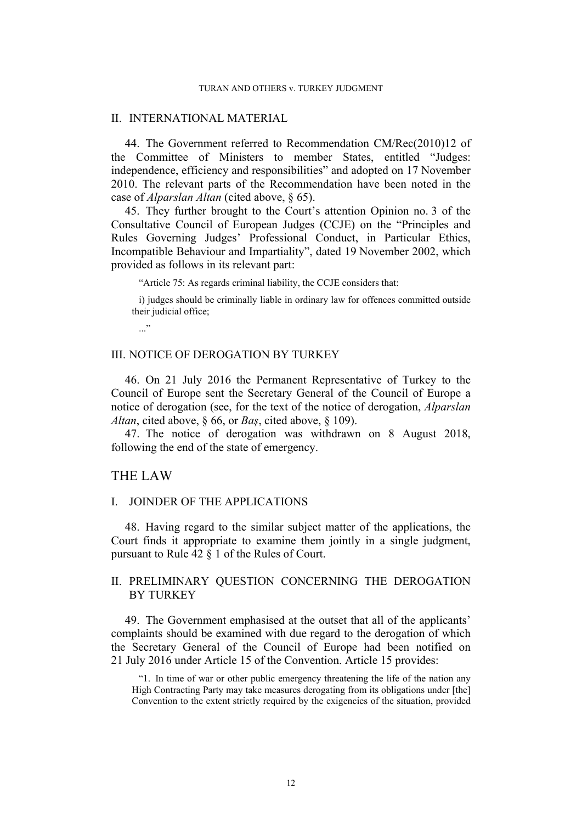### II. INTERNATIONAL MATERIAL

<span id="page-12-0"></span>44. The Government referred to Recommendation CM/Rec(2010)12 of the Committee of Ministers to member States, entitled "Judges: independence, efficiency and responsibilities" and adopted on 17 November 2010. The relevant parts of the Recommendation have been noted in the case of *Alparslan Altan* (cited above, § 65).

<span id="page-12-1"></span>45. They further brought to the Court's attention Opinion no. 3 of the Consultative Council of European Judges (CCJE) on the "Principles and Rules Governing Judges' Professional Conduct, in Particular Ethics, Incompatible Behaviour and Impartiality", dated 19 November 2002, which provided as follows in its relevant part:

"Article 75: As regards criminal liability, the CCJE considers that:

i) judges should be criminally liable in ordinary law for offences committed outside their judicial office;

 $\cdot$ ..."

# III. NOTICE OF DEROGATION BY TURKEY

46. On 21 July 2016 the Permanent Representative of Turkey to the Council of Europe sent the Secretary General of the Council of Europe a notice of derogation (see, for the text of the notice of derogation, *Alparslan Altan*, cited above, § 66, or *Baş*, cited above, § 109).

47. The notice of derogation was withdrawn on 8 August 2018, following the end of the state of emergency.

# THE LAW

## I. JOINDER OF THE APPLICATIONS

48. Having regard to the similar subject matter of the applications, the Court finds it appropriate to examine them jointly in a single judgment, pursuant to Rule 42 § 1 of the Rules of Court.

# II. PRELIMINARY QUESTION CONCERNING THE DEROGATION BY TURKEY

49. The Government emphasised at the outset that all of the applicants' complaints should be examined with due regard to the derogation of which the Secretary General of the Council of Europe had been notified on 21 July 2016 under Article 15 of the Convention. Article 15 provides:

"1. In time of war or other public emergency threatening the life of the nation any High Contracting Party may take measures derogating from its obligations under [the] Convention to the extent strictly required by the exigencies of the situation, provided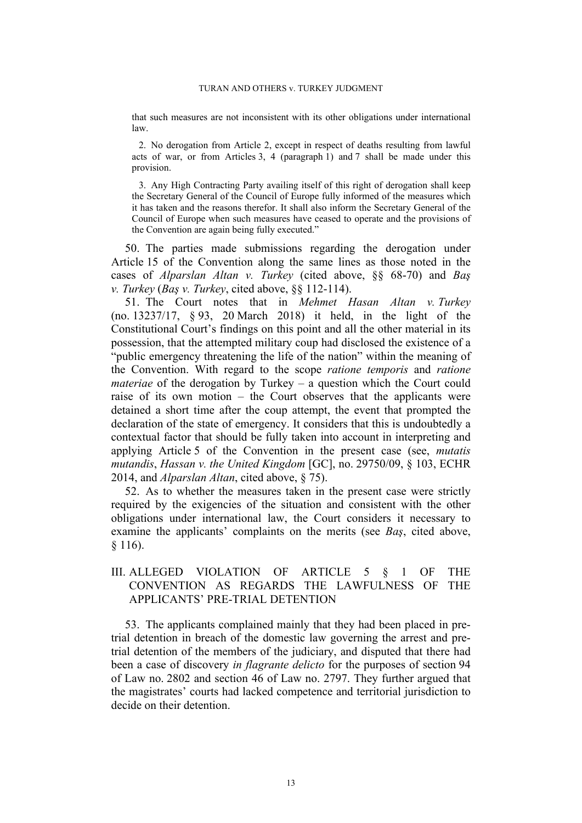that such measures are not inconsistent with its other obligations under international law.

2. No derogation from Article 2, except in respect of deaths resulting from lawful acts of war, or from Articles 3, 4 (paragraph 1) and 7 shall be made under this provision.

3. Any High Contracting Party availing itself of this right of derogation shall keep the Secretary General of the Council of Europe fully informed of the measures which it has taken and the reasons therefor. It shall also inform the Secretary General of the Council of Europe when such measures have ceased to operate and the provisions of the Convention are again being fully executed."

50. The parties made submissions regarding the derogation under Article 15 of the Convention along the same lines as those noted in the cases of *Alparslan Altan v. Turkey* (cited above, §§ 68-70) and *Baş v. Turkey* (*Baş v. Turkey*, cited above, §§ 112-114).

51. The Court notes that in *Mehmet Hasan Altan v. Turkey* (no. 13237/17, § 93, 20 March 2018) it held, in the light of the Constitutional Court's findings on this point and all the other material in its possession, that the attempted military coup had disclosed the existence of a "public emergency threatening the life of the nation" within the meaning of the Convention. With regard to the scope *ratione temporis* and *ratione materiae* of the derogation by Turkey – a question which the Court could raise of its own motion – the Court observes that the applicants were detained a short time after the coup attempt, the event that prompted the declaration of the state of emergency. It considers that this is undoubtedly a contextual factor that should be fully taken into account in interpreting and applying Article 5 of the Convention in the present case (see, *mutatis mutandis*, *Hassan v. the United Kingdom* [GC], no. 29750/09, § 103, ECHR 2014, and *Alparslan Altan*, cited above, § 75).

52. As to whether the measures taken in the present case were strictly required by the exigencies of the situation and consistent with the other obligations under international law, the Court considers it necessary to examine the applicants' complaints on the merits (see *Baş*, cited above,  $§ 116$ ).

# III. ALLEGED VIOLATION OF ARTICLE 5 § 1 OF THE CONVENTION AS REGARDS THE LAWFULNESS OF THE APPLICANTS' PRE-TRIAL DETENTION

53. The applicants complained mainly that they had been placed in pretrial detention in breach of the domestic law governing the arrest and pretrial detention of the members of the judiciary, and disputed that there had been a case of discovery *in flagrante delicto* for the purposes of section 94 of Law no. 2802 and section 46 of Law no. 2797. They further argued that the magistrates' courts had lacked competence and territorial jurisdiction to decide on their detention.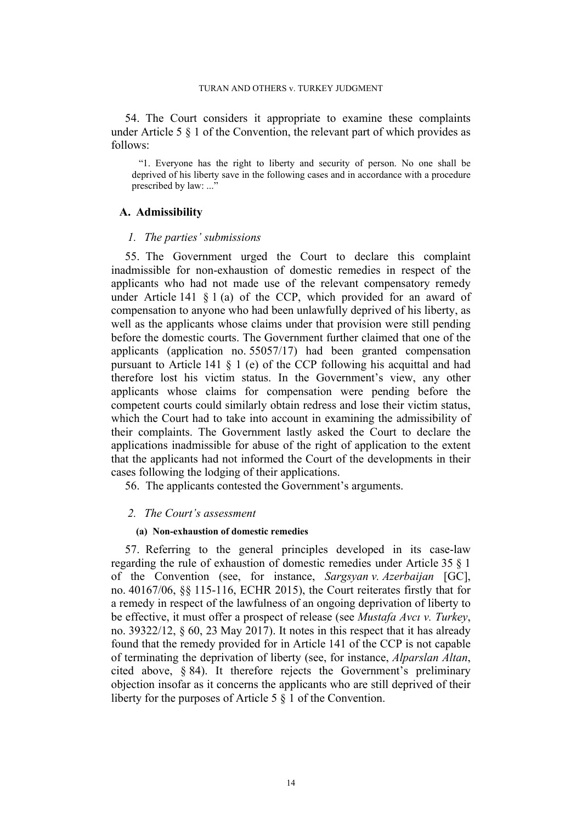54. The Court considers it appropriate to examine these complaints under Article 5 § 1 of the Convention, the relevant part of which provides as follows:

"1. Everyone has the right to liberty and security of person. No one shall be deprived of his liberty save in the following cases and in accordance with a procedure prescribed by law: ..."

# **A. Admissibility**

#### *1. The parties' submissions*

55. The Government urged the Court to declare this complaint inadmissible for non-exhaustion of domestic remedies in respect of the applicants who had not made use of the relevant compensatory remedy under Article 141  $\S$  1 (a) of the CCP, which provided for an award of compensation to anyone who had been unlawfully deprived of his liberty, as well as the applicants whose claims under that provision were still pending before the domestic courts. The Government further claimed that one of the applicants (application no. 55057/17) had been granted compensation pursuant to Article 141  $\S$  1 (e) of the CCP following his acquittal and had therefore lost his victim status. In the Government's view, any other applicants whose claims for compensation were pending before the competent courts could similarly obtain redress and lose their victim status, which the Court had to take into account in examining the admissibility of their complaints. The Government lastly asked the Court to declare the applications inadmissible for abuse of the right of application to the extent that the applicants had not informed the Court of the developments in their cases following the lodging of their applications.

56. The applicants contested the Government's arguments.

#### *2. The Court's assessment*

#### **(a) Non-exhaustion of domestic remedies**

57. Referring to the general principles developed in its case-law regarding the rule of exhaustion of domestic remedies under Article 35 § 1 of the Convention (see, for instance, *Sargsyan v. Azerbaijan* [GC], no. 40167/06, §§ 115-116, ECHR 2015), the Court reiterates firstly that for a remedy in respect of the lawfulness of an ongoing deprivation of liberty to be effective, it must offer a prospect of release (see *Mustafa Avcı v. Turkey*, no. 39322/12, § 60, 23 May 2017). It notes in this respect that it has already found that the remedy provided for in Article 141 of the CCP is not capable of terminating the deprivation of liberty (see, for instance, *Alparslan Altan*, cited above, § 84). It therefore rejects the Government's preliminary objection insofar as it concerns the applicants who are still deprived of their liberty for the purposes of Article 5 § 1 of the Convention.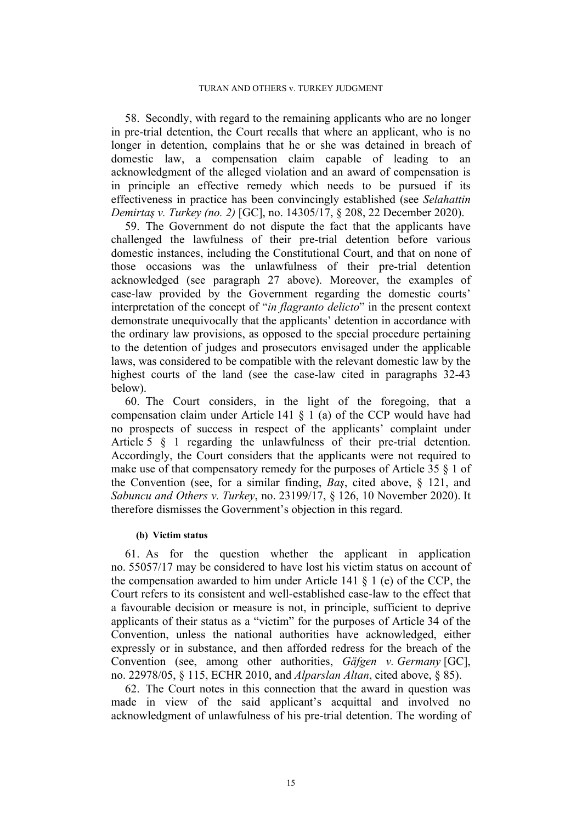58. Secondly, with regard to the remaining applicants who are no longer in pre-trial detention, the Court recalls that where an applicant, who is no longer in detention, complains that he or she was detained in breach of domestic law, a compensation claim capable of leading to an acknowledgment of the alleged violation and an award of compensation is in principle an effective remedy which needs to be pursued if its effectiveness in practice has been convincingly established (see *Selahattin Demirtaş v. Turkey (no. 2)* [GC], no. 14305/17, § 208, 22 December 2020).

<span id="page-15-0"></span>59. The Government do not dispute the fact that the applicants have challenged the lawfulness of their pre-trial detention before various domestic instances, including the Constitutional Court, and that on none of those occasions was the unlawfulness of their pre-trial detention acknowledged (see paragraph [27](#page-6-0) above). Moreover, the examples of case-law provided by the Government regarding the domestic courts' interpretation of the concept of "*in flagranto delicto*" in the present context demonstrate unequivocally that the applicants' detention in accordance with the ordinary law provisions, as opposed to the special procedure pertaining to the detention of judges and prosecutors envisaged under the applicable laws, was considered to be compatible with the relevant domestic law by the highest courts of the land (see the case-law cited in paragraphs [32-](#page-8-0)[43](#page-11-0)  below).

60. The Court considers, in the light of the foregoing, that a compensation claim under Article 141 § 1 (a) of the CCP would have had no prospects of success in respect of the applicants' complaint under Article 5 § 1 regarding the unlawfulness of their pre-trial detention. Accordingly, the Court considers that the applicants were not required to make use of that compensatory remedy for the purposes of Article 35 § 1 of the Convention (see, for a similar finding, *Baş*, cited above, § 121, and *Sabuncu and Others v. Turkey*, no. 23199/17, § 126, 10 November 2020). It therefore dismisses the Government's objection in this regard.

### **(b) Victim status**

61. As for the question whether the applicant in application no. 55057/17 may be considered to have lost his victim status on account of the compensation awarded to him under Article 141  $\S$  1 (e) of the CCP, the Court refers to its consistent and well-established case-law to the effect that a favourable decision or measure is not, in principle, sufficient to deprive applicants of their status as a "victim" for the purposes of Article 34 of the Convention, unless the national authorities have acknowledged, either expressly or in substance, and then afforded redress for the breach of the Convention (see, among other authorities, *Gäfgen v. Germany* [GC], no. 22978/05, § 115, ECHR 2010, and *Alparslan Altan*, cited above, § 85).

62. The Court notes in this connection that the award in question was made in view of the said applicant's acquittal and involved no acknowledgment of unlawfulness of his pre-trial detention. The wording of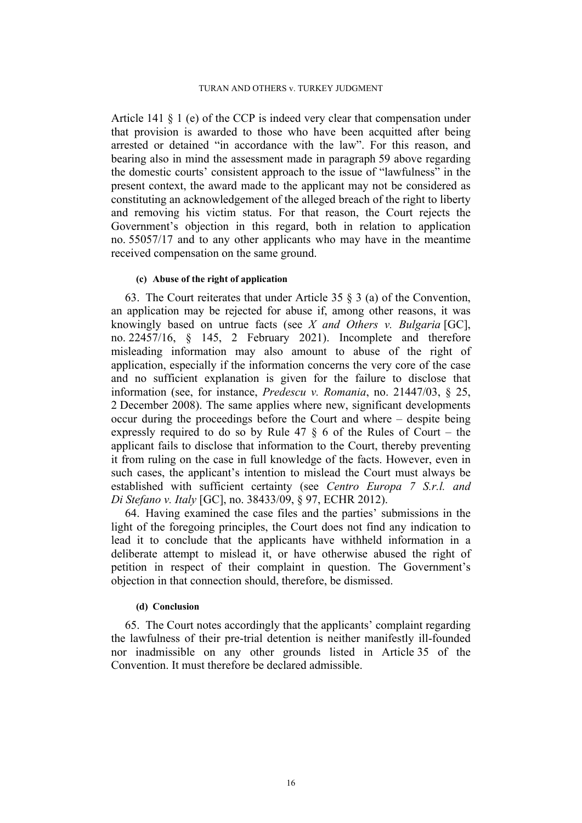Article 141 § 1 (e) of the CCP is indeed very clear that compensation under that provision is awarded to those who have been acquitted after being arrested or detained "in accordance with the law". For this reason, and bearing also in mind the assessment made in paragraph [59](#page-15-0) above regarding the domestic courts' consistent approach to the issue of "lawfulness" in the present context, the award made to the applicant may not be considered as constituting an acknowledgement of the alleged breach of the right to liberty and removing his victim status. For that reason, the Court rejects the Government's objection in this regard, both in relation to application no. 55057/17 and to any other applicants who may have in the meantime received compensation on the same ground.

### **(c) Abuse of the right of application**

63. The Court reiterates that under Article 35 § 3 (a) of the Convention, an application may be rejected for abuse if, among other reasons, it was knowingly based on untrue facts (see *X and Others v. Bulgaria* [GC], no. 22457/16, § 145, 2 February 2021). Incomplete and therefore misleading information may also amount to abuse of the right of application, especially if the information concerns the very core of the case and no sufficient explanation is given for the failure to disclose that information (see, for instance, *Predescu v. Romania*, no. 21447/03, § 25, 2 December 2008). The same applies where new, significant developments occur during the proceedings before the Court and where – despite being expressly required to do so by Rule 47  $\S$  6 of the Rules of Court – the applicant fails to disclose that information to the Court, thereby preventing it from ruling on the case in full knowledge of the facts. However, even in such cases, the applicant's intention to mislead the Court must always be established with sufficient certainty (see *Centro Europa 7 S.r.l. and Di Stefano v. Italy* [GC], no. 38433/09, § 97, ECHR 2012).

64. Having examined the case files and the parties' submissions in the light of the foregoing principles, the Court does not find any indication to lead it to conclude that the applicants have withheld information in a deliberate attempt to mislead it, or have otherwise abused the right of petition in respect of their complaint in question. The Government's objection in that connection should, therefore, be dismissed.

### **(d) Conclusion**

65. The Court notes accordingly that the applicants' complaint regarding the lawfulness of their pre-trial detention is neither manifestly ill-founded nor inadmissible on any other grounds listed in Article 35 of the Convention. It must therefore be declared admissible.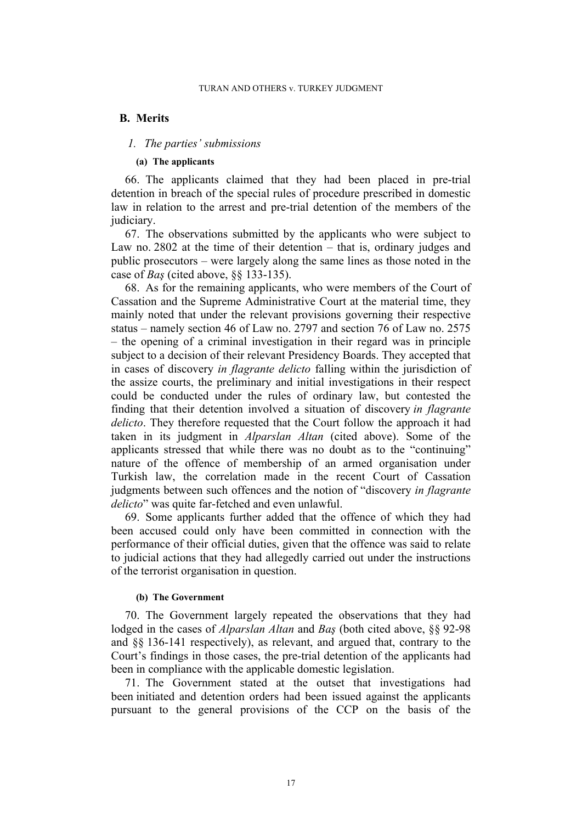# **B. Merits**

### *1. The parties' submissions*

### **(a) The applicants**

66. The applicants claimed that they had been placed in pre-trial detention in breach of the special rules of procedure prescribed in domestic law in relation to the arrest and pre-trial detention of the members of the judiciary.

67. The observations submitted by the applicants who were subject to Law no. 2802 at the time of their detention – that is, ordinary judges and public prosecutors – were largely along the same lines as those noted in the case of *Baş* (cited above, §§ 133-135).

68. As for the remaining applicants, who were members of the Court of Cassation and the Supreme Administrative Court at the material time, they mainly noted that under the relevant provisions governing their respective status – namely section 46 of Law no. 2797 and section 76 of Law no. 2575 – the opening of a criminal investigation in their regard was in principle subject to a decision of their relevant Presidency Boards. They accepted that in cases of discovery *in flagrante delicto* falling within the jurisdiction of the assize courts, the preliminary and initial investigations in their respect could be conducted under the rules of ordinary law, but contested the finding that their detention involved a situation of discovery *in flagrante delicto*. They therefore requested that the Court follow the approach it had taken in its judgment in *Alparslan Altan* (cited above). Some of the applicants stressed that while there was no doubt as to the "continuing" nature of the offence of membership of an armed organisation under Turkish law, the correlation made in the recent Court of Cassation judgments between such offences and the notion of "discovery *in flagrante delicto*" was quite far-fetched and even unlawful.

69. Some applicants further added that the offence of which they had been accused could only have been committed in connection with the performance of their official duties, given that the offence was said to relate to judicial actions that they had allegedly carried out under the instructions of the terrorist organisation in question.

#### **(b) The Government**

70. The Government largely repeated the observations that they had lodged in the cases of *Alparslan Altan* and *Baş* (both cited above, §§ 92-98 and §§ 136-141 respectively), as relevant, and argued that, contrary to the Court's findings in those cases, the pre-trial detention of the applicants had been in compliance with the applicable domestic legislation.

<span id="page-17-0"></span>71. The Government stated at the outset that investigations had been initiated and detention orders had been issued against the applicants pursuant to the general provisions of the CCP on the basis of the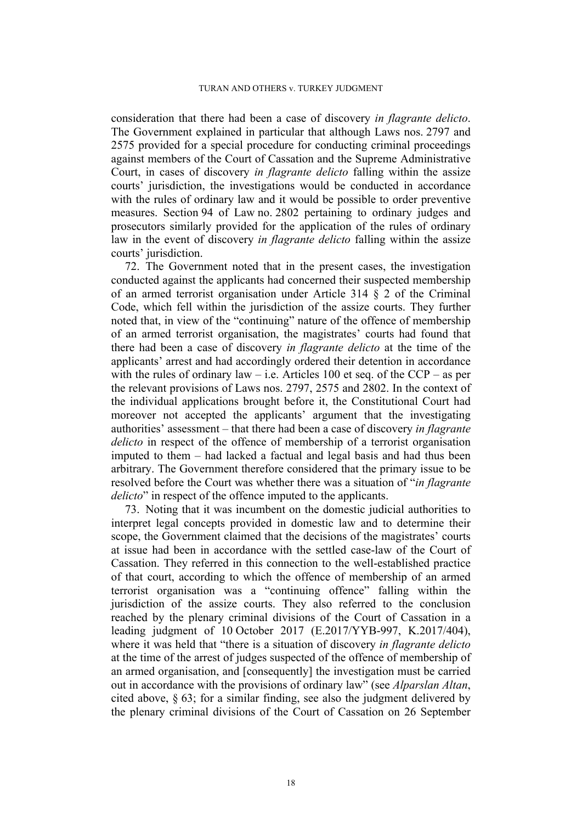consideration that there had been a case of discovery *in flagrante delicto*. The Government explained in particular that although Laws nos. 2797 and 2575 provided for a special procedure for conducting criminal proceedings against members of the Court of Cassation and the Supreme Administrative Court, in cases of discovery *in flagrante delicto* falling within the assize courts' jurisdiction, the investigations would be conducted in accordance with the rules of ordinary law and it would be possible to order preventive measures. Section 94 of Law no. 2802 pertaining to ordinary judges and prosecutors similarly provided for the application of the rules of ordinary law in the event of discovery *in flagrante delicto* falling within the assize courts' jurisdiction.

<span id="page-18-1"></span>72. The Government noted that in the present cases, the investigation conducted against the applicants had concerned their suspected membership of an armed terrorist organisation under Article 314 § 2 of the Criminal Code, which fell within the jurisdiction of the assize courts. They further noted that, in view of the "continuing" nature of the offence of membership of an armed terrorist organisation, the magistrates' courts had found that there had been a case of discovery *in flagrante delicto* at the time of the applicants' arrest and had accordingly ordered their detention in accordance with the rules of ordinary law – i.e. Articles 100 et seq. of the  $CCP$  – as per the relevant provisions of Laws nos. 2797, 2575 and 2802. In the context of the individual applications brought before it, the Constitutional Court had moreover not accepted the applicants' argument that the investigating authorities' assessment – that there had been a case of discovery *in flagrante delicto* in respect of the offence of membership of a terrorist organisation imputed to them – had lacked a factual and legal basis and had thus been arbitrary. The Government therefore considered that the primary issue to be resolved before the Court was whether there was a situation of "*in flagrante delicto*" in respect of the offence imputed to the applicants.

<span id="page-18-0"></span>73. Noting that it was incumbent on the domestic judicial authorities to interpret legal concepts provided in domestic law and to determine their scope, the Government claimed that the decisions of the magistrates' courts at issue had been in accordance with the settled case-law of the Court of Cassation. They referred in this connection to the well-established practice of that court, according to which the offence of membership of an armed terrorist organisation was a "continuing offence" falling within the jurisdiction of the assize courts. They also referred to the conclusion reached by the plenary criminal divisions of the Court of Cassation in a leading judgment of 10 October 2017 (E.2017/YYB-997, K.2017/404), where it was held that "there is a situation of discovery *in flagrante delicto* at the time of the arrest of judges suspected of the offence of membership of an armed organisation, and [consequently] the investigation must be carried out in accordance with the provisions of ordinary law" (see *Alparslan Altan*, cited above, § 63; for a similar finding, see also the judgment delivered by the plenary criminal divisions of the Court of Cassation on 26 September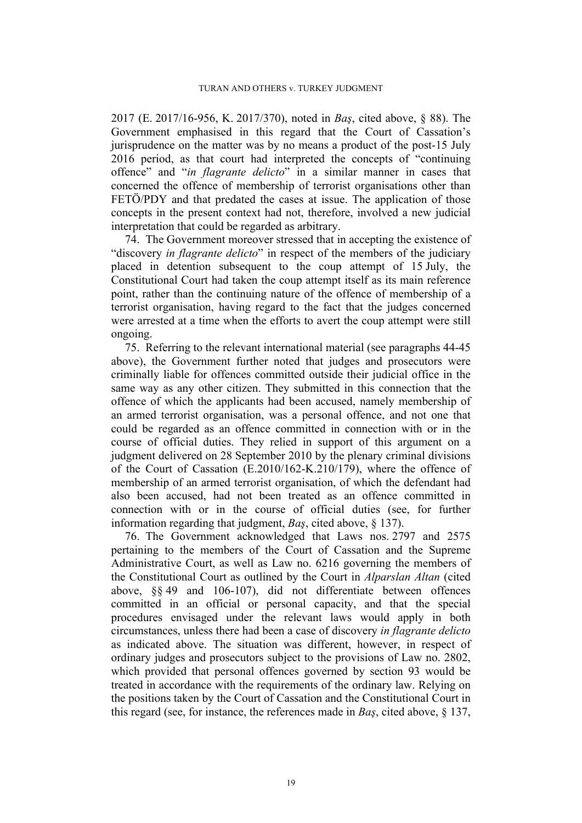2017 (E. 2017/16-956, K. 2017/370), noted in *Baş*, cited above, § 88). The Government emphasised in this regard that the Court of Cassation's jurisprudence on the matter was by no means a product of the post-15 July 2016 period, as that court had interpreted the concepts of "continuing offence" and "*in flagrante delicto*" in a similar manner in cases that concerned the offence of membership of terrorist organisations other than FETÖ/PDY and that predated the cases at issue. The application of those concepts in the present context had not, therefore, involved a new judicial interpretation that could be regarded as arbitrary.

<span id="page-19-0"></span>74. The Government moreover stressed that in accepting the existence of "discovery *in flagrante delicto*" in respect of the members of the judiciary placed in detention subsequent to the coup attempt of 15 July, the Constitutional Court had taken the coup attempt itself as its main reference point, rather than the continuing nature of the offence of membership of a terrorist organisation, having regard to the fact that the judges concerned were arrested at a time when the efforts to avert the coup attempt were still ongoing.

75. Referring to the relevant international material (see paragraphs [44-](#page-12-0)[45](#page-12-1)  above), the Government further noted that judges and prosecutors were criminally liable for offences committed outside their judicial office in the same way as any other citizen. They submitted in this connection that the offence of which the applicants had been accused, namely membership of an armed terrorist organisation, was a personal offence, and not one that could be regarded as an offence committed in connection with or in the course of official duties. They relied in support of this argument on a judgment delivered on 28 September 2010 by the plenary criminal divisions of the Court of Cassation (E.2010/162-K.210/179), where the offence of membership of an armed terrorist organisation, of which the defendant had also been accused, had not been treated as an offence committed in connection with or in the course of official duties (see, for further information regarding that judgment, *Baş*, cited above, § 137).

76. The Government acknowledged that Laws nos. 2797 and 2575 pertaining to the members of the Court of Cassation and the Supreme Administrative Court, as well as Law no. 6216 governing the members of the Constitutional Court as outlined by the Court in *Alparslan Altan* (cited above, §§ 49 and 106-107), did not differentiate between offences committed in an official or personal capacity, and that the special procedures envisaged under the relevant laws would apply in both circumstances, unless there had been a case of discovery *in flagrante delicto*  as indicated above. The situation was different, however, in respect of ordinary judges and prosecutors subject to the provisions of Law no. 2802, which provided that personal offences governed by section 93 would be treated in accordance with the requirements of the ordinary law. Relying on the positions taken by the Court of Cassation and the Constitutional Court in this regard (see, for instance, the references made in *Baş*, cited above, § 137,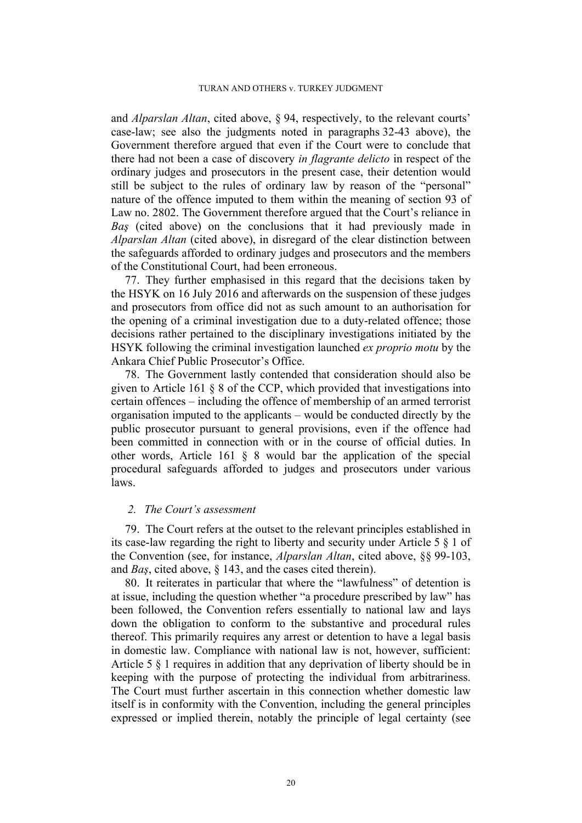and *Alparslan Altan*, cited above, § 94, respectively, to the relevant courts' case-law; see also the judgments noted in paragraphs [32](#page-8-0)[-43](#page-11-0) above), the Government therefore argued that even if the Court were to conclude that there had not been a case of discovery *in flagrante delicto* in respect of the ordinary judges and prosecutors in the present case, their detention would still be subject to the rules of ordinary law by reason of the "personal" nature of the offence imputed to them within the meaning of section 93 of Law no. 2802. The Government therefore argued that the Court's reliance in *Baş* (cited above) on the conclusions that it had previously made in *Alparslan Altan* (cited above), in disregard of the clear distinction between the safeguards afforded to ordinary judges and prosecutors and the members of the Constitutional Court, had been erroneous.

77. They further emphasised in this regard that the decisions taken by the HSYK on 16 July 2016 and afterwards on the suspension of these judges and prosecutors from office did not as such amount to an authorisation for the opening of a criminal investigation due to a duty-related offence; those decisions rather pertained to the disciplinary investigations initiated by the HSYK following the criminal investigation launched *ex proprio motu* by the Ankara Chief Public Prosecutor's Office.

<span id="page-20-0"></span>78. The Government lastly contended that consideration should also be given to Article 161 § 8 of the CCP, which provided that investigations into certain offences – including the offence of membership of an armed terrorist organisation imputed to the applicants – would be conducted directly by the public prosecutor pursuant to general provisions, even if the offence had been committed in connection with or in the course of official duties. In other words, Article 161 § 8 would bar the application of the special procedural safeguards afforded to judges and prosecutors under various laws.

# *2. The Court's assessment*

79. The Court refers at the outset to the relevant principles established in its case-law regarding the right to liberty and security under Article 5 § 1 of the Convention (see, for instance, *Alparslan Altan*, cited above, §§ 99-103, and *Baş*, cited above, § 143, and the cases cited therein).

80. It reiterates in particular that where the "lawfulness" of detention is at issue, including the question whether "a procedure prescribed by law" has been followed, the Convention refers essentially to national law and lays down the obligation to conform to the substantive and procedural rules thereof. This primarily requires any arrest or detention to have a legal basis in domestic law. Compliance with national law is not, however, sufficient: Article 5 § 1 requires in addition that any deprivation of liberty should be in keeping with the purpose of protecting the individual from arbitrariness. The Court must further ascertain in this connection whether domestic law itself is in conformity with the Convention, including the general principles expressed or implied therein, notably the principle of legal certainty (see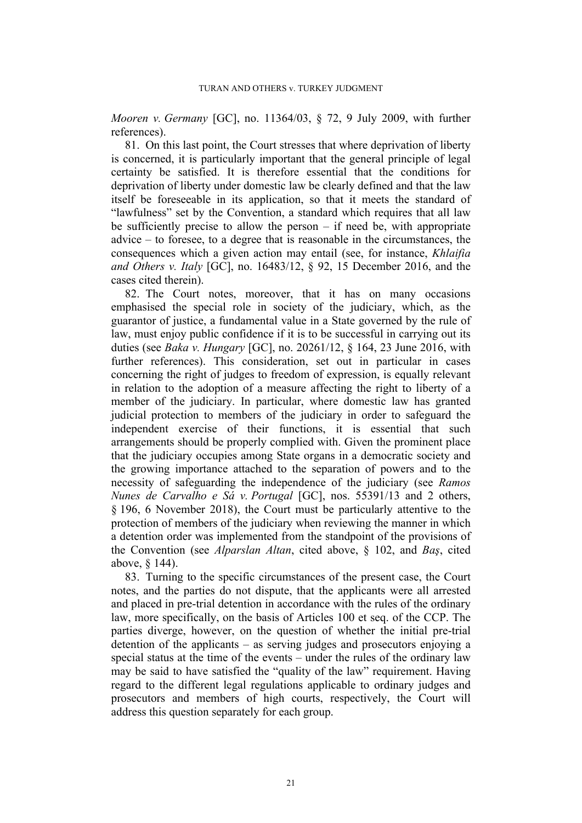*Mooren v. Germany* [GC], no. 11364/03, § 72, 9 July 2009, with further references).

81. On this last point, the Court stresses that where deprivation of liberty is concerned, it is particularly important that the general principle of legal certainty be satisfied. It is therefore essential that the conditions for deprivation of liberty under domestic law be clearly defined and that the law itself be foreseeable in its application, so that it meets the standard of "lawfulness" set by the Convention, a standard which requires that all law be sufficiently precise to allow the person  $-$  if need be, with appropriate advice – to foresee, to a degree that is reasonable in the circumstances, the consequences which a given action may entail (see, for instance, *Khlaifia and Others v. Italy* [GC], no. 16483/12, § 92, 15 December 2016, and the cases cited therein).

82. The Court notes, moreover, that it has on many occasions emphasised the special role in society of the judiciary, which, as the guarantor of justice, a fundamental value in a State governed by the rule of law, must enjoy public confidence if it is to be successful in carrying out its duties (see *Baka v. Hungary* [GC], no. 20261/12, § 164, 23 June 2016, with further references). This consideration, set out in particular in cases concerning the right of judges to freedom of expression, is equally relevant in relation to the adoption of a measure affecting the right to liberty of a member of the judiciary. In particular, where domestic law has granted judicial protection to members of the judiciary in order to safeguard the independent exercise of their functions, it is essential that such arrangements should be properly complied with. Given the prominent place that the judiciary occupies among State organs in a democratic society and the growing importance attached to the separation of powers and to the necessity of safeguarding the independence of the judiciary (see *Ramos Nunes de Carvalho e Sá v. Portugal* [GC], nos. 55391/13 and 2 others, § 196, 6 November 2018), the Court must be particularly attentive to the protection of members of the judiciary when reviewing the manner in which a detention order was implemented from the standpoint of the provisions of the Convention (see *Alparslan Altan*, cited above, § 102, and *Baş*, cited above, § 144).

83. Turning to the specific circumstances of the present case, the Court notes, and the parties do not dispute, that the applicants were all arrested and placed in pre-trial detention in accordance with the rules of the ordinary law, more specifically, on the basis of Articles 100 et seq. of the CCP. The parties diverge, however, on the question of whether the initial pre-trial detention of the applicants – as serving judges and prosecutors enjoying a special status at the time of the events – under the rules of the ordinary law may be said to have satisfied the "quality of the law" requirement. Having regard to the different legal regulations applicable to ordinary judges and prosecutors and members of high courts, respectively, the Court will address this question separately for each group.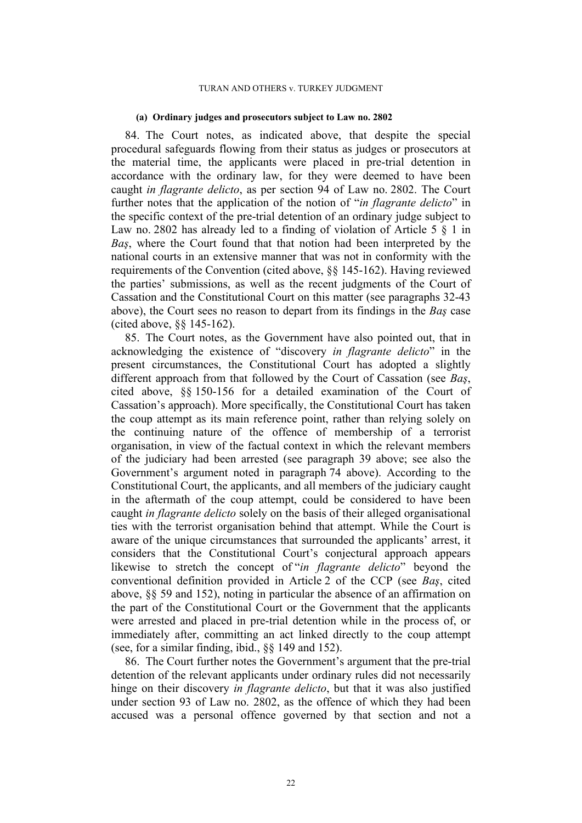#### **(a) Ordinary judges and prosecutors subject to Law no. 2802**

84. The Court notes, as indicated above, that despite the special procedural safeguards flowing from their status as judges or prosecutors at the material time, the applicants were placed in pre-trial detention in accordance with the ordinary law, for they were deemed to have been caught *in flagrante delicto*, as per section 94 of Law no. 2802. The Court further notes that the application of the notion of "*in flagrante delicto*" in the specific context of the pre-trial detention of an ordinary judge subject to Law no. 2802 has already led to a finding of violation of Article 5  $\S$  1 in *Baş*, where the Court found that that notion had been interpreted by the national courts in an extensive manner that was not in conformity with the requirements of the Convention (cited above, §§ 145-162). Having reviewed the parties' submissions, as well as the recent judgments of the Court of Cassation and the Constitutional Court on this matter (see paragraphs [32-](#page-8-0)[43](#page-11-0)  above), the Court sees no reason to depart from its findings in the *Baş* case (cited above, §§ 145-162).

<span id="page-22-0"></span>85. The Court notes, as the Government have also pointed out, that in acknowledging the existence of "discovery *in flagrante delicto*" in the present circumstances, the Constitutional Court has adopted a slightly different approach from that followed by the Court of Cassation (see *Baş*, cited above, §§ 150-156 for a detailed examination of the Court of Cassation's approach). More specifically, the Constitutional Court has taken the coup attempt as its main reference point, rather than relying solely on the continuing nature of the offence of membership of a terrorist organisation, in view of the factual context in which the relevant members of the judiciary had been arrested (see paragraph [39](#page-10-0) above; see also the Government's argument noted in paragraph [74](#page-19-0) above). According to the Constitutional Court, the applicants, and all members of the judiciary caught in the aftermath of the coup attempt, could be considered to have been caught *in flagrante delicto* solely on the basis of their alleged organisational ties with the terrorist organisation behind that attempt. While the Court is aware of the unique circumstances that surrounded the applicants' arrest, it considers that the Constitutional Court's conjectural approach appears likewise to stretch the concept of "*in flagrante delicto*" beyond the conventional definition provided in Article 2 of the CCP (see *Baş*, cited above, §§ 59 and 152), noting in particular the absence of an affirmation on the part of the Constitutional Court or the Government that the applicants were arrested and placed in pre-trial detention while in the process of, or immediately after, committing an act linked directly to the coup attempt (see, for a similar finding, ibid., §§ 149 and 152).

86. The Court further notes the Government's argument that the pre-trial detention of the relevant applicants under ordinary rules did not necessarily hinge on their discovery *in flagrante delicto*, but that it was also justified under section 93 of Law no. 2802, as the offence of which they had been accused was a personal offence governed by that section and not a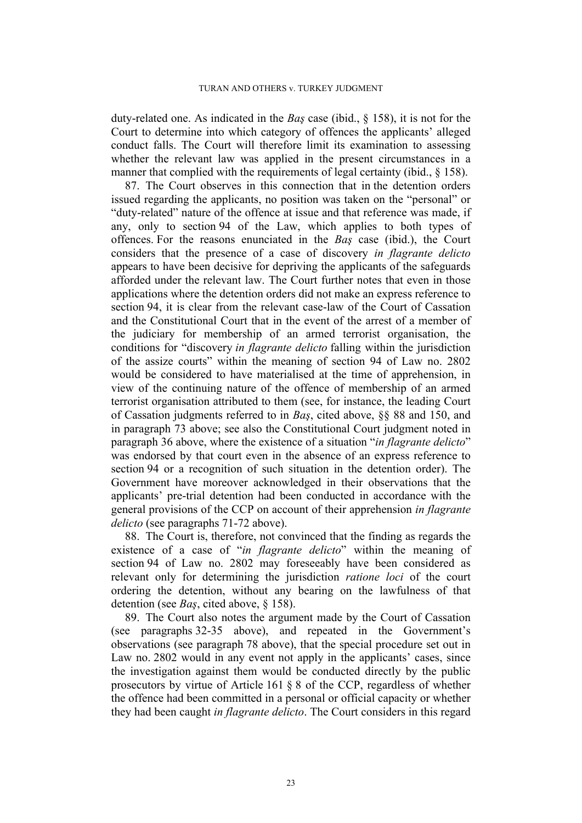duty-related one. As indicated in the *Baş* case (ibid., § 158), it is not for the Court to determine into which category of offences the applicants' alleged conduct falls. The Court will therefore limit its examination to assessing whether the relevant law was applied in the present circumstances in a manner that complied with the requirements of legal certainty (ibid., § 158).

87. The Court observes in this connection that in the detention orders issued regarding the applicants, no position was taken on the "personal" or "duty-related" nature of the offence at issue and that reference was made, if any, only to section 94 of the Law, which applies to both types of offences. For the reasons enunciated in the *Baş* case (ibid.), the Court considers that the presence of a case of discovery *in flagrante delicto* appears to have been decisive for depriving the applicants of the safeguards afforded under the relevant law. The Court further notes that even in those applications where the detention orders did not make an express reference to section 94, it is clear from the relevant case-law of the Court of Cassation and the Constitutional Court that in the event of the arrest of a member of the judiciary for membership of an armed terrorist organisation, the conditions for "discovery *in flagrante delicto* falling within the jurisdiction of the assize courts" within the meaning of section 94 of Law no. 2802 would be considered to have materialised at the time of apprehension, in view of the continuing nature of the offence of membership of an armed terrorist organisation attributed to them (see, for instance, the leading Court of Cassation judgments referred to in *Baş*, cited above, §§ 88 and 150, and in paragraph [73](#page-18-0) above; see also the Constitutional Court judgment noted in paragraph [36](#page-9-0) above, where the existence of a situation "*in flagrante delicto*" was endorsed by that court even in the absence of an express reference to section 94 or a recognition of such situation in the detention order). The Government have moreover acknowledged in their observations that the applicants' pre-trial detention had been conducted in accordance with the general provisions of the CCP on account of their apprehension *in flagrante delicto* (see paragraphs [71](#page-17-0)[-72](#page-18-1) above).

88. The Court is, therefore, not convinced that the finding as regards the existence of a case of "*in flagrante delicto*" within the meaning of section 94 of Law no. 2802 may foreseeably have been considered as relevant only for determining the jurisdiction *ratione loci* of the court ordering the detention, without any bearing on the lawfulness of that detention (see *Baş*, cited above, § 158).

<span id="page-23-0"></span>89. The Court also notes the argument made by the Court of Cassation (see paragraphs [32-](#page-8-0)[35](#page-9-1) above), and repeated in the Government's observations (see paragraph [78](#page-20-0) above), that the special procedure set out in Law no. 2802 would in any event not apply in the applicants' cases, since the investigation against them would be conducted directly by the public prosecutors by virtue of Article 161 § 8 of the CCP, regardless of whether the offence had been committed in a personal or official capacity or whether they had been caught *in flagrante delicto*. The Court considers in this regard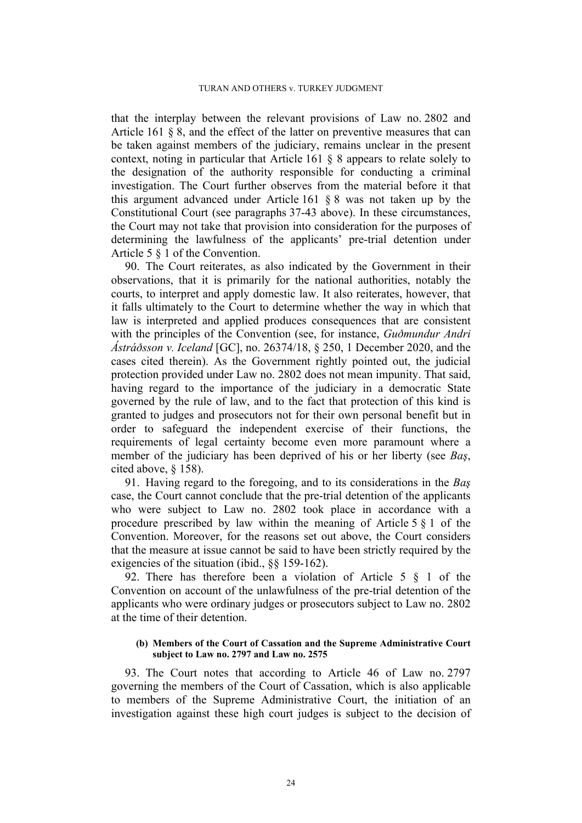that the interplay between the relevant provisions of Law no. 2802 and Article 161 § 8, and the effect of the latter on preventive measures that can be taken against members of the judiciary, remains unclear in the present context, noting in particular that Article 161 § 8 appears to relate solely to the designation of the authority responsible for conducting a criminal investigation. The Court further observes from the material before it that this argument advanced under Article 161 § 8 was not taken up by the Constitutional Court (see paragraphs [37](#page-9-2)[-43](#page-11-0) above). In these circumstances, the Court may not take that provision into consideration for the purposes of determining the lawfulness of the applicants' pre-trial detention under Article 5 § 1 of the Convention.

<span id="page-24-0"></span>90. The Court reiterates, as also indicated by the Government in their observations, that it is primarily for the national authorities, notably the courts, to interpret and apply domestic law. It also reiterates, however, that it falls ultimately to the Court to determine whether the way in which that law is interpreted and applied produces consequences that are consistent with the principles of the Convention (see, for instance, *Guðmundur Andri Ástráðsson v. Iceland* [GC], no. 26374/18, § 250, 1 December 2020, and the cases cited therein). As the Government rightly pointed out, the judicial protection provided under Law no. 2802 does not mean impunity. That said, having regard to the importance of the judiciary in a democratic State governed by the rule of law, and to the fact that protection of this kind is granted to judges and prosecutors not for their own personal benefit but in order to safeguard the independent exercise of their functions, the requirements of legal certainty become even more paramount where a member of the judiciary has been deprived of his or her liberty (see *Baş*, cited above, § 158).

91. Having regard to the foregoing, and to its considerations in the *Baş* case, the Court cannot conclude that the pre-trial detention of the applicants who were subject to Law no. 2802 took place in accordance with a procedure prescribed by law within the meaning of Article  $5 \& 1$  of the Convention. Moreover, for the reasons set out above, the Court considers that the measure at issue cannot be said to have been strictly required by the exigencies of the situation (ibid., §§ 159-162).

92. There has therefore been a violation of Article 5 § 1 of the Convention on account of the unlawfulness of the pre-trial detention of the applicants who were ordinary judges or prosecutors subject to Law no. 2802 at the time of their detention.

### **(b) Members of the Court of Cassation and the Supreme Administrative Court subject to Law no. 2797 and Law no. 2575**

93. The Court notes that according to Article 46 of Law no. 2797 governing the members of the Court of Cassation, which is also applicable to members of the Supreme Administrative Court, the initiation of an investigation against these high court judges is subject to the decision of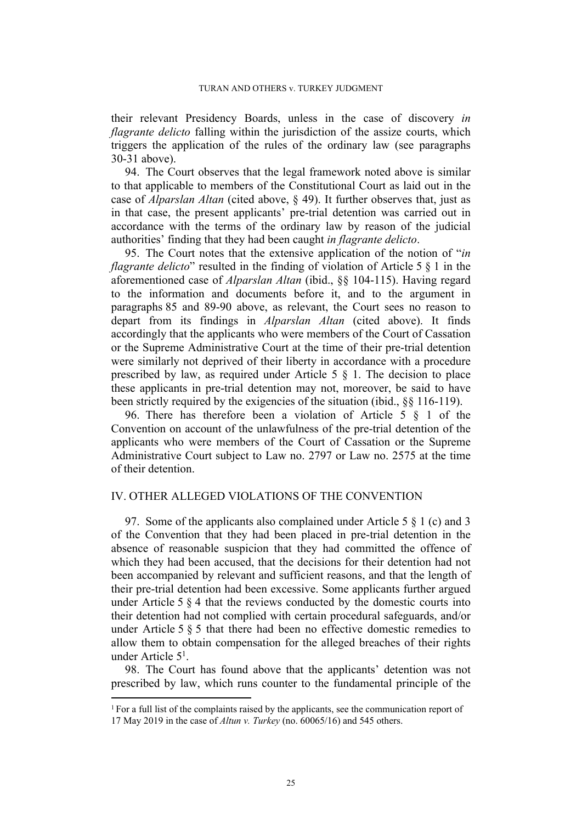their relevant Presidency Boards, unless in the case of discovery *in flagrante delicto* falling within the jurisdiction of the assize courts, which triggers the application of the rules of the ordinary law (see paragraphs [30-](#page-7-0)[31](#page-7-1) above).

94. The Court observes that the legal framework noted above is similar to that applicable to members of the Constitutional Court as laid out in the case of *Alparslan Altan* (cited above, § 49). It further observes that, just as in that case, the present applicants' pre-trial detention was carried out in accordance with the terms of the ordinary law by reason of the judicial authorities' finding that they had been caught *in flagrante delicto*.

95. The Court notes that the extensive application of the notion of "*in flagrante delicto*" resulted in the finding of violation of Article 5  $\S$  1 in the aforementioned case of *Alparslan Altan* (ibid., §§ 104-115). Having regard to the information and documents before it, and to the argument in paragraphs [85](#page-22-0) and [89](#page-23-0)[-90](#page-24-0) above, as relevant, the Court sees no reason to depart from its findings in *Alparslan Altan* (cited above). It finds accordingly that the applicants who were members of the Court of Cassation or the Supreme Administrative Court at the time of their pre-trial detention were similarly not deprived of their liberty in accordance with a procedure prescribed by law, as required under Article  $5 \S 1$ . The decision to place these applicants in pre-trial detention may not, moreover, be said to have been strictly required by the exigencies of the situation (ibid., §§ 116-119).

96. There has therefore been a violation of Article 5 § 1 of the Convention on account of the unlawfulness of the pre-trial detention of the applicants who were members of the Court of Cassation or the Supreme Administrative Court subject to Law no. 2797 or Law no. 2575 at the time of their detention.

# IV. OTHER ALLEGED VIOLATIONS OF THE CONVENTION

97. Some of the applicants also complained under Article 5 § 1 (c) and 3 of the Convention that they had been placed in pre-trial detention in the absence of reasonable suspicion that they had committed the offence of which they had been accused, that the decisions for their detention had not been accompanied by relevant and sufficient reasons, and that the length of their pre-trial detention had been excessive. Some applicants further argued under Article  $5 \t S 4$  that the reviews conducted by the domestic courts into their detention had not complied with certain procedural safeguards, and/or under Article  $5 \& 5$  that there had been no effective domestic remedies to allow them to obtain compensation for the alleged breaches of their rights under Article 5<sup>1</sup> .

98. The Court has found above that the applicants' detention was not prescribed by law, which runs counter to the fundamental principle of the

<sup>&</sup>lt;sup>1</sup> For a full list of the complaints raised by the applicants, see the communication report of 17 May 2019 in the case of *Altun v. Turkey* (no. 60065/16) and 545 others.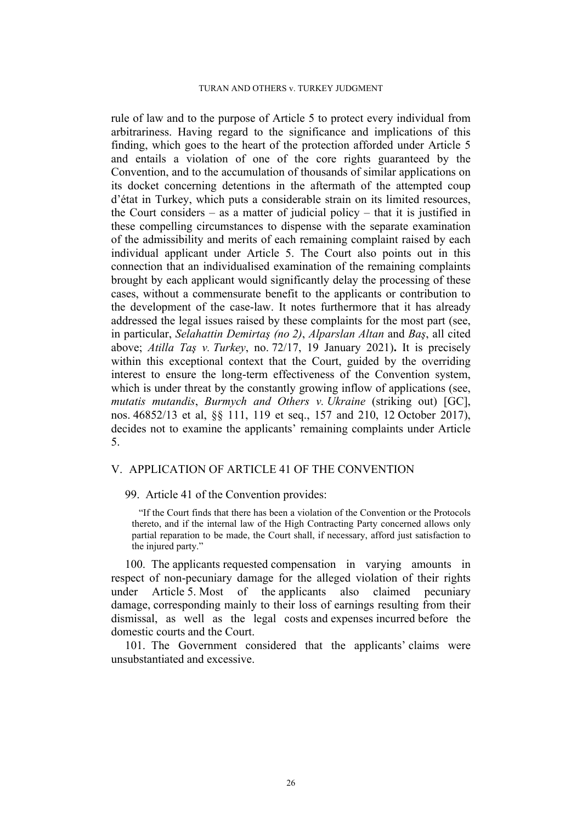rule of law and to the purpose of Article 5 to protect every individual from arbitrariness. Having regard to the significance and implications of this finding, which goes to the heart of the protection afforded under Article 5 and entails a violation of one of the core rights guaranteed by the Convention, and to the accumulation of thousands of similar applications on its docket concerning detentions in the aftermath of the attempted coup d'état in Turkey, which puts a considerable strain on its limited resources, the Court considers – as a matter of judicial policy – that it is justified in these compelling circumstances to dispense with the separate examination of the admissibility and merits of each remaining complaint raised by each individual applicant under Article 5. The Court also points out in this connection that an individualised examination of the remaining complaints brought by each applicant would significantly delay the processing of these cases, without a commensurate benefit to the applicants or contribution to the development of the case-law. It notes furthermore that it has already addressed the legal issues raised by these complaints for the most part (see, in particular, *Selahattin Demirtaş (no 2)*, *Alparslan Altan* and *Baş*, all cited above; *Atilla Taş v. Turkey*, no. 72/17, 19 January 2021)**.** It is precisely within this exceptional context that the Court, guided by the overriding interest to ensure the long-term effectiveness of the Convention system, which is under threat by the constantly growing inflow of applications (see, *mutatis mutandis*, *Burmych and Others v. Ukraine* (striking out) [GC], nos. 46852/13 et al, §§ 111, 119 et seq., 157 and 210, 12 October 2017), decides not to examine the applicants' remaining complaints under Article 5.

# V. APPLICATION OF ARTICLE 41 OF THE CONVENTION

99. Article 41 of the Convention provides:

"If the Court finds that there has been a violation of the Convention or the Protocols thereto, and if the internal law of the High Contracting Party concerned allows only partial reparation to be made, the Court shall, if necessary, afford just satisfaction to the injured party."

100. The applicants requested compensation in varying amounts in respect of non-pecuniary damage for the alleged violation of their rights under Article 5. Most of the applicants also claimed pecuniary damage, corresponding mainly to their loss of earnings resulting from their dismissal, as well as the legal costs and expenses incurred before the domestic courts and the Court.

101. The Government considered that the applicants' claims were unsubstantiated and excessive.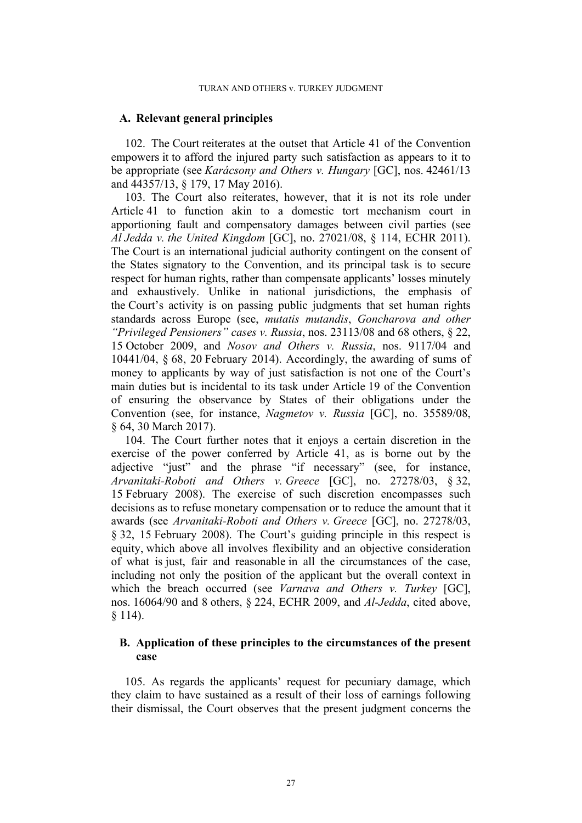# **A. Relevant general principles**

102. The Court reiterates at the outset that Article 41 of the Convention empowers it to afford the injured party such satisfaction as appears to it to be appropriate (see *Karácsony and Others v. Hungary* [GC], nos. 42461/13 and 44357/13, § 179, 17 May 2016).

103. The Court also reiterates, however, that it is not its role under Article 41 to function akin to a domestic tort mechanism court in apportioning fault and compensatory damages between civil parties (see *Al Jedda v. the United Kingdom* [GC], no. 27021/08, § 114, ECHR 2011). The Court is an international judicial authority contingent on the consent of the States signatory to the Convention, and its principal task is to secure respect for human rights, rather than compensate applicants' losses minutely and exhaustively. Unlike in national jurisdictions, the emphasis of the Court's activity is on passing public judgments that set human rights standards across Europe (see, *mutatis mutandis*, *Goncharova and other "Privileged Pensioners" cases v. Russia*, nos. 23113/08 and 68 others, § 22, 15 October 2009, and *Nosov and Others v. Russia*, nos. 9117/04 and 10441/04, § 68, 20 February 2014). Accordingly, the awarding of sums of money to applicants by way of just satisfaction is not one of the Court's main duties but is incidental to its task under Article 19 of the Convention of ensuring the observance by States of their obligations under the Convention (see, for instance, *Nagmetov v. Russia* [GC], no. 35589/08, § 64, 30 March 2017).

104. The Court further notes that it enjoys a certain discretion in the exercise of the power conferred by Article 41, as is borne out by the adjective "just" and the phrase "if necessary" (see, for instance, *Arvanitaki-Roboti and Others v. Greece* [GC], no. 27278/03, § 32, 15 February 2008). The exercise of such discretion encompasses such decisions as to refuse monetary compensation or to reduce the amount that it awards (see *Arvanitaki-Roboti and Others v. Greece* [GC], no. 27278/03, § 32, 15 February 2008). The Court's guiding principle in this respect is equity, which above all involves flexibility and an objective consideration of what is just, fair and reasonable in all the circumstances of the case, including not only the position of the applicant but the overall context in which the breach occurred (see *Varnava and Others v. Turkey* [GC], nos. 16064/90 and 8 others, § 224, ECHR 2009, and *Al-Jedda*, cited above, § 114).

# **B. Application of these principles to the circumstances of the present case**

105. As regards the applicants' request for pecuniary damage, which they claim to have sustained as a result of their loss of earnings following their dismissal, the Court observes that the present judgment concerns the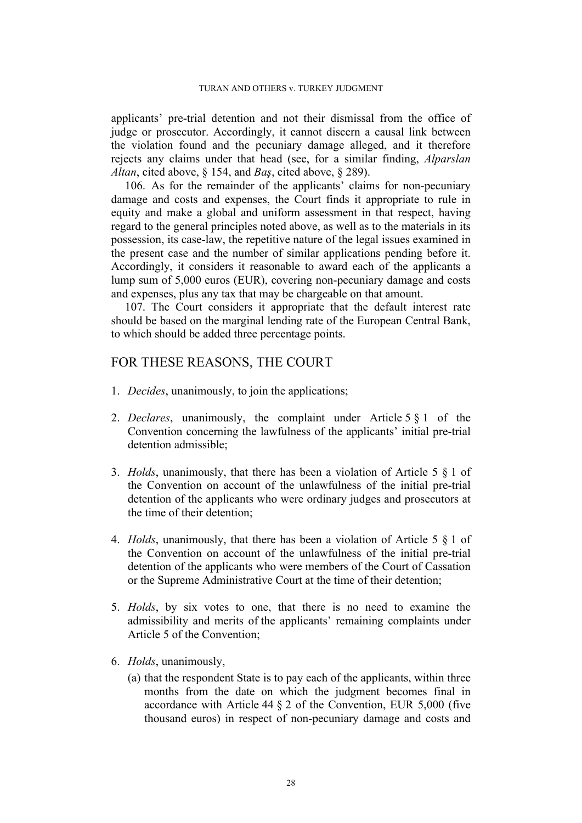applicants' pre-trial detention and not their dismissal from the office of judge or prosecutor. Accordingly, it cannot discern a causal link between the violation found and the pecuniary damage alleged, and it therefore rejects any claims under that head (see, for a similar finding, *Alparslan Altan*, cited above, § 154, and *Baş*, cited above, § 289).

106. As for the remainder of the applicants' claims for non-pecuniary damage and costs and expenses, the Court finds it appropriate to rule in equity and make a global and uniform assessment in that respect, having regard to the general principles noted above, as well as to the materials in its possession, its case-law, the repetitive nature of the legal issues examined in the present case and the number of similar applications pending before it. Accordingly, it considers it reasonable to award each of the applicants a lump sum of 5,000 euros (EUR), covering non-pecuniary damage and costs and expenses, plus any tax that may be chargeable on that amount.

107. The Court considers it appropriate that the default interest rate should be based on the marginal lending rate of the European Central Bank, to which should be added three percentage points.

# FOR THESE REASONS, THE COURT

- 1. *Decides*, unanimously, to join the applications;
- 2. *Declares*, unanimously, the complaint under Article 5 § 1 of the Convention concerning the lawfulness of the applicants' initial pre-trial detention admissible;
- 3. *Holds*, unanimously, that there has been a violation of Article 5 § 1 of the Convention on account of the unlawfulness of the initial pre-trial detention of the applicants who were ordinary judges and prosecutors at the time of their detention;
- 4. *Holds*, unanimously, that there has been a violation of Article 5 § 1 of the Convention on account of the unlawfulness of the initial pre-trial detention of the applicants who were members of the Court of Cassation or the Supreme Administrative Court at the time of their detention;
- 5. *Holds*, by six votes to one, that there is no need to examine the admissibility and merits of the applicants' remaining complaints under Article 5 of the Convention;
- 6. *Holds*, unanimously,
	- (a) that the respondent State is to pay each of the applicants, within three months from the date on which the judgment becomes final in accordance with Article 44 § 2 of the Convention, EUR 5,000 (five thousand euros) in respect of non-pecuniary damage and costs and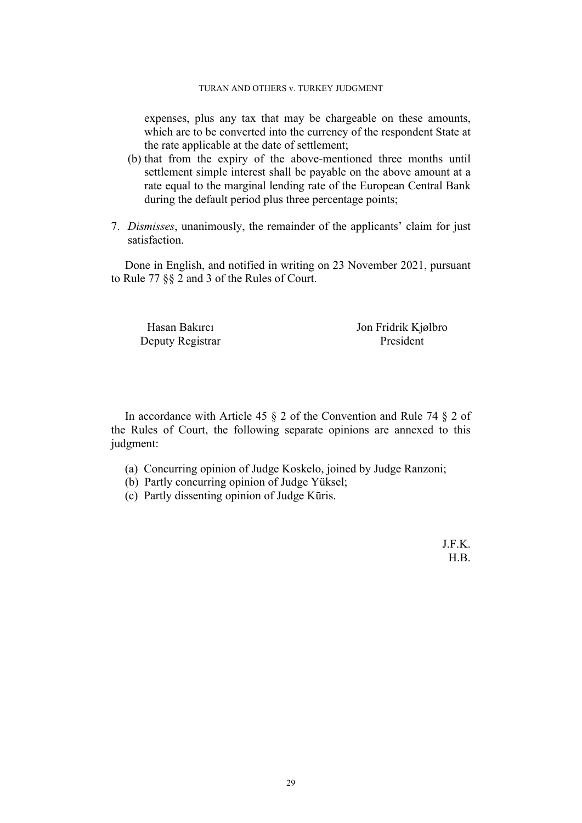expenses, plus any tax that may be chargeable on these amounts, which are to be converted into the currency of the respondent State at the rate applicable at the date of settlement;

- (b) that from the expiry of the above-mentioned three months until settlement simple interest shall be payable on the above amount at a rate equal to the marginal lending rate of the European Central Bank during the default period plus three percentage points;
- 7. *Dismisses*, unanimously, the remainder of the applicants' claim for just satisfaction.

Done in English, and notified in writing on 23 November 2021, pursuant to Rule 77 §§ 2 and 3 of the Rules of Court.

Deputy Registrar President

Hasan Bakırcı Jon Fridrik Kjølbro

In accordance with Article 45 § 2 of the Convention and Rule 74 § 2 of the Rules of Court, the following separate opinions are annexed to this judgment:

- (a) Concurring opinion of Judge Koskelo, joined by Judge Ranzoni;
- (b) Partly concurring opinion of Judge Yüksel;
- (c) Partly dissenting opinion of Judge Kūris.

J.F.K. H.B.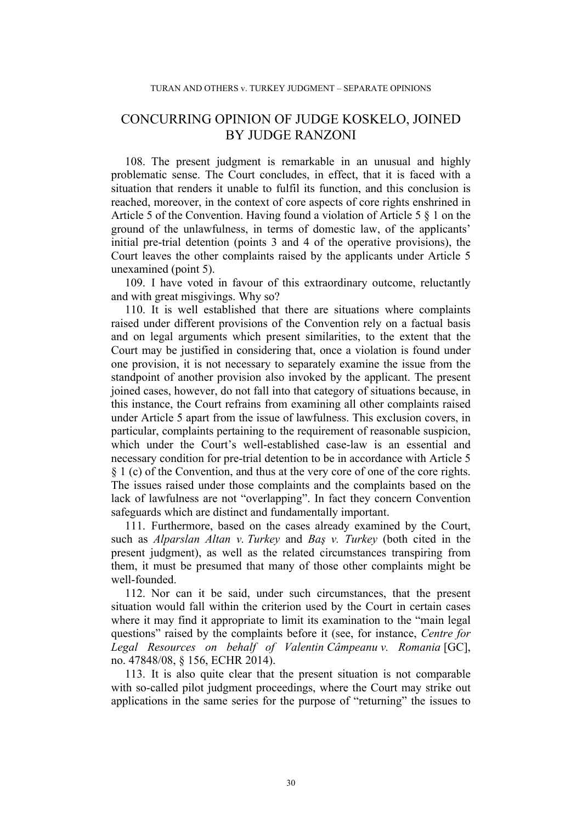# CONCURRING OPINION OF JUDGE KOSKELO, JOINED BY JUDGE RANZONI

108. The present judgment is remarkable in an unusual and highly problematic sense. The Court concludes, in effect, that it is faced with a situation that renders it unable to fulfil its function, and this conclusion is reached, moreover, in the context of core aspects of core rights enshrined in Article 5 of the Convention. Having found a violation of Article 5 § 1 on the ground of the unlawfulness, in terms of domestic law, of the applicants' initial pre-trial detention (points 3 and 4 of the operative provisions), the Court leaves the other complaints raised by the applicants under Article 5 unexamined (point 5).

109. I have voted in favour of this extraordinary outcome, reluctantly and with great misgivings. Why so?

110. It is well established that there are situations where complaints raised under different provisions of the Convention rely on a factual basis and on legal arguments which present similarities, to the extent that the Court may be justified in considering that, once a violation is found under one provision, it is not necessary to separately examine the issue from the standpoint of another provision also invoked by the applicant. The present joined cases, however, do not fall into that category of situations because, in this instance, the Court refrains from examining all other complaints raised under Article 5 apart from the issue of lawfulness. This exclusion covers, in particular, complaints pertaining to the requirement of reasonable suspicion, which under the Court's well-established case-law is an essential and necessary condition for pre-trial detention to be in accordance with Article 5 § 1 (c) of the Convention, and thus at the very core of one of the core rights. The issues raised under those complaints and the complaints based on the lack of lawfulness are not "overlapping". In fact they concern Convention safeguards which are distinct and fundamentally important.

111. Furthermore, based on the cases already examined by the Court, such as *Alparslan Altan v. Turkey* and *Baş v. Turkey* (both cited in the present judgment), as well as the related circumstances transpiring from them, it must be presumed that many of those other complaints might be well-founded.

112. Nor can it be said, under such circumstances, that the present situation would fall within the criterion used by the Court in certain cases where it may find it appropriate to limit its examination to the "main legal questions" raised by the complaints before it (see, for instance, *Centre for Legal Resources on behalf of Valentin Câmpeanu v. Romania* [GC], no. 47848/08, § 156, ECHR 2014).

113. It is also quite clear that the present situation is not comparable with so-called pilot judgment proceedings, where the Court may strike out applications in the same series for the purpose of "returning" the issues to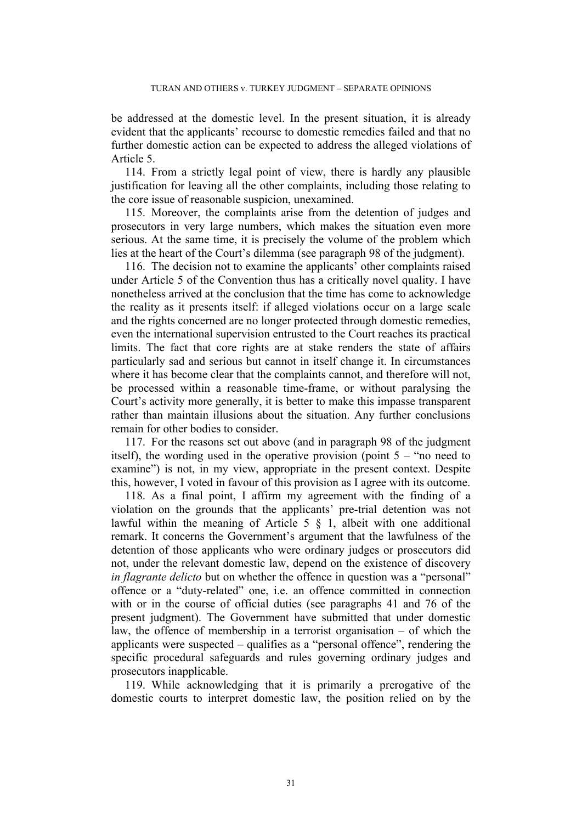be addressed at the domestic level. In the present situation, it is already evident that the applicants' recourse to domestic remedies failed and that no further domestic action can be expected to address the alleged violations of Article 5.

114. From a strictly legal point of view, there is hardly any plausible justification for leaving all the other complaints, including those relating to the core issue of reasonable suspicion, unexamined.

115. Moreover, the complaints arise from the detention of judges and prosecutors in very large numbers, which makes the situation even more serious. At the same time, it is precisely the volume of the problem which lies at the heart of the Court's dilemma (see paragraph 98 of the judgment).

116. The decision not to examine the applicants' other complaints raised under Article 5 of the Convention thus has a critically novel quality. I have nonetheless arrived at the conclusion that the time has come to acknowledge the reality as it presents itself: if alleged violations occur on a large scale and the rights concerned are no longer protected through domestic remedies, even the international supervision entrusted to the Court reaches its practical limits. The fact that core rights are at stake renders the state of affairs particularly sad and serious but cannot in itself change it. In circumstances where it has become clear that the complaints cannot, and therefore will not, be processed within a reasonable time-frame, or without paralysing the Court's activity more generally, it is better to make this impasse transparent rather than maintain illusions about the situation. Any further conclusions remain for other bodies to consider.

117. For the reasons set out above (and in paragraph 98 of the judgment itself), the wording used in the operative provision (point  $5 -$  "no need to examine") is not, in my view, appropriate in the present context. Despite this, however, I voted in favour of this provision as I agree with its outcome.

118. As a final point, I affirm my agreement with the finding of a violation on the grounds that the applicants' pre-trial detention was not lawful within the meaning of Article  $5 \& 1$ , albeit with one additional remark. It concerns the Government's argument that the lawfulness of the detention of those applicants who were ordinary judges or prosecutors did not, under the relevant domestic law, depend on the existence of discovery *in flagrante delicto* but on whether the offence in question was a "personal" offence or a "duty-related" one, i.e. an offence committed in connection with or in the course of official duties (see paragraphs 41 and 76 of the present judgment). The Government have submitted that under domestic law, the offence of membership in a terrorist organisation – of which the applicants were suspected – qualifies as a "personal offence", rendering the specific procedural safeguards and rules governing ordinary judges and prosecutors inapplicable.

119. While acknowledging that it is primarily a prerogative of the domestic courts to interpret domestic law, the position relied on by the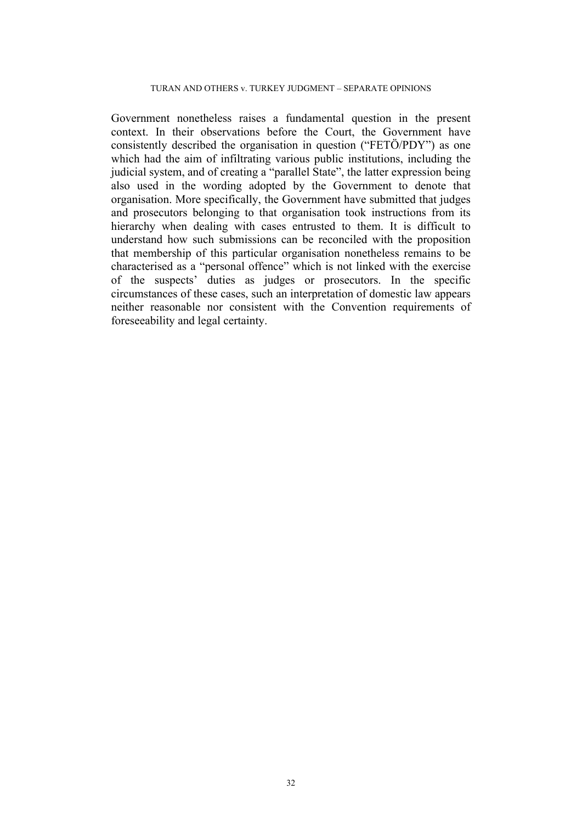### TURAN AND OTHERS v. TURKEY JUDGMENT – SEPARATE OPINIONS

Government nonetheless raises a fundamental question in the present context. In their observations before the Court, the Government have consistently described the organisation in question ("FETÖ/PDY") as one which had the aim of infiltrating various public institutions, including the judicial system, and of creating a "parallel State", the latter expression being also used in the wording adopted by the Government to denote that organisation. More specifically, the Government have submitted that judges and prosecutors belonging to that organisation took instructions from its hierarchy when dealing with cases entrusted to them. It is difficult to understand how such submissions can be reconciled with the proposition that membership of this particular organisation nonetheless remains to be characterised as a "personal offence" which is not linked with the exercise of the suspects' duties as judges or prosecutors. In the specific circumstances of these cases, such an interpretation of domestic law appears neither reasonable nor consistent with the Convention requirements of foreseeability and legal certainty.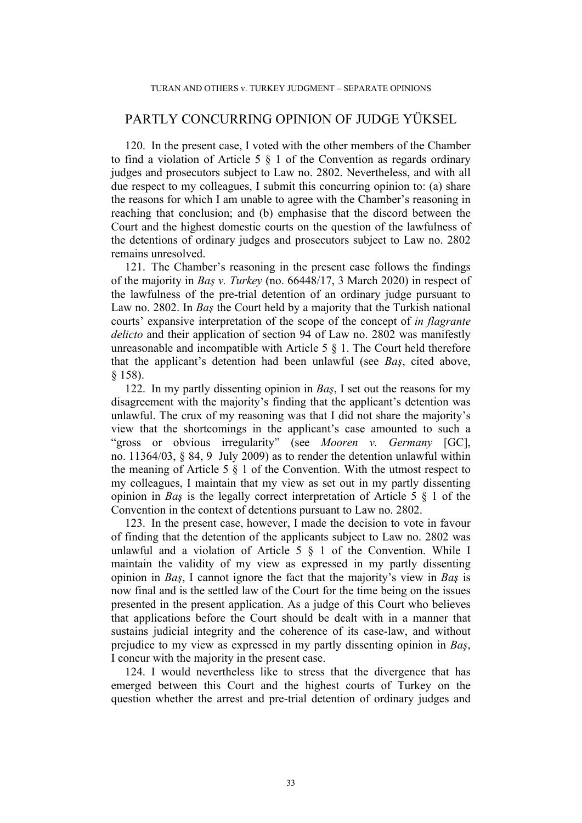# PARTLY CONCURRING OPINION OF JUDGE YÜKSEL

120. In the present case, I voted with the other members of the Chamber to find a violation of Article 5 § 1 of the Convention as regards ordinary judges and prosecutors subject to Law no. 2802. Nevertheless, and with all due respect to my colleagues, I submit this concurring opinion to: (a) share the reasons for which I am unable to agree with the Chamber's reasoning in reaching that conclusion; and (b) emphasise that the discord between the Court and the highest domestic courts on the question of the lawfulness of the detentions of ordinary judges and prosecutors subject to Law no. 2802 remains unresolved.

121. The Chamber's reasoning in the present case follows the findings of the majority in *Baş v. Turkey* (no. 66448/17, 3 March 2020) in respect of the lawfulness of the pre-trial detention of an ordinary judge pursuant to Law no. 2802. In *Baş* the Court held by a majority that the Turkish national courts' expansive interpretation of the scope of the concept of *in flagrante delicto* and their application of section 94 of Law no. 2802 was manifestly unreasonable and incompatible with Article 5 § 1. The Court held therefore that the applicant's detention had been unlawful (see *Baş*, cited above, § 158).

122. In my partly dissenting opinion in *Baş*, I set out the reasons for my disagreement with the majority's finding that the applicant's detention was unlawful. The crux of my reasoning was that I did not share the majority's view that the shortcomings in the applicant's case amounted to such a "gross or obvious irregularity" (see *Mooren v. Germany* [GC], no. 11364/03, § 84, 9 July 2009) as to render the detention unlawful within the meaning of Article 5 § 1 of the Convention. With the utmost respect to my colleagues, I maintain that my view as set out in my partly dissenting opinion in *Baş* is the legally correct interpretation of Article 5 § 1 of the Convention in the context of detentions pursuant to Law no. 2802.

123. In the present case, however, I made the decision to vote in favour of finding that the detention of the applicants subject to Law no. 2802 was unlawful and a violation of Article 5 § 1 of the Convention. While I maintain the validity of my view as expressed in my partly dissenting opinion in *Baş*, I cannot ignore the fact that the majority's view in *Baş* is now final and is the settled law of the Court for the time being on the issues presented in the present application. As a judge of this Court who believes that applications before the Court should be dealt with in a manner that sustains judicial integrity and the coherence of its case-law, and without prejudice to my view as expressed in my partly dissenting opinion in *Baş*, I concur with the majority in the present case.

124. I would nevertheless like to stress that the divergence that has emerged between this Court and the highest courts of Turkey on the question whether the arrest and pre-trial detention of ordinary judges and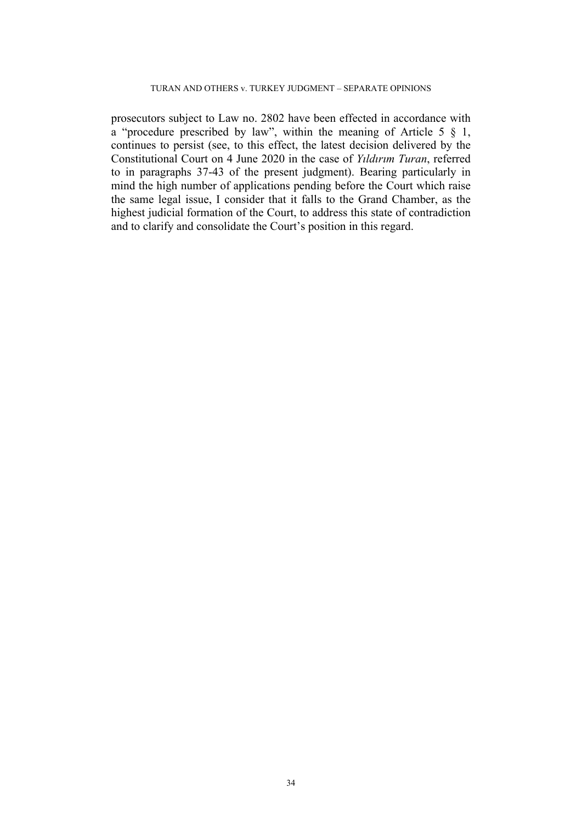### TURAN AND OTHERS v. TURKEY JUDGMENT – SEPARATE OPINIONS

prosecutors subject to Law no. 2802 have been effected in accordance with a "procedure prescribed by law", within the meaning of Article 5  $\S$  1, continues to persist (see, to this effect, the latest decision delivered by the Constitutional Court on 4 June 2020 in the case of *Yıldırım Turan*, referred to in paragraphs 37-43 of the present judgment). Bearing particularly in mind the high number of applications pending before the Court which raise the same legal issue, I consider that it falls to the Grand Chamber, as the highest judicial formation of the Court, to address this state of contradiction and to clarify and consolidate the Court's position in this regard.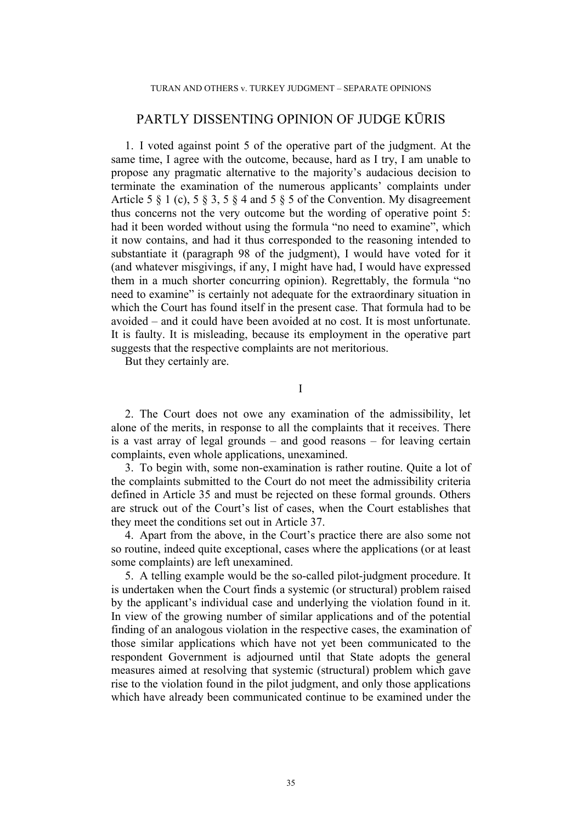# PARTLY DISSENTING OPINION OF JUDGE KŪRIS

1. I voted against point 5 of the operative part of the judgment. At the same time, I agree with the outcome, because, hard as I try, I am unable to propose any pragmatic alternative to the majority's audacious decision to terminate the examination of the numerous applicants' complaints under Article 5  $\S$  1 (c), 5  $\S$  3, 5  $\S$  4 and 5  $\S$  5 of the Convention. My disagreement thus concerns not the very outcome but the wording of operative point 5: had it been worded without using the formula "no need to examine", which it now contains, and had it thus corresponded to the reasoning intended to substantiate it (paragraph 98 of the judgment), I would have voted for it (and whatever misgivings, if any, I might have had, I would have expressed them in a much shorter concurring opinion). Regrettably, the formula "no need to examine" is certainly not adequate for the extraordinary situation in which the Court has found itself in the present case. That formula had to be avoided – and it could have been avoided at no cost. It is most unfortunate. It is faulty. It is misleading, because its employment in the operative part suggests that the respective complaints are not meritorious.

But they certainly are.

I

2. The Court does not owe any examination of the admissibility, let alone of the merits, in response to all the complaints that it receives. There is a vast array of legal grounds – and good reasons – for leaving certain complaints, even whole applications, unexamined.

3. To begin with, some non-examination is rather routine. Quite a lot of the complaints submitted to the Court do not meet the admissibility criteria defined in Article 35 and must be rejected on these formal grounds. Others are struck out of the Court's list of cases, when the Court establishes that they meet the conditions set out in Article 37.

4. Apart from the above, in the Court's practice there are also some not so routine, indeed quite exceptional, cases where the applications (or at least some complaints) are left unexamined.

5. A telling example would be the so-called pilot-judgment procedure. It is undertaken when the Court finds a systemic (or structural) problem raised by the applicant's individual case and underlying the violation found in it. In view of the growing number of similar applications and of the potential finding of an analogous violation in the respective cases, the examination of those similar applications which have not yet been communicated to the respondent Government is adjourned until that State adopts the general measures aimed at resolving that systemic (structural) problem which gave rise to the violation found in the pilot judgment, and only those applications which have already been communicated continue to be examined under the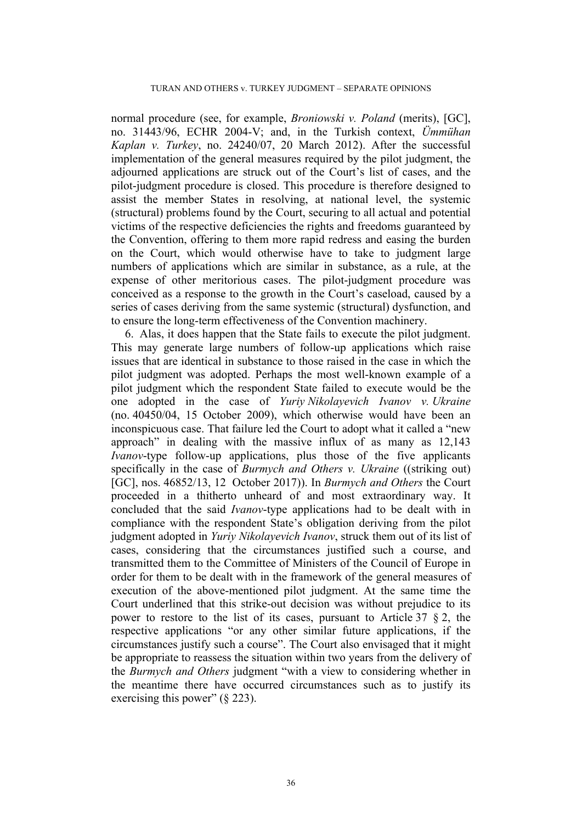normal procedure (see, for example, *Broniowski v. Poland* (merits), [GC], no. 31443/96, ECHR 2004-V; and, in the Turkish context, *Ümmühan Kaplan v. Turkey*, no. 24240/07, 20 March 2012). After the successful implementation of the general measures required by the pilot judgment, the adjourned applications are struck out of the Court's list of cases, and the pilot-judgment procedure is closed. This procedure is therefore designed to assist the member States in resolving, at national level, the systemic (structural) problems found by the Court, securing to all actual and potential victims of the respective deficiencies the rights and freedoms guaranteed by the Convention, offering to them more rapid redress and easing the burden on the Court, which would otherwise have to take to judgment large numbers of applications which are similar in substance, as a rule, at the expense of other meritorious cases. The pilot-judgment procedure was conceived as a response to the growth in the Court's caseload, caused by a series of cases deriving from the same systemic (structural) dysfunction, and to ensure the long-term effectiveness of the Convention machinery.

6. Alas, it does happen that the State fails to execute the pilot judgment. This may generate large numbers of follow-up applications which raise issues that are identical in substance to those raised in the case in which the pilot judgment was adopted. Perhaps the most well-known example of a pilot judgment which the respondent State failed to execute would be the one adopted in the case of *Yuriy Nikolayevich Ivanov v. Ukraine* (no. 40450/04, 15 October 2009), which otherwise would have been an inconspicuous case. That failure led the Court to adopt what it called a "new approach" in dealing with the massive influx of as many as 12,143 *Ivanov*-type follow-up applications, plus those of the five applicants specifically in the case of *Burmych and Others v. Ukraine* ((striking out) [GC], nos. 46852/13, 12 October 2017)). In *Burmych and Others* the Court proceeded in a thitherto unheard of and most extraordinary way. It concluded that the said *Ivanov*-type applications had to be dealt with in compliance with the respondent State's obligation deriving from the pilot judgment adopted in *Yuriy Nikolayevich Ivanov*, struck them out of its list of cases, considering that the circumstances justified such a course, and transmitted them to the Committee of Ministers of the Council of Europe in order for them to be dealt with in the framework of the general measures of execution of the above-mentioned pilot judgment. At the same time the Court underlined that this strike-out decision was without prejudice to its power to restore to the list of its cases, pursuant to Article  $37 \& 2$ , the respective applications "or any other similar future applications, if the circumstances justify such a course". The Court also envisaged that it might be appropriate to reassess the situation within two years from the delivery of the *Burmych and Others* judgment "with a view to considering whether in the meantime there have occurred circumstances such as to justify its exercising this power" (§ 223).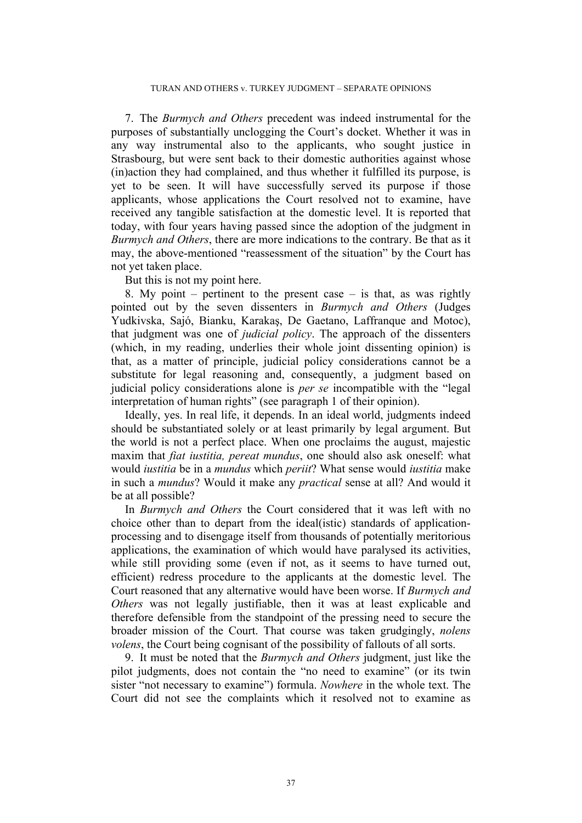#### TURAN AND OTHERS v. TURKEY JUDGMENT – SEPARATE OPINIONS

7. The *Burmych and Others* precedent was indeed instrumental for the purposes of substantially unclogging the Court's docket. Whether it was in any way instrumental also to the applicants, who sought justice in Strasbourg, but were sent back to their domestic authorities against whose (in)action they had complained, and thus whether it fulfilled its purpose, is yet to be seen. It will have successfully served its purpose if those applicants, whose applications the Court resolved not to examine, have received any tangible satisfaction at the domestic level. It is reported that today, with four years having passed since the adoption of the judgment in *Burmych and Others*, there are more indications to the contrary. Be that as it may, the above-mentioned "reassessment of the situation" by the Court has not yet taken place.

But this is not my point here.

8. My point – pertinent to the present case – is that, as was rightly pointed out by the seven dissenters in *Burmych and Others* (Judges Yudkivska, Sajó, Bianku, Karakaş, De Gaetano, Laffranque and Motoc), that judgment was one of *judicial policy*. The approach of the dissenters (which, in my reading, underlies their whole joint dissenting opinion) is that, as a matter of principle, judicial policy considerations cannot be a substitute for legal reasoning and, consequently, a judgment based on judicial policy considerations alone is *per se* incompatible with the "legal interpretation of human rights" (see paragraph 1 of their opinion).

Ideally, yes. In real life, it depends. In an ideal world, judgments indeed should be substantiated solely or at least primarily by legal argument. But the world is not a perfect place. When one proclaims the august, majestic maxim that *fiat iustitia, pereat mundus*, one should also ask oneself: what would *iustitia* be in a *mundus* which *periit*? What sense would *iustitia* make in such a *mundus*? Would it make any *practical* sense at all? And would it be at all possible?

In *Burmych and Others* the Court considered that it was left with no choice other than to depart from the ideal(istic) standards of applicationprocessing and to disengage itself from thousands of potentially meritorious applications, the examination of which would have paralysed its activities, while still providing some (even if not, as it seems to have turned out, efficient) redress procedure to the applicants at the domestic level. The Court reasoned that any alternative would have been worse. If *Burmych and Others* was not legally justifiable, then it was at least explicable and therefore defensible from the standpoint of the pressing need to secure the broader mission of the Court. That course was taken grudgingly, *nolens volens*, the Court being cognisant of the possibility of fallouts of all sorts.

9. It must be noted that the *Burmych and Others* judgment, just like the pilot judgments, does not contain the "no need to examine" (or its twin sister "not necessary to examine") formula. *Nowhere* in the whole text. The Court did not see the complaints which it resolved not to examine as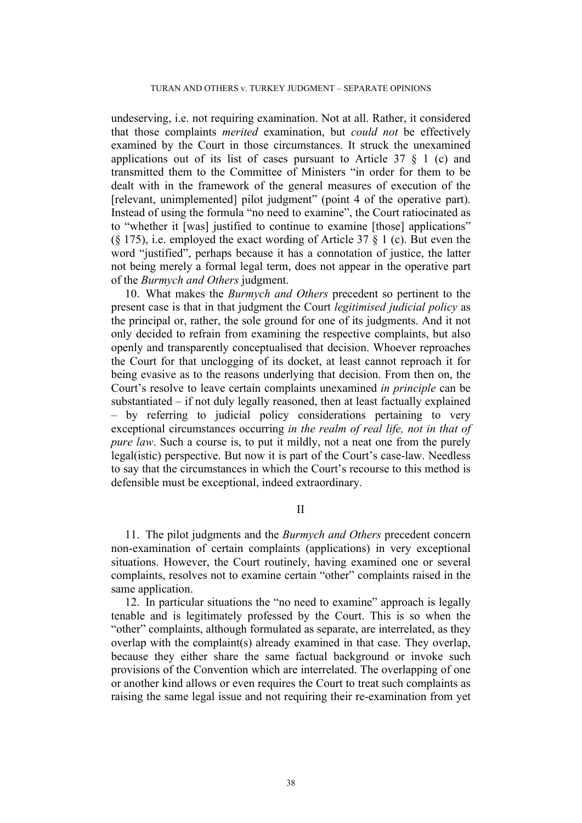undeserving, i.e. not requiring examination. Not at all. Rather, it considered that those complaints *merited* examination, but *could not* be effectively examined by the Court in those circumstances. It struck the unexamined applications out of its list of cases pursuant to Article  $37 \& 1$  (c) and transmitted them to the Committee of Ministers "in order for them to be dealt with in the framework of the general measures of execution of the [relevant, unimplemented] pilot judgment" (point 4 of the operative part). Instead of using the formula "no need to examine", the Court ratiocinated as to "whether it [was] justified to continue to examine [those] applications"  $(\S 175)$ , i.e. employed the exact wording of Article 37  $\S 1$  (c). But even the word "justified", perhaps because it has a connotation of justice, the latter not being merely a formal legal term, does not appear in the operative part of the *Burmych and Others* judgment.

10. What makes the *Burmych and Others* precedent so pertinent to the present case is that in that judgment the Court *legitimised judicial policy* as the principal or, rather, the sole ground for one of its judgments. And it not only decided to refrain from examining the respective complaints, but also openly and transparently conceptualised that decision. Whoever reproaches the Court for that unclogging of its docket, at least cannot reproach it for being evasive as to the reasons underlying that decision. From then on, the Court's resolve to leave certain complaints unexamined *in principle* can be substantiated – if not duly legally reasoned, then at least factually explained – by referring to judicial policy considerations pertaining to very exceptional circumstances occurring *in the realm of real life, not in that of pure law*. Such a course is, to put it mildly, not a neat one from the purely legal(istic) perspective. But now it is part of the Court's case-law. Needless to say that the circumstances in which the Court's recourse to this method is defensible must be exceptional, indeed extraordinary.

II

11. The pilot judgments and the *Burmych and Others* precedent concern non-examination of certain complaints (applications) in very exceptional situations. However, the Court routinely, having examined one or several complaints, resolves not to examine certain "other" complaints raised in the same application.

12. In particular situations the "no need to examine" approach is legally tenable and is legitimately professed by the Court. This is so when the "other" complaints, although formulated as separate, are interrelated, as they overlap with the complaint(s) already examined in that case. They overlap, because they either share the same factual background or invoke such provisions of the Convention which are interrelated. The overlapping of one or another kind allows or even requires the Court to treat such complaints as raising the same legal issue and not requiring their re-examination from yet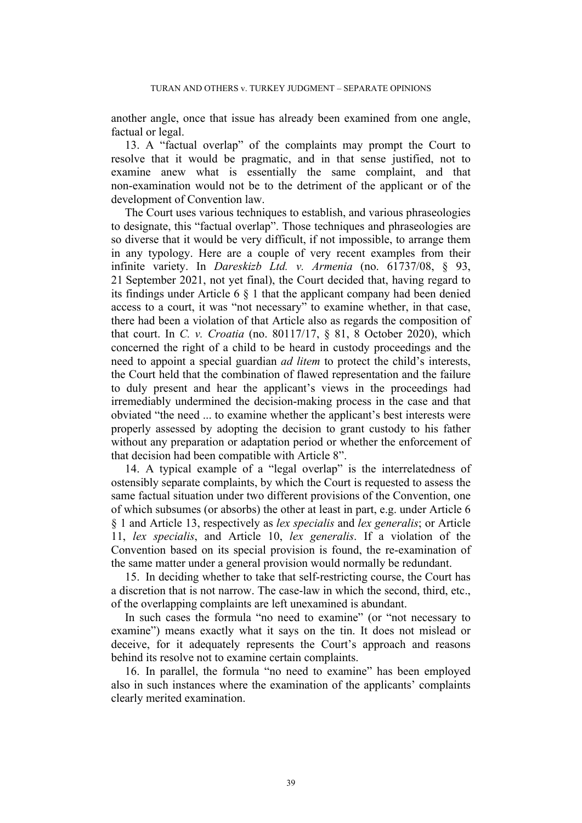another angle, once that issue has already been examined from one angle, factual or legal.

13. A "factual overlap" of the complaints may prompt the Court to resolve that it would be pragmatic, and in that sense justified, not to examine anew what is essentially the same complaint, and that non-examination would not be to the detriment of the applicant or of the development of Convention law.

The Court uses various techniques to establish, and various phraseologies to designate, this "factual overlap". Those techniques and phraseologies are so diverse that it would be very difficult, if not impossible, to arrange them in any typology. Here are a couple of very recent examples from their infinite variety. In *Dareskizb Ltd. v. Armenia* (no. 61737/08, § 93, 21 September 2021, not yet final), the Court decided that, having regard to its findings under Article 6 § 1 that the applicant company had been denied access to a court, it was "not necessary" to examine whether, in that case, there had been a violation of that Article also as regards the composition of that court. In *C. v. Croatia* (no. 80117/17, § 81, 8 October 2020), which concerned the right of a child to be heard in custody proceedings and the need to appoint a special guardian *ad litem* to protect the child's interests, the Court held that the combination of flawed representation and the failure to duly present and hear the applicant's views in the proceedings had irremediably undermined the decision-making process in the case and that obviated "the need ... to examine whether the applicant's best interests were properly assessed by adopting the decision to grant custody to his father without any preparation or adaptation period or whether the enforcement of that decision had been compatible with Article 8".

14. A typical example of a "legal overlap" is the interrelatedness of ostensibly separate complaints, by which the Court is requested to assess the same factual situation under two different provisions of the Convention, one of which subsumes (or absorbs) the other at least in part, e.g. under Article 6 § 1 and Article 13, respectively as *lex specialis* and *lex generalis*; or Article 11, *lex specialis*, and Article 10, *lex generalis*. If a violation of the Convention based on its special provision is found, the re-examination of the same matter under a general provision would normally be redundant.

15. In deciding whether to take that self-restricting course, the Court has a discretion that is not narrow. The case-law in which the second, third, etc., of the overlapping complaints are left unexamined is abundant.

In such cases the formula "no need to examine" (or "not necessary to examine") means exactly what it says on the tin. It does not mislead or deceive, for it adequately represents the Court's approach and reasons behind its resolve not to examine certain complaints.

16. In parallel, the formula "no need to examine" has been employed also in such instances where the examination of the applicants' complaints clearly merited examination.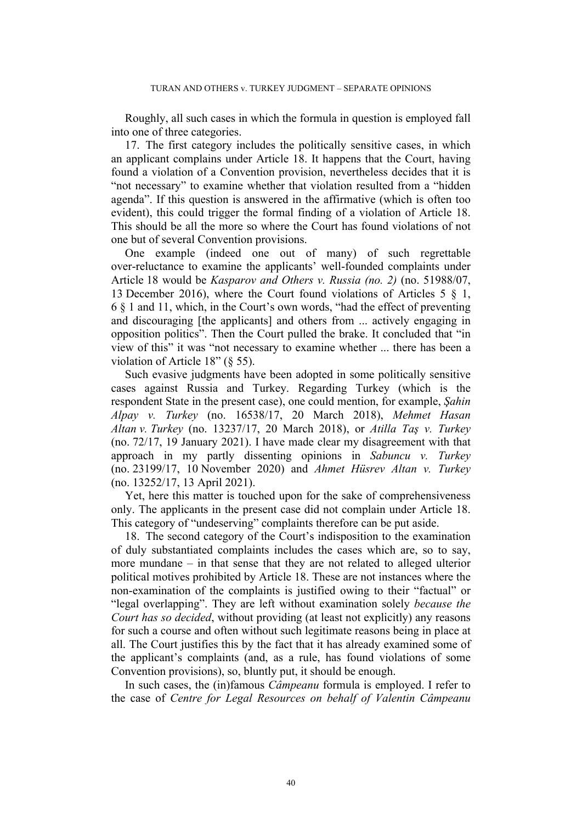Roughly, all such cases in which the formula in question is employed fall into one of three categories.

17. The first category includes the politically sensitive cases, in which an applicant complains under Article 18. It happens that the Court, having found a violation of a Convention provision, nevertheless decides that it is "not necessary" to examine whether that violation resulted from a "hidden agenda". If this question is answered in the affirmative (which is often too evident), this could trigger the formal finding of a violation of Article 18. This should be all the more so where the Court has found violations of not one but of several Convention provisions.

One example (indeed one out of many) of such regrettable over-reluctance to examine the applicants' well-founded complaints under Article 18 would be *Kasparov and Others v. Russia (no. 2)* (no. 51988/07, 13 December 2016), where the Court found violations of Articles 5 § 1, 6 § 1 and 11, which, in the Court's own words, "had the effect of preventing and discouraging [the applicants] and others from ... actively engaging in opposition politics". Then the Court pulled the brake. It concluded that "in view of this" it was "not necessary to examine whether ... there has been a violation of Article 18" (§ 55).

Such evasive judgments have been adopted in some politically sensitive cases against Russia and Turkey. Regarding Turkey (which is the respondent State in the present case), one could mention, for example, *Şahin Alpay v. Turkey* (no. 16538/17, 20 March 2018), *Mehmet Hasan Altan v. Turkey* (no. 13237/17, 20 March 2018), or *Atilla Taş v. Turkey* (no. 72/17, 19 January 2021). I have made clear my disagreement with that approach in my partly dissenting opinions in *Sabuncu v. Turkey* (no. 23199/17, 10 November 2020) and *Ahmet Hüsrev Altan v. Turkey* (no. 13252/17, 13 April 2021).

Yet, here this matter is touched upon for the sake of comprehensiveness only. The applicants in the present case did not complain under Article 18. This category of "undeserving" complaints therefore can be put aside.

18. The second category of the Court's indisposition to the examination of duly substantiated complaints includes the cases which are, so to say, more mundane – in that sense that they are not related to alleged ulterior political motives prohibited by Article 18. These are not instances where the non-examination of the complaints is justified owing to their "factual" or "legal overlapping". They are left without examination solely *because the Court has so decided*, without providing (at least not explicitly) any reasons for such a course and often without such legitimate reasons being in place at all. The Court justifies this by the fact that it has already examined some of the applicant's complaints (and, as a rule, has found violations of some Convention provisions), so, bluntly put, it should be enough.

In such cases, the (in)famous *Câmpeanu* formula is employed. I refer to the case of *Centre for Legal Resources on behalf of Valentin Câmpeanu*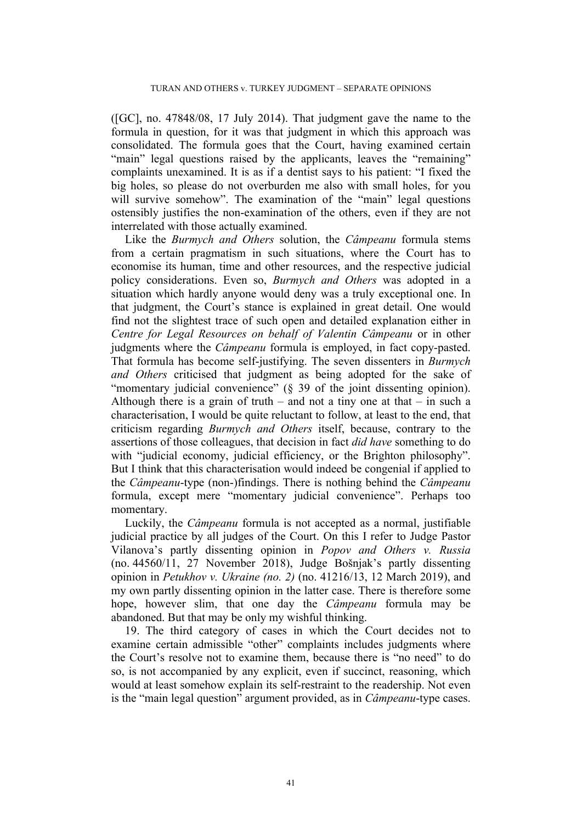([GC], no. 47848/08, 17 July 2014). That judgment gave the name to the formula in question, for it was that judgment in which this approach was consolidated. The formula goes that the Court, having examined certain "main" legal questions raised by the applicants, leaves the "remaining" complaints unexamined. It is as if a dentist says to his patient: "I fixed the big holes, so please do not overburden me also with small holes, for you will survive somehow". The examination of the "main" legal questions ostensibly justifies the non-examination of the others, even if they are not interrelated with those actually examined.

Like the *Burmych and Others* solution, the *Câmpeanu* formula stems from a certain pragmatism in such situations, where the Court has to economise its human, time and other resources, and the respective judicial policy considerations. Even so, *Burmych and Others* was adopted in a situation which hardly anyone would deny was a truly exceptional one. In that judgment, the Court's stance is explained in great detail. One would find not the slightest trace of such open and detailed explanation either in *Centre for Legal Resources on behalf of Valentin Câmpeanu* or in other judgments where the *Câmpeanu* formula is employed, in fact copy-pasted. That formula has become self-justifying. The seven dissenters in *Burmych and Others* criticised that judgment as being adopted for the sake of "momentary judicial convenience" (§ 39 of the joint dissenting opinion). Although there is a grain of truth – and not a tiny one at that – in such a characterisation, I would be quite reluctant to follow, at least to the end, that criticism regarding *Burmych and Others* itself, because, contrary to the assertions of those colleagues, that decision in fact *did have* something to do with "judicial economy, judicial efficiency, or the Brighton philosophy". But I think that this characterisation would indeed be congenial if applied to the *Câmpeanu*-type (non-)findings. There is nothing behind the *Câmpeanu* formula, except mere "momentary judicial convenience". Perhaps too momentary.

Luckily, the *Câmpeanu* formula is not accepted as a normal, justifiable judicial practice by all judges of the Court. On this I refer to Judge Pastor Vilanova's partly dissenting opinion in *Popov and Others v. Russia* (no. 44560/11, 27 November 2018), Judge Bošnjak's partly dissenting opinion in *Petukhov v. Ukraine (no. 2)* (no. 41216/13, 12 March 2019), and my own partly dissenting opinion in the latter case. There is therefore some hope, however slim, that one day the *Câmpeanu* formula may be abandoned. But that may be only my wishful thinking.

19. The third category of cases in which the Court decides not to examine certain admissible "other" complaints includes judgments where the Court's resolve not to examine them, because there is "no need" to do so, is not accompanied by any explicit, even if succinct, reasoning, which would at least somehow explain its self-restraint to the readership. Not even is the "main legal question" argument provided, as in *Câmpeanu*-type cases.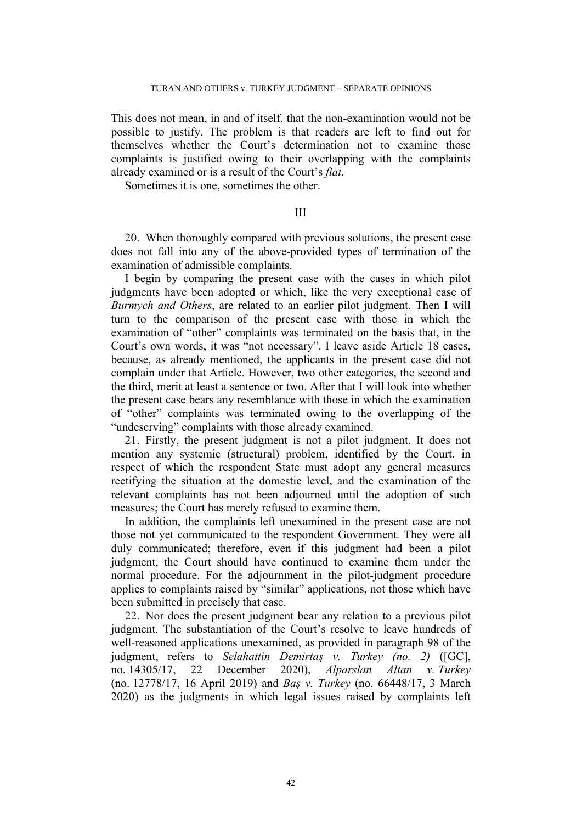This does not mean, in and of itself, that the non-examination would not be possible to justify. The problem is that readers are left to find out for themselves whether the Court's determination not to examine those complaints is justified owing to their overlapping with the complaints already examined or is a result of the Court's *fiat*.

Sometimes it is one, sometimes the other.

#### III

20. When thoroughly compared with previous solutions, the present case does not fall into any of the above-provided types of termination of the examination of admissible complaints.

I begin by comparing the present case with the cases in which pilot judgments have been adopted or which, like the very exceptional case of *Burmych and Others*, are related to an earlier pilot judgment. Then I will turn to the comparison of the present case with those in which the examination of "other" complaints was terminated on the basis that, in the Court's own words, it was "not necessary". I leave aside Article 18 cases, because, as already mentioned, the applicants in the present case did not complain under that Article. However, two other categories, the second and the third, merit at least a sentence or two. After that I will look into whether the present case bears any resemblance with those in which the examination of "other" complaints was terminated owing to the overlapping of the "undeserving" complaints with those already examined.

21. Firstly, the present judgment is not a pilot judgment. It does not mention any systemic (structural) problem, identified by the Court, in respect of which the respondent State must adopt any general measures rectifying the situation at the domestic level, and the examination of the relevant complaints has not been adjourned until the adoption of such measures; the Court has merely refused to examine them.

In addition, the complaints left unexamined in the present case are not those not yet communicated to the respondent Government. They were all duly communicated; therefore, even if this judgment had been a pilot judgment, the Court should have continued to examine them under the normal procedure. For the adjournment in the pilot-judgment procedure applies to complaints raised by "similar" applications, not those which have been submitted in precisely that case.

22. Nor does the present judgment bear any relation to a previous pilot judgment. The substantiation of the Court's resolve to leave hundreds of well-reasoned applications unexamined, as provided in paragraph 98 of the judgment, refers to *Selahattin Demirtaş v. Turkey (no. 2)* ([GC], no. 14305/17, 22 December 2020), *Alparslan Altan v. Turkey* (no. 12778/17, 16 April 2019) and *Baş v. Turkey* (no. 66448/17, 3 March 2020) as the judgments in which legal issues raised by complaints left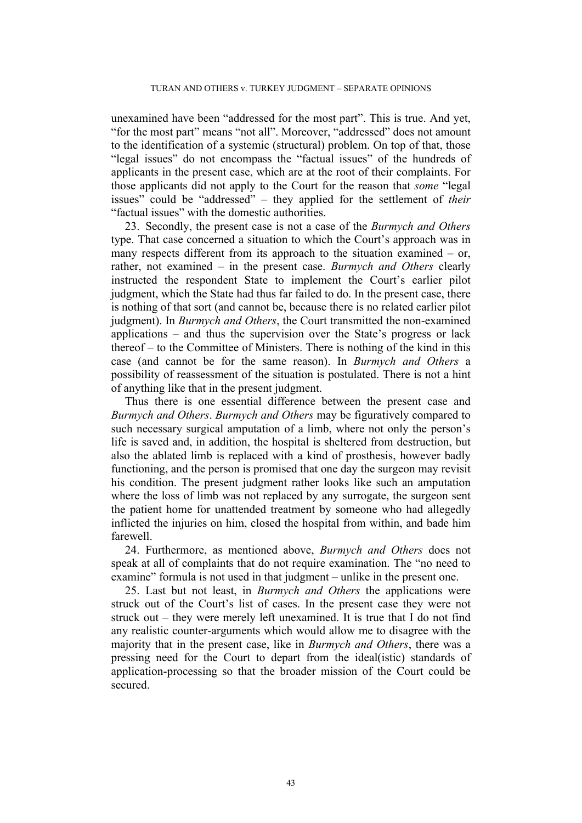unexamined have been "addressed for the most part". This is true. And yet, "for the most part" means "not all". Moreover, "addressed" does not amount to the identification of a systemic (structural) problem. On top of that, those "legal issues" do not encompass the "factual issues" of the hundreds of applicants in the present case, which are at the root of their complaints. For those applicants did not apply to the Court for the reason that *some* "legal issues" could be "addressed" – they applied for the settlement of *their* "factual issues" with the domestic authorities.

23. Secondly, the present case is not a case of the *Burmych and Others* type. That case concerned a situation to which the Court's approach was in many respects different from its approach to the situation examined  $-$  or, rather, not examined – in the present case. *Burmych and Others* clearly instructed the respondent State to implement the Court's earlier pilot judgment, which the State had thus far failed to do. In the present case, there is nothing of that sort (and cannot be, because there is no related earlier pilot judgment). In *Burmych and Others*, the Court transmitted the non-examined applications – and thus the supervision over the State's progress or lack thereof – to the Committee of Ministers. There is nothing of the kind in this case (and cannot be for the same reason). In *Burmych and Others* a possibility of reassessment of the situation is postulated. There is not a hint of anything like that in the present judgment.

Thus there is one essential difference between the present case and *Burmych and Others*. *Burmych and Others* may be figuratively compared to such necessary surgical amputation of a limb, where not only the person's life is saved and, in addition, the hospital is sheltered from destruction, but also the ablated limb is replaced with a kind of prosthesis, however badly functioning, and the person is promised that one day the surgeon may revisit his condition. The present judgment rather looks like such an amputation where the loss of limb was not replaced by any surrogate, the surgeon sent the patient home for unattended treatment by someone who had allegedly inflicted the injuries on him, closed the hospital from within, and bade him farewell.

24. Furthermore, as mentioned above, *Burmych and Others* does not speak at all of complaints that do not require examination. The "no need to examine" formula is not used in that judgment – unlike in the present one.

25. Last but not least, in *Burmych and Others* the applications were struck out of the Court's list of cases. In the present case they were not struck out – they were merely left unexamined. It is true that I do not find any realistic counter-arguments which would allow me to disagree with the majority that in the present case, like in *Burmych and Others*, there was a pressing need for the Court to depart from the ideal(istic) standards of application-processing so that the broader mission of the Court could be secured.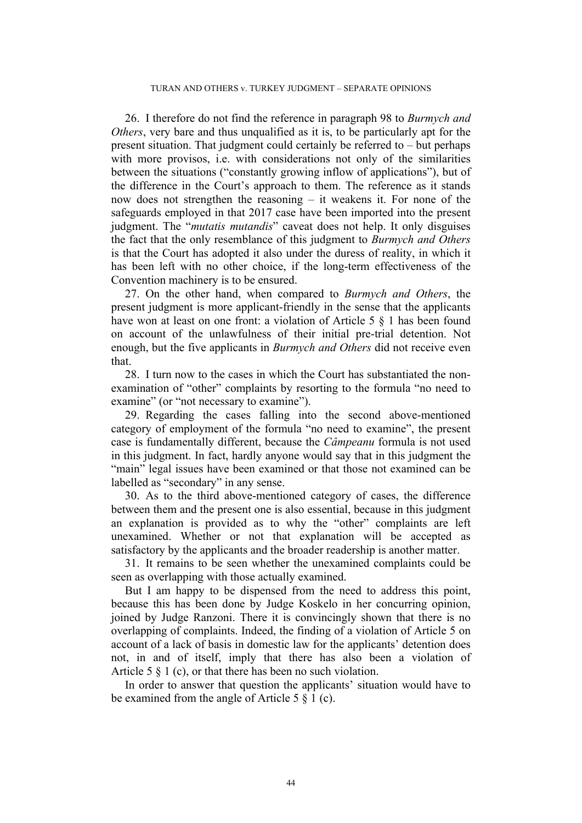26. I therefore do not find the reference in paragraph 98 to *Burmych and Others*, very bare and thus unqualified as it is, to be particularly apt for the present situation. That judgment could certainly be referred to – but perhaps with more provisos, i.e. with considerations not only of the similarities between the situations ("constantly growing inflow of applications"), but of the difference in the Court's approach to them. The reference as it stands now does not strengthen the reasoning – it weakens it. For none of the safeguards employed in that 2017 case have been imported into the present judgment. The "*mutatis mutandis*" caveat does not help. It only disguises the fact that the only resemblance of this judgment to *Burmych and Others* is that the Court has adopted it also under the duress of reality, in which it has been left with no other choice, if the long-term effectiveness of the Convention machinery is to be ensured.

27. On the other hand, when compared to *Burmych and Others*, the present judgment is more applicant-friendly in the sense that the applicants have won at least on one front: a violation of Article 5  $\S$  1 has been found on account of the unlawfulness of their initial pre-trial detention. Not enough, but the five applicants in *Burmych and Others* did not receive even that.

28. I turn now to the cases in which the Court has substantiated the nonexamination of "other" complaints by resorting to the formula "no need to examine" (or "not necessary to examine").

29. Regarding the cases falling into the second above-mentioned category of employment of the formula "no need to examine", the present case is fundamentally different, because the *Câmpeanu* formula is not used in this judgment. In fact, hardly anyone would say that in this judgment the "main" legal issues have been examined or that those not examined can be labelled as "secondary" in any sense.

30. As to the third above-mentioned category of cases, the difference between them and the present one is also essential, because in this judgment an explanation is provided as to why the "other" complaints are left unexamined. Whether or not that explanation will be accepted as satisfactory by the applicants and the broader readership is another matter.

31. It remains to be seen whether the unexamined complaints could be seen as overlapping with those actually examined.

But I am happy to be dispensed from the need to address this point, because this has been done by Judge Koskelo in her concurring opinion, joined by Judge Ranzoni. There it is convincingly shown that there is no overlapping of complaints. Indeed, the finding of a violation of Article 5 on account of a lack of basis in domestic law for the applicants' detention does not, in and of itself, imply that there has also been a violation of Article 5 § 1 (c), or that there has been no such violation.

In order to answer that question the applicants' situation would have to be examined from the angle of Article 5 § 1 (c).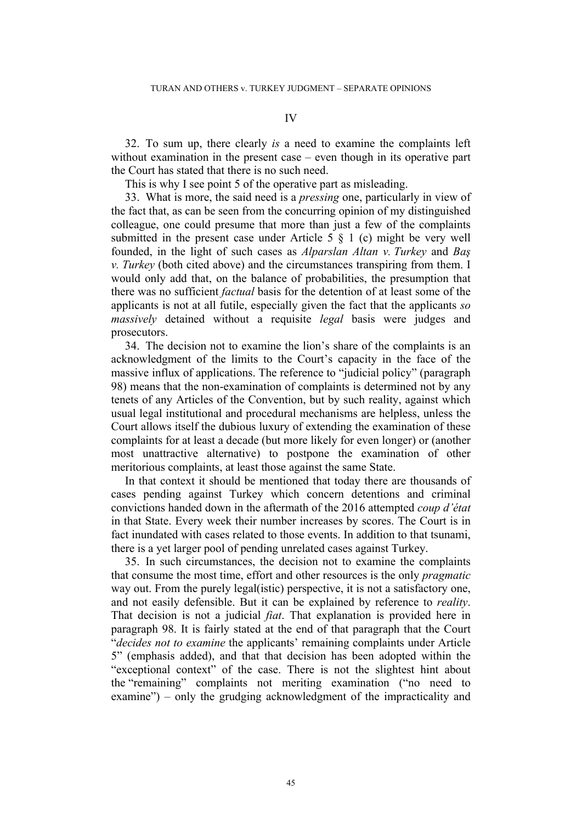32. To sum up, there clearly *is* a need to examine the complaints left without examination in the present case – even though in its operative part the Court has stated that there is no such need.

This is why I see point 5 of the operative part as misleading.

33. What is more, the said need is a *pressing* one, particularly in view of the fact that, as can be seen from the concurring opinion of my distinguished colleague, one could presume that more than just a few of the complaints submitted in the present case under Article 5 § 1 (c) might be very well founded, in the light of such cases as *Alparslan Altan v. Turkey* and *Baş v. Turkey* (both cited above) and the circumstances transpiring from them. I would only add that, on the balance of probabilities, the presumption that there was no sufficient *factual* basis for the detention of at least some of the applicants is not at all futile, especially given the fact that the applicants *so massively* detained without a requisite *legal* basis were judges and prosecutors.

34. The decision not to examine the lion's share of the complaints is an acknowledgment of the limits to the Court's capacity in the face of the massive influx of applications. The reference to "judicial policy" (paragraph 98) means that the non-examination of complaints is determined not by any tenets of any Articles of the Convention, but by such reality, against which usual legal institutional and procedural mechanisms are helpless, unless the Court allows itself the dubious luxury of extending the examination of these complaints for at least a decade (but more likely for even longer) or (another most unattractive alternative) to postpone the examination of other meritorious complaints, at least those against the same State.

In that context it should be mentioned that today there are thousands of cases pending against Turkey which concern detentions and criminal convictions handed down in the aftermath of the 2016 attempted *coup d'état* in that State. Every week their number increases by scores. The Court is in fact inundated with cases related to those events. In addition to that tsunami, there is a yet larger pool of pending unrelated cases against Turkey.

35. In such circumstances, the decision not to examine the complaints that consume the most time, effort and other resources is the only *pragmatic* way out. From the purely legal(istic) perspective, it is not a satisfactory one, and not easily defensible. But it can be explained by reference to *reality*. That decision is not a judicial *fiat*. That explanation is provided here in paragraph 98. It is fairly stated at the end of that paragraph that the Court "*decides not to examine* the applicants' remaining complaints under Article 5" (emphasis added), and that that decision has been adopted within the "exceptional context" of the case. There is not the slightest hint about the "remaining" complaints not meriting examination ("no need to examine") – only the grudging acknowledgment of the impracticality and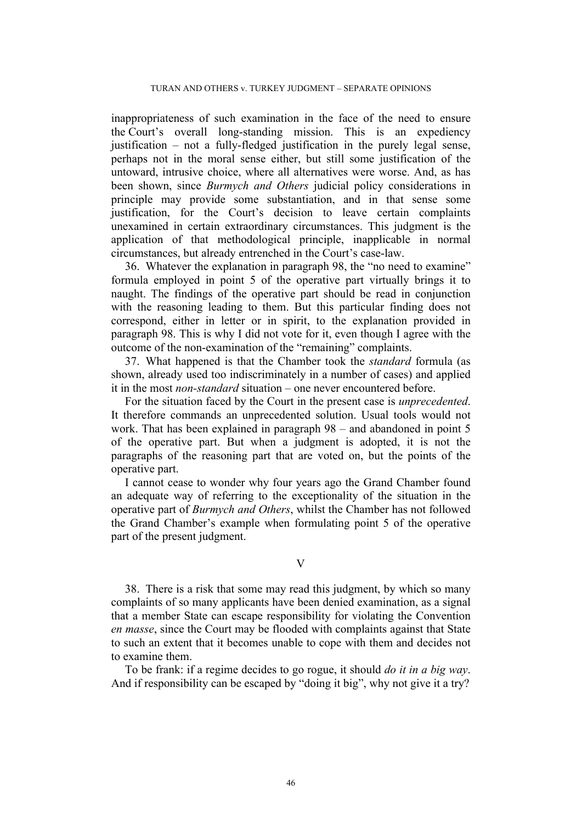inappropriateness of such examination in the face of the need to ensure the Court's overall long-standing mission. This is an expediency justification – not a fully-fledged justification in the purely legal sense, perhaps not in the moral sense either, but still some justification of the untoward, intrusive choice, where all alternatives were worse. And, as has been shown, since *Burmych and Others* judicial policy considerations in principle may provide some substantiation, and in that sense some justification, for the Court's decision to leave certain complaints unexamined in certain extraordinary circumstances. This judgment is the application of that methodological principle, inapplicable in normal circumstances, but already entrenched in the Court's case-law.

36. Whatever the explanation in paragraph 98, the "no need to examine" formula employed in point 5 of the operative part virtually brings it to naught. The findings of the operative part should be read in conjunction with the reasoning leading to them. But this particular finding does not correspond, either in letter or in spirit, to the explanation provided in paragraph 98. This is why I did not vote for it, even though I agree with the outcome of the non-examination of the "remaining" complaints.

37. What happened is that the Chamber took the *standard* formula (as shown, already used too indiscriminately in a number of cases) and applied it in the most *non-standard* situation – one never encountered before.

For the situation faced by the Court in the present case is *unprecedented*. It therefore commands an unprecedented solution. Usual tools would not work. That has been explained in paragraph 98 – and abandoned in point 5 of the operative part. But when a judgment is adopted, it is not the paragraphs of the reasoning part that are voted on, but the points of the operative part.

I cannot cease to wonder why four years ago the Grand Chamber found an adequate way of referring to the exceptionality of the situation in the operative part of *Burmych and Others*, whilst the Chamber has not followed the Grand Chamber's example when formulating point 5 of the operative part of the present judgment.

#### V

38. There is a risk that some may read this judgment, by which so many complaints of so many applicants have been denied examination, as a signal that a member State can escape responsibility for violating the Convention *en masse*, since the Court may be flooded with complaints against that State to such an extent that it becomes unable to cope with them and decides not to examine them.

To be frank: if a regime decides to go rogue, it should *do it in a big way*. And if responsibility can be escaped by "doing it big", why not give it a try?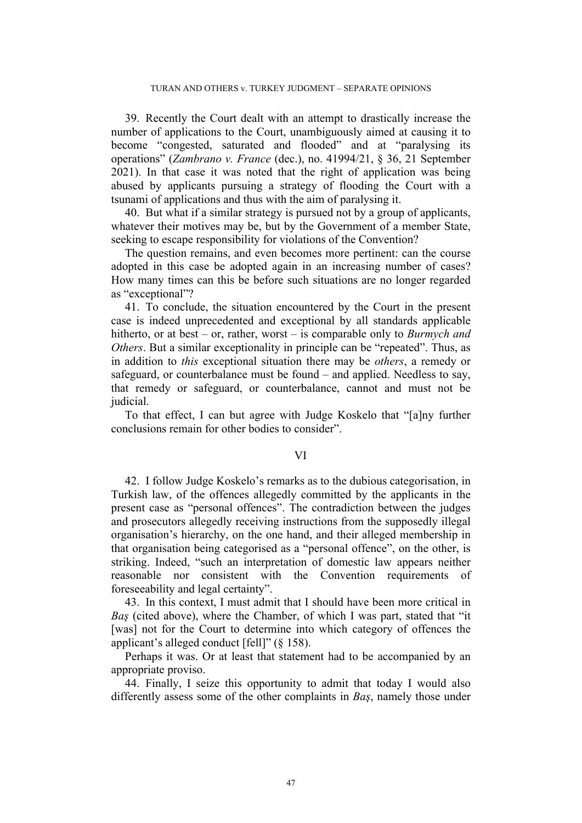39. Recently the Court dealt with an attempt to drastically increase the number of applications to the Court, unambiguously aimed at causing it to become "congested, saturated and flooded" and at "paralysing its operations" (*Zambrano v. France* (dec.), no. 41994/21, § 36, 21 September 2021). In that case it was noted that the right of application was being abused by applicants pursuing a strategy of flooding the Court with a tsunami of applications and thus with the aim of paralysing it.

40. But what if a similar strategy is pursued not by a group of applicants, whatever their motives may be, but by the Government of a member State, seeking to escape responsibility for violations of the Convention?

The question remains, and even becomes more pertinent: can the course adopted in this case be adopted again in an increasing number of cases? How many times can this be before such situations are no longer regarded as "exceptional"?

41. To conclude, the situation encountered by the Court in the present case is indeed unprecedented and exceptional by all standards applicable hitherto, or at best – or, rather, worst – is comparable only to *Burmych and Others*. But a similar exceptionality in principle can be "repeated". Thus, as in addition to *this* exceptional situation there may be *others*, a remedy or safeguard, or counterbalance must be found – and applied. Needless to say, that remedy or safeguard, or counterbalance, cannot and must not be judicial.

To that effect, I can but agree with Judge Koskelo that "[a]ny further conclusions remain for other bodies to consider".

# VI

42. I follow Judge Koskelo's remarks as to the dubious categorisation, in Turkish law, of the offences allegedly committed by the applicants in the present case as "personal offences". The contradiction between the judges and prosecutors allegedly receiving instructions from the supposedly illegal organisation's hierarchy, on the one hand, and their alleged membership in that organisation being categorised as a "personal offence", on the other, is striking. Indeed, "such an interpretation of domestic law appears neither reasonable nor consistent with the Convention requirements of foreseeability and legal certainty".

43. In this context, I must admit that I should have been more critical in *Baş* (cited above), where the Chamber, of which I was part, stated that "it [was] not for the Court to determine into which category of offences the applicant's alleged conduct [fell]" (§ 158).

Perhaps it was. Or at least that statement had to be accompanied by an appropriate proviso.

44. Finally, I seize this opportunity to admit that today I would also differently assess some of the other complaints in *Baş*, namely those under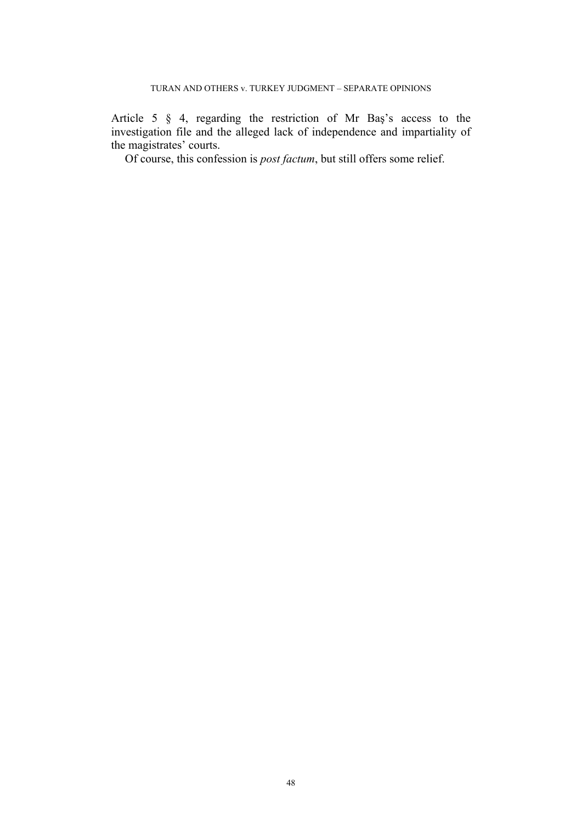Article 5 § 4, regarding the restriction of Mr Baş's access to the investigation file and the alleged lack of independence and impartiality of the magistrates' courts.

Of course, this confession is *post factum*, but still offers some relief.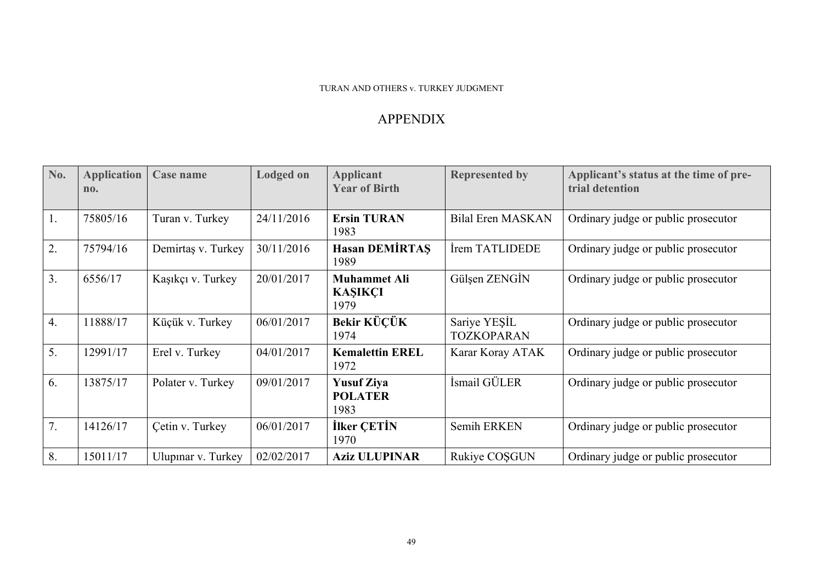# APPENDIX

| No.              | <b>Application</b><br>no. | Case name          | <b>Lodged on</b> | <b>Applicant</b><br><b>Year of Birth</b>      | <b>Represented by</b>             | Applicant's status at the time of pre-<br>trial detention |
|------------------|---------------------------|--------------------|------------------|-----------------------------------------------|-----------------------------------|-----------------------------------------------------------|
| 1.               | 75805/16                  | Turan v. Turkey    | 24/11/2016       | <b>Ersin TURAN</b><br>1983                    | <b>Bilal Eren MASKAN</b>          | Ordinary judge or public prosecutor                       |
| 2.               | 75794/16                  | Demirtaş v. Turkey | 30/11/2016       | <b>Hasan DEMIRTAS</b><br>1989                 | Irem TATLIDEDE                    | Ordinary judge or public prosecutor                       |
| 3.               | 6556/17                   | Kaşıkçı v. Turkey  | 20/01/2017       | <b>Muhammet Ali</b><br><b>KAŞIKÇI</b><br>1979 | Gülşen ZENGİN                     | Ordinary judge or public prosecutor                       |
| $\overline{4}$ . | 11888/17                  | Küçük v. Turkey    | 06/01/2017       | Bekir KÜÇÜK<br>1974                           | Sariye YEŞİL<br><b>TOZKOPARAN</b> | Ordinary judge or public prosecutor                       |
| 5.               | 12991/17                  | Erel v. Turkey     | 04/01/2017       | <b>Kemalettin EREL</b><br>1972                | Karar Koray ATAK                  | Ordinary judge or public prosecutor                       |
| 6.               | 13875/17                  | Polater v. Turkey  | 09/01/2017       | <b>Yusuf Ziya</b><br><b>POLATER</b><br>1983   | İsmail GÜLER                      | Ordinary judge or public prosecutor                       |
| 7.               | 14126/17                  | Çetin v. Turkey    | 06/01/2017       | <b>İlker CETİN</b><br>1970                    | Semih ERKEN                       | Ordinary judge or public prosecutor                       |
| 8.               | 15011/17                  | Ulupinar v. Turkey | 02/02/2017       | <b>Aziz ULUPINAR</b>                          | Rukiye COSGUN                     | Ordinary judge or public prosecutor                       |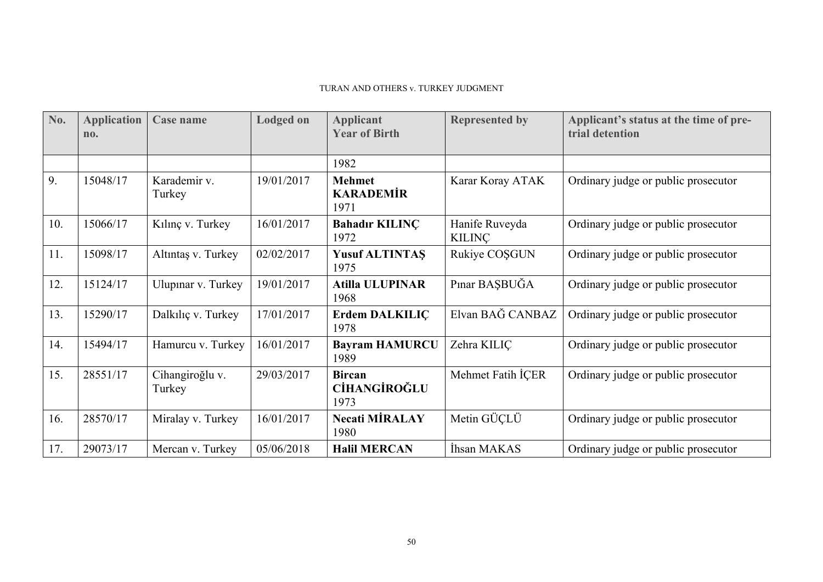| No. | <b>Application</b><br>no. | Case name                 | <b>Lodged on</b> | <b>Applicant</b><br><b>Year of Birth</b>     | <b>Represented by</b>           | Applicant's status at the time of pre-<br>trial detention |
|-----|---------------------------|---------------------------|------------------|----------------------------------------------|---------------------------------|-----------------------------------------------------------|
|     |                           |                           |                  | 1982                                         |                                 |                                                           |
| 9.  | 15048/17                  | Karademir v.<br>Turkey    | 19/01/2017       | <b>Mehmet</b><br><b>KARADEMIR</b><br>1971    | Karar Koray ATAK                | Ordinary judge or public prosecutor                       |
| 10. | 15066/17                  | Kılınç v. Turkey          | 16/01/2017       | <b>Bahadır KILINÇ</b><br>1972                | Hanife Ruveyda<br><b>KILINC</b> | Ordinary judge or public prosecutor                       |
| 11. | 15098/17                  | Altıntaş v. Turkey        | 02/02/2017       | <b>Yusuf ALTINTAS</b><br>1975                | Rukiye COSGUN                   | Ordinary judge or public prosecutor                       |
| 12. | 15124/17                  | Ulupinar v. Turkey        | 19/01/2017       | <b>Atilla ULUPINAR</b><br>1968               | Pinar BAŞBUĞA                   | Ordinary judge or public prosecutor                       |
| 13. | 15290/17                  | Dalkılıç v. Turkey        | 17/01/2017       | <b>Erdem DALKILIC</b><br>1978                | Elvan BAĞ CANBAZ                | Ordinary judge or public prosecutor                       |
| 14. | 15494/17                  | Hamurcu v. Turkey         | 16/01/2017       | <b>Bayram HAMURCU</b><br>1989                | Zehra KILIC                     | Ordinary judge or public prosecutor                       |
| 15. | 28551/17                  | Cihangiroğlu v.<br>Turkey | 29/03/2017       | <b>Bircan</b><br><b>CİHANGİROĞLU</b><br>1973 | Mehmet Fatih İÇER               | Ordinary judge or public prosecutor                       |
| 16. | 28570/17                  | Miralay v. Turkey         | 16/01/2017       | <b>Necati MIRALAY</b><br>1980                | Metin GÜÇLÜ                     | Ordinary judge or public prosecutor                       |
| 17. | 29073/17                  | Mercan v. Turkey          | 05/06/2018       | <b>Halil MERCAN</b>                          | İhsan MAKAS                     | Ordinary judge or public prosecutor                       |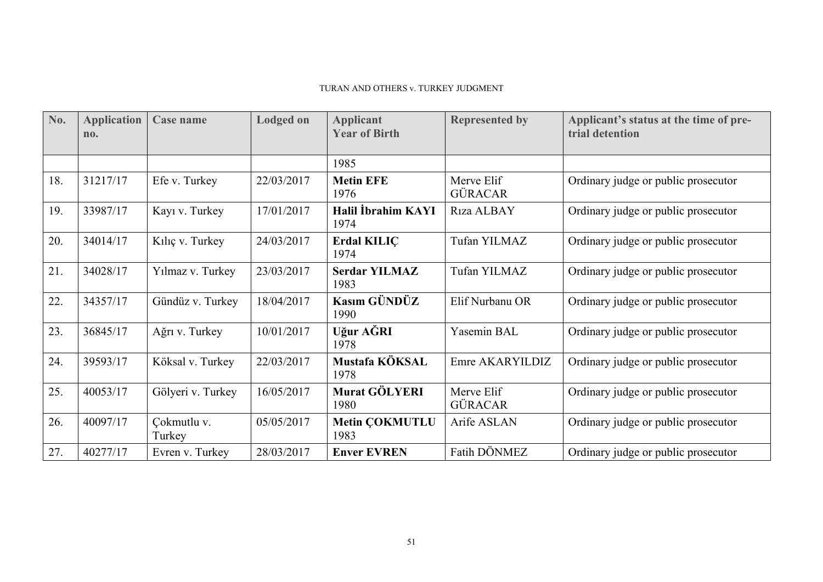| No. | <b>Application</b><br>no. | Case name             | <b>Lodged on</b> | <b>Applicant</b><br><b>Year of Birth</b> | <b>Represented by</b>        | Applicant's status at the time of pre-<br>trial detention |
|-----|---------------------------|-----------------------|------------------|------------------------------------------|------------------------------|-----------------------------------------------------------|
|     |                           |                       |                  | 1985                                     |                              |                                                           |
| 18. | 31217/17                  | Efe v. Turkey         | 22/03/2017       | <b>Metin EFE</b><br>1976                 | Merve Elif<br><b>GÜRACAR</b> | Ordinary judge or public prosecutor                       |
| 19. | 33987/17                  | Kayı v. Turkey        | 17/01/2017       | <b>Halil İbrahim KAYI</b><br>1974        | Riza ALBAY                   | Ordinary judge or public prosecutor                       |
| 20. | 34014/17                  | Kılıç v. Turkey       | 24/03/2017       | <b>Erdal KILIC</b><br>1974               | Tufan YILMAZ                 | Ordinary judge or public prosecutor                       |
| 21. | 34028/17                  | Yılmaz v. Turkey      | 23/03/2017       | <b>Serdar YILMAZ</b><br>1983             | Tufan YILMAZ                 | Ordinary judge or public prosecutor                       |
| 22. | 34357/17                  | Gündüz v. Turkey      | 18/04/2017       | Kasım GÜNDÜZ<br>1990                     | Elif Nurbanu OR              | Ordinary judge or public prosecutor                       |
| 23. | 36845/17                  | Ağrı v. Turkey        | 10/01/2017       | Uğur AĞRI<br>1978                        | Yasemin BAL                  | Ordinary judge or public prosecutor                       |
| 24. | 39593/17                  | Köksal v. Turkey      | 22/03/2017       | Mustafa KÖKSAL<br>1978                   | Emre AKARYILDIZ              | Ordinary judge or public prosecutor                       |
| 25. | 40053/17                  | Gölyeri v. Turkey     | 16/05/2017       | Murat GÖLYERI<br>1980                    | Merve Elif<br><b>GÜRACAR</b> | Ordinary judge or public prosecutor                       |
| 26. | 40097/17                  | Çokmutlu v.<br>Turkey | 05/05/2017       | <b>Metin COKMUTLU</b><br>1983            | Arife ASLAN                  | Ordinary judge or public prosecutor                       |
| 27. | 40277/17                  | Evren v. Turkey       | 28/03/2017       | <b>Enver EVREN</b>                       | Fatih DÖNMEZ                 | Ordinary judge or public prosecutor                       |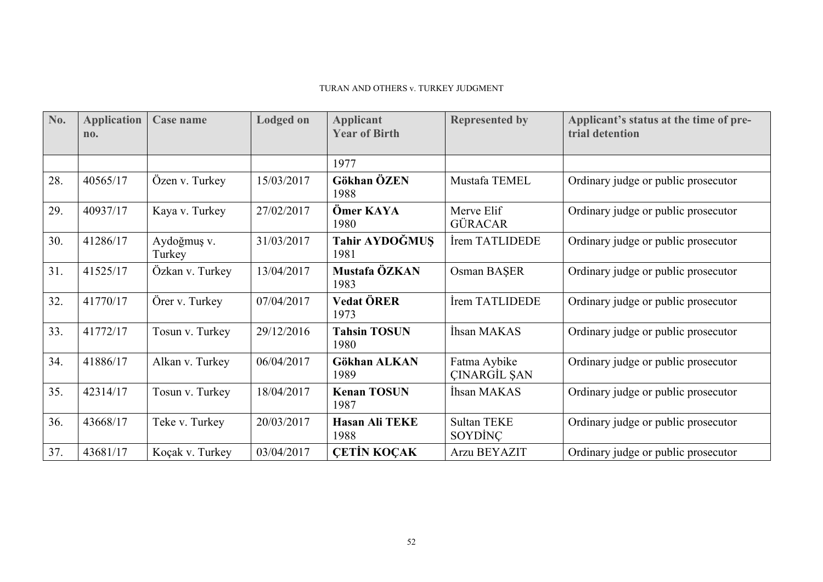| No. | <b>Application</b><br>no. | <b>Case name</b>      | <b>Lodged on</b> | <b>Applicant</b><br><b>Year of Birth</b> | <b>Represented by</b>                | Applicant's status at the time of pre-<br>trial detention |
|-----|---------------------------|-----------------------|------------------|------------------------------------------|--------------------------------------|-----------------------------------------------------------|
|     |                           |                       |                  | 1977                                     |                                      |                                                           |
| 28. | 40565/17                  | Özen v. Turkey        | 15/03/2017       | Gökhan ÖZEN<br>1988                      | Mustafa TEMEL                        | Ordinary judge or public prosecutor                       |
| 29. | 40937/17                  | Kaya v. Turkey        | 27/02/2017       | Ömer KAYA<br>1980                        | Merve Elif<br><b>GÜRACAR</b>         | Ordinary judge or public prosecutor                       |
| 30. | 41286/17                  | Aydoğmuş v.<br>Turkey | 31/03/2017       | <b>Tahir AYDOĞMUS</b><br>1981            | İrem TATLIDEDE                       | Ordinary judge or public prosecutor                       |
| 31. | 41525/17                  | Özkan v. Turkey       | 13/04/2017       | Mustafa ÖZKAN<br>1983                    | Osman BAŞER                          | Ordinary judge or public prosecutor                       |
| 32. | 41770/17                  | Örer v. Turkey        | 07/04/2017       | <b>Vedat ÖRER</b><br>1973                | İrem TATLIDEDE                       | Ordinary judge or public prosecutor                       |
| 33. | 41772/17                  | Tosun v. Turkey       | 29/12/2016       | <b>Tahsin TOSUN</b><br>1980              | İhsan MAKAS                          | Ordinary judge or public prosecutor                       |
| 34. | 41886/17                  | Alkan v. Turkey       | 06/04/2017       | <b>Gökhan ALKAN</b><br>1989              | Fatma Aybike<br><b>CINARGIL SAN</b>  | Ordinary judge or public prosecutor                       |
| 35. | 42314/17                  | Tosun v. Turkey       | 18/04/2017       | <b>Kenan TOSUN</b><br>1987               | İhsan MAKAS                          | Ordinary judge or public prosecutor                       |
| 36. | 43668/17                  | Teke v. Turkey        | 20/03/2017       | <b>Hasan Ali TEKE</b><br>1988            | <b>Sultan TEKE</b><br><b>SOYDINC</b> | Ordinary judge or public prosecutor                       |
| 37. | 43681/17                  | Koçak v. Turkey       | 03/04/2017       | <b>CETIN KOÇAK</b>                       | Arzu BEYAZIT                         | Ordinary judge or public prosecutor                       |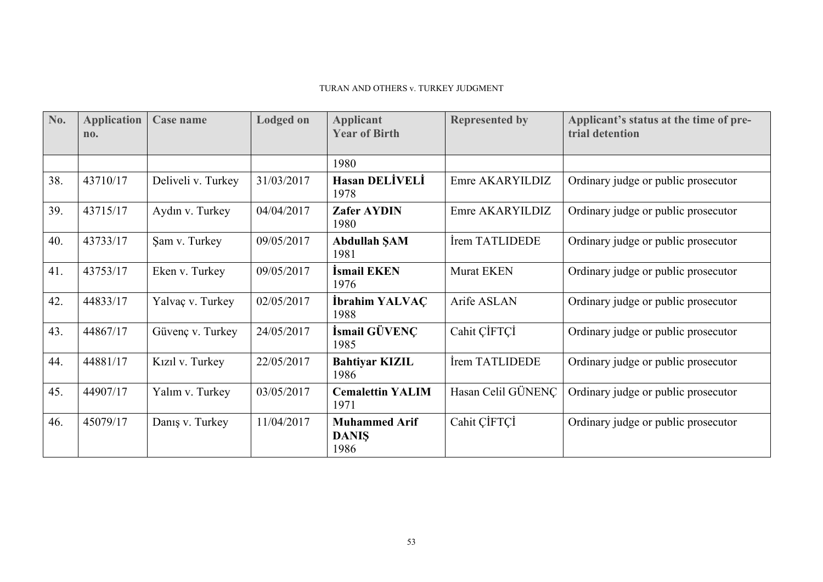| No. | <b>Application</b><br>$n_{0}$ . | <b>Case name</b>   | <b>Lodged on</b> | <b>Applicant</b><br><b>Year of Birth</b>     | <b>Represented by</b> | Applicant's status at the time of pre-<br>trial detention |
|-----|---------------------------------|--------------------|------------------|----------------------------------------------|-----------------------|-----------------------------------------------------------|
|     |                                 |                    |                  | 1980                                         |                       |                                                           |
| 38. | 43710/17                        | Deliveli v. Turkey | 31/03/2017       | <b>Hasan DELİVELİ</b><br>1978                | Emre AKARYILDIZ       | Ordinary judge or public prosecutor                       |
| 39. | 43715/17                        | Aydın v. Turkey    | 04/04/2017       | <b>Zafer AYDIN</b><br>1980                   | Emre AKARYILDIZ       | Ordinary judge or public prosecutor                       |
| 40. | 43733/17                        | Şam v. Turkey      | 09/05/2017       | <b>Abdullah ŞAM</b><br>1981                  | İrem TATLIDEDE        | Ordinary judge or public prosecutor                       |
| 41. | 43753/17                        | Eken v. Turkey     | 09/05/2017       | İsmail EKEN<br>1976                          | <b>Murat EKEN</b>     | Ordinary judge or public prosecutor                       |
| 42. | 44833/17                        | Yalvaç v. Turkey   | 02/05/2017       | <b>İbrahim YALVAÇ</b><br>1988                | Arife ASLAN           | Ordinary judge or public prosecutor                       |
| 43. | 44867/17                        | Güvenç v. Turkey   | 24/05/2017       | İsmail GÜVENÇ<br>1985                        | Cahit ÇİFTÇİ          | Ordinary judge or public prosecutor                       |
| 44. | 44881/17                        | Kızıl v. Turkey    | 22/05/2017       | <b>Bahtiyar KIZIL</b><br>1986                | İrem TATLIDEDE        | Ordinary judge or public prosecutor                       |
| 45. | 44907/17                        | Yalım v. Turkey    | 03/05/2017       | <b>Cemalettin YALIM</b><br>1971              | Hasan Celil GÜNENC    | Ordinary judge or public prosecutor                       |
| 46. | 45079/17                        | Danış v. Turkey    | 11/04/2017       | <b>Muhammed Arif</b><br><b>DANIS</b><br>1986 | Cahit CİFTCİ          | Ordinary judge or public prosecutor                       |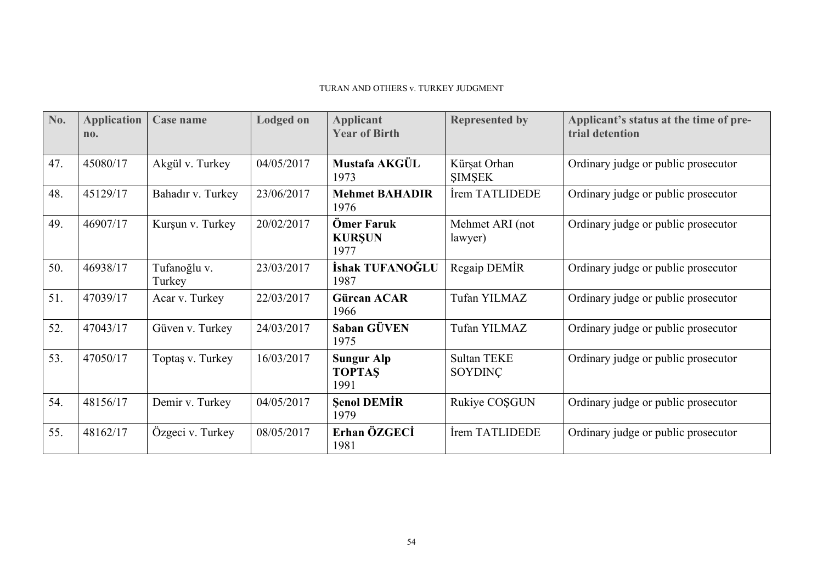| No. | <b>Application</b><br>no. | Case name              | <b>Lodged on</b> | <b>Applicant</b><br><b>Year of Birth</b>   | <b>Represented by</b>         | Applicant's status at the time of pre-<br>trial detention |
|-----|---------------------------|------------------------|------------------|--------------------------------------------|-------------------------------|-----------------------------------------------------------|
| 47. | 45080/17                  | Akgül v. Turkey        | 04/05/2017       | Mustafa AKGÜL<br>1973                      | Kürşat Orhan<br><b>SIMSEK</b> | Ordinary judge or public prosecutor                       |
| 48. | 45129/17                  | Bahadır v. Turkey      | 23/06/2017       | <b>Mehmet BAHADIR</b><br>1976              | İrem TATLIDEDE                | Ordinary judge or public prosecutor                       |
| 49. | 46907/17                  | Kurşun v. Turkey       | 20/02/2017       | Ömer Faruk<br><b>KURŞUN</b><br>1977        | Mehmet ARI (not<br>lawyer)    | Ordinary judge or public prosecutor                       |
| 50. | 46938/17                  | Tufanoğlu v.<br>Turkey | 23/03/2017       | İshak TUFANOĞLU<br>1987                    | Regaip DEMİR                  | Ordinary judge or public prosecutor                       |
| 51. | 47039/17                  | Acar v. Turkey         | 22/03/2017       | <b>Gürcan ACAR</b><br>1966                 | Tufan YILMAZ                  | Ordinary judge or public prosecutor                       |
| 52. | 47043/17                  | Güven v. Turkey        | 24/03/2017       | Saban GÜVEN<br>1975                        | Tufan YILMAZ                  | Ordinary judge or public prosecutor                       |
| 53. | 47050/17                  | Toptaş v. Turkey       | 16/03/2017       | <b>Sungur Alp</b><br><b>TOPTAS</b><br>1991 | <b>Sultan TEKE</b><br>SOYDINC | Ordinary judge or public prosecutor                       |
| 54. | 48156/17                  | Demir v. Turkey        | 04/05/2017       | <b>Senol DEMIR</b><br>1979                 | Rukiye COSGUN                 | Ordinary judge or public prosecutor                       |
| 55. | 48162/17                  | Özgeci v. Turkey       | 08/05/2017       | Erhan ÖZGECİ<br>1981                       | İrem TATLIDEDE                | Ordinary judge or public prosecutor                       |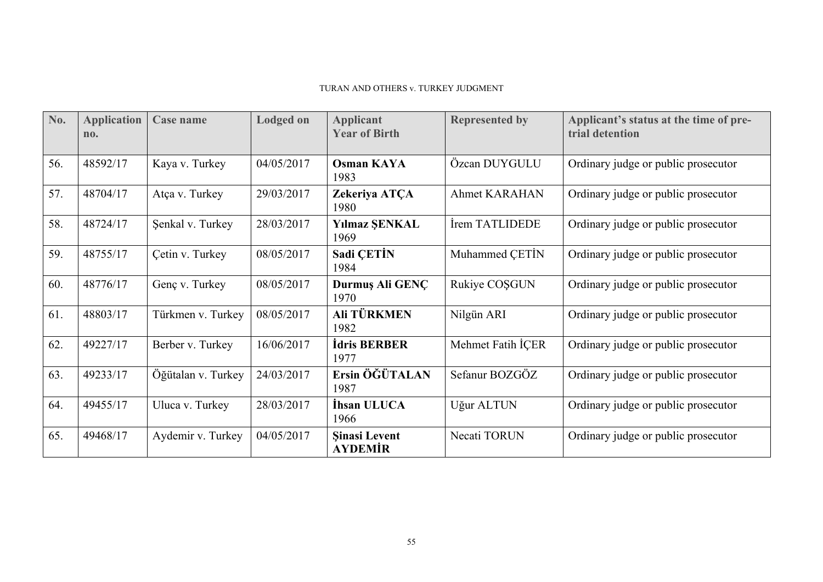| No. | <b>Application</b><br>no. | Case name          | <b>Lodged on</b> | <b>Applicant</b><br><b>Year of Birth</b> | <b>Represented by</b> | Applicant's status at the time of pre-<br>trial detention |
|-----|---------------------------|--------------------|------------------|------------------------------------------|-----------------------|-----------------------------------------------------------|
| 56. | 48592/17                  | Kaya v. Turkey     | 04/05/2017       | <b>Osman KAYA</b><br>1983                | Özcan DUYGULU         | Ordinary judge or public prosecutor                       |
| 57. | 48704/17                  | Atça v. Turkey     | 29/03/2017       | Zekeriya ATÇA<br>1980                    | <b>Ahmet KARAHAN</b>  | Ordinary judge or public prosecutor                       |
| 58. | 48724/17                  | Şenkal v. Turkey   | 28/03/2017       | <b>Yılmaz ŞENKAL</b><br>1969             | Irem TATLIDEDE        | Ordinary judge or public prosecutor                       |
| 59. | 48755/17                  | Cetin v. Turkey    | 08/05/2017       | <b>Sadi CETIN</b><br>1984                | Muhammed CETIN        | Ordinary judge or public prosecutor                       |
| 60. | 48776/17                  | Genç v. Turkey     | 08/05/2017       | Durmuş Ali GENC<br>1970                  | Rukiye COSGUN         | Ordinary judge or public prosecutor                       |
| 61. | 48803/17                  | Türkmen v. Turkey  | 08/05/2017       | Ali TÜRKMEN<br>1982                      | Nilgün ARI            | Ordinary judge or public prosecutor                       |
| 62. | 49227/17                  | Berber v. Turkey   | 16/06/2017       | <b>Idris BERBER</b><br>1977              | Mehmet Fatih ICER     | Ordinary judge or public prosecutor                       |
| 63. | 49233/17                  | Öğütalan v. Turkey | 24/03/2017       | Ersin ÖĞÜTALAN<br>1987                   | Sefanur BOZGÖZ        | Ordinary judge or public prosecutor                       |
| 64. | 49455/17                  | Uluca v. Turkey    | 28/03/2017       | Ihsan ULUCA<br>1966                      | Uğur ALTUN            | Ordinary judge or public prosecutor                       |
| 65. | 49468/17                  | Aydemir v. Turkey  | 04/05/2017       | <b>Sinasi Levent</b><br><b>AYDEMİR</b>   | Necati TORUN          | Ordinary judge or public prosecutor                       |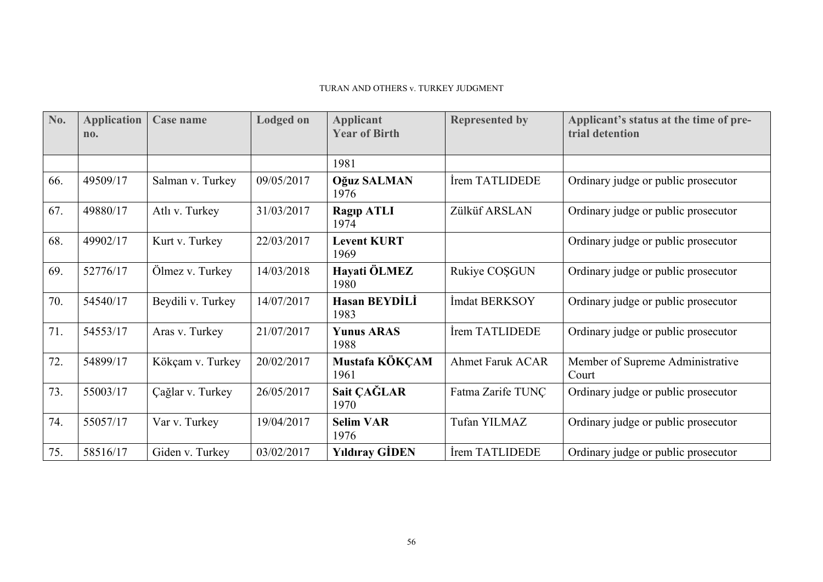| No. | <b>Application</b><br>n <sub>0</sub> | Case name         | <b>Lodged on</b> | <b>Applicant</b><br><b>Year of Birth</b> | <b>Represented by</b>   | Applicant's status at the time of pre-<br>trial detention |
|-----|--------------------------------------|-------------------|------------------|------------------------------------------|-------------------------|-----------------------------------------------------------|
|     |                                      |                   |                  | 1981                                     |                         |                                                           |
| 66. | 49509/17                             | Salman v. Turkey  | 09/05/2017       | Oğuz SALMAN<br>1976                      | Irem TATLIDEDE          | Ordinary judge or public prosecutor                       |
| 67. | 49880/17                             | Atlı v. Turkey    | 31/03/2017       | <b>Ragip ATLI</b><br>1974                | Zülküf ARSLAN           | Ordinary judge or public prosecutor                       |
| 68. | 49902/17                             | Kurt v. Turkey    | 22/03/2017       | <b>Levent KURT</b><br>1969               |                         | Ordinary judge or public prosecutor                       |
| 69. | 52776/17                             | Ölmez v. Turkey   | 14/03/2018       | Hayati ÖLMEZ<br>1980                     | Rukiye COSGUN           | Ordinary judge or public prosecutor                       |
| 70. | 54540/17                             | Beydili v. Turkey | 14/07/2017       | <b>Hasan BEYDİLİ</b><br>1983             | İmdat BERKSOY           | Ordinary judge or public prosecutor                       |
| 71. | 54553/17                             | Aras v. Turkey    | 21/07/2017       | <b>Yunus ARAS</b><br>1988                | Irem TATLIDEDE          | Ordinary judge or public prosecutor                       |
| 72. | 54899/17                             | Kökçam v. Turkey  | 20/02/2017       | Mustafa KÖKÇAM<br>1961                   | <b>Ahmet Faruk ACAR</b> | Member of Supreme Administrative<br>Court                 |
| 73. | 55003/17                             | Çağlar v. Turkey  | 26/05/2017       | Sait CAĞLAR<br>1970                      | Fatma Zarife TUNC       | Ordinary judge or public prosecutor                       |
| 74. | 55057/17                             | Var v. Turkey     | 19/04/2017       | <b>Selim VAR</b><br>1976                 | Tufan YILMAZ            | Ordinary judge or public prosecutor                       |
| 75. | 58516/17                             | Giden v. Turkey   | 03/02/2017       | <b>Yildiray GİDEN</b>                    | Irem TATLIDEDE          | Ordinary judge or public prosecutor                       |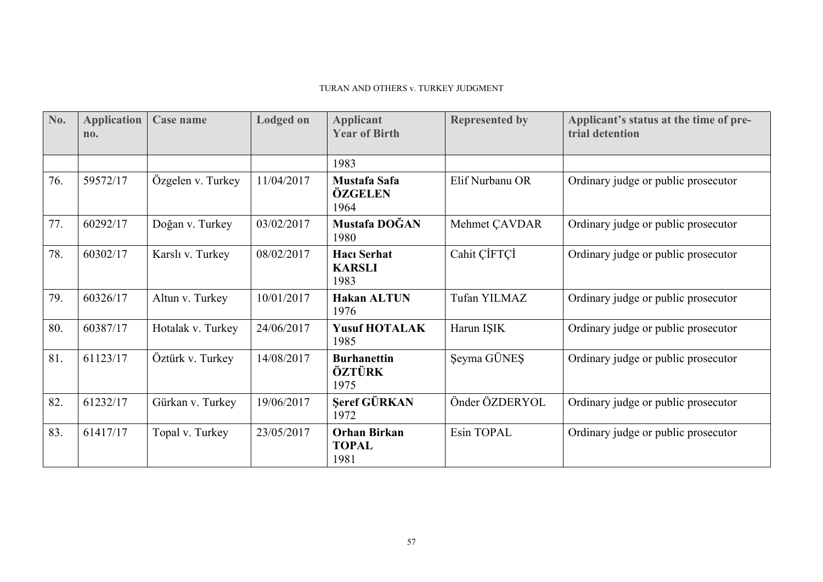| No. | <b>Application</b><br>no. | Case name         | <b>Lodged on</b> | <b>Applicant</b><br><b>Year of Birth</b>    | <b>Represented by</b> | Applicant's status at the time of pre-<br>trial detention |
|-----|---------------------------|-------------------|------------------|---------------------------------------------|-----------------------|-----------------------------------------------------------|
|     |                           |                   |                  | 1983                                        |                       |                                                           |
| 76. | 59572/17                  | Özgelen v. Turkey | 11/04/2017       | Mustafa Safa<br>ÖZGELEN<br>1964             | Elif Nurbanu OR       | Ordinary judge or public prosecutor                       |
| 77. | 60292/17                  | Doğan v. Turkey   | 03/02/2017       | Mustafa DOĞAN<br>1980                       | Mehmet ÇAVDAR         | Ordinary judge or public prosecutor                       |
| 78. | 60302/17                  | Karslı v. Turkey  | 08/02/2017       | <b>Hacı Serhat</b><br><b>KARSLI</b><br>1983 | Cahit CİFTÇİ          | Ordinary judge or public prosecutor                       |
| 79. | 60326/17                  | Altun v. Turkey   | 10/01/2017       | <b>Hakan ALTUN</b><br>1976                  | Tufan YILMAZ          | Ordinary judge or public prosecutor                       |
| 80. | 60387/17                  | Hotalak v. Turkey | 24/06/2017       | <b>Yusuf HOTALAK</b><br>1985                | Harun ISIK            | Ordinary judge or public prosecutor                       |
| 81. | 61123/17                  | Öztürk v. Turkey  | 14/08/2017       | <b>Burhanettin</b><br>ÖZTÜRK<br>1975        | Seyma GÜNES           | Ordinary judge or public prosecutor                       |
| 82. | 61232/17                  | Gürkan v. Turkey  | 19/06/2017       | <b>Seref GÜRKAN</b><br>1972                 | Önder ÖZDERYOL        | Ordinary judge or public prosecutor                       |
| 83. | 61417/17                  | Topal v. Turkey   | 23/05/2017       | <b>Orhan Birkan</b><br><b>TOPAL</b><br>1981 | Esin TOPAL            | Ordinary judge or public prosecutor                       |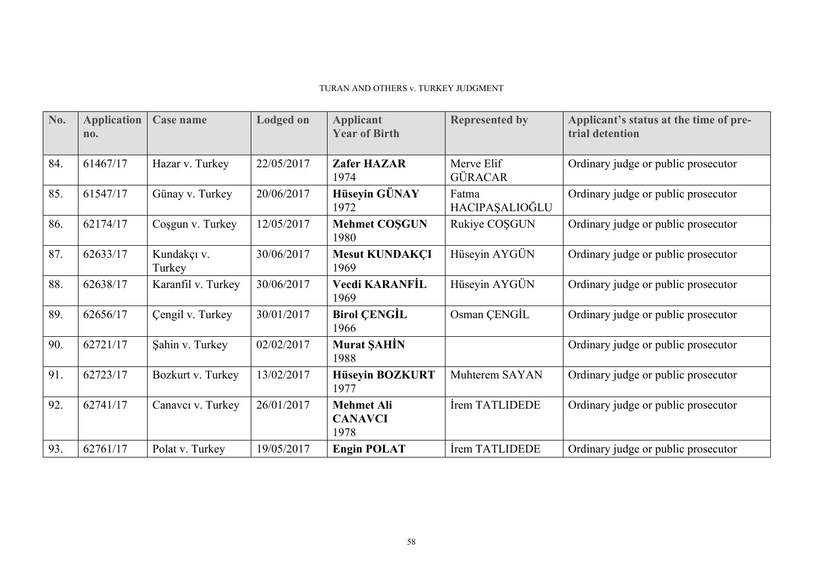| No. | <b>Application</b><br>no. | Case name             | <b>Lodged on</b> | <b>Applicant</b><br><b>Year of Birth</b>    | <b>Represented by</b>        | Applicant's status at the time of pre-<br>trial detention |
|-----|---------------------------|-----------------------|------------------|---------------------------------------------|------------------------------|-----------------------------------------------------------|
| 84. | 61467/17                  | Hazar v. Turkey       | 22/05/2017       | <b>Zafer HAZAR</b><br>1974                  | Merve Elif<br><b>GÜRACAR</b> | Ordinary judge or public prosecutor                       |
| 85. | 61547/17                  | Günay v. Turkey       | 20/06/2017       | Hüseyin GÜNAY<br>1972                       | Fatma<br>HACIPAŞALIOĞLU      | Ordinary judge or public prosecutor                       |
| 86. | 62174/17                  | Cosgun v. Turkey      | 12/05/2017       | <b>Mehmet COSGUN</b><br>1980                | Rukiye COSGUN                | Ordinary judge or public prosecutor                       |
| 87. | 62633/17                  | Kundakçı v.<br>Turkey | 30/06/2017       | <b>Mesut KUNDAKÇI</b><br>1969               | Hüseyin AYGÜN                | Ordinary judge or public prosecutor                       |
| 88. | 62638/17                  | Karanfil v. Turkey    | 30/06/2017       | Vecdi KARANFİL<br>1969                      | Hüseyin AYGÜN                | Ordinary judge or public prosecutor                       |
| 89. | 62656/17                  | Çengil v. Turkey      | 30/01/2017       | <b>Birol CENGIL</b><br>1966                 | Osman CENGIL                 | Ordinary judge or public prosecutor                       |
| 90. | 62721/17                  | Şahin v. Turkey       | 02/02/2017       | <b>Murat SAHIN</b><br>1988                  |                              | Ordinary judge or public prosecutor                       |
| 91. | 62723/17                  | Bozkurt v. Turkey     | 13/02/2017       | Hüseyin BOZKURT<br>1977                     | Muhterem SAYAN               | Ordinary judge or public prosecutor                       |
| 92. | 62741/17                  | Canavcı v. Turkey     | 26/01/2017       | <b>Mehmet Ali</b><br><b>CANAVCI</b><br>1978 | İrem TATLIDEDE               | Ordinary judge or public prosecutor                       |
| 93. | 62761/17                  | Polat v. Turkey       | 19/05/2017       | <b>Engin POLAT</b>                          | İrem TATLIDEDE               | Ordinary judge or public prosecutor                       |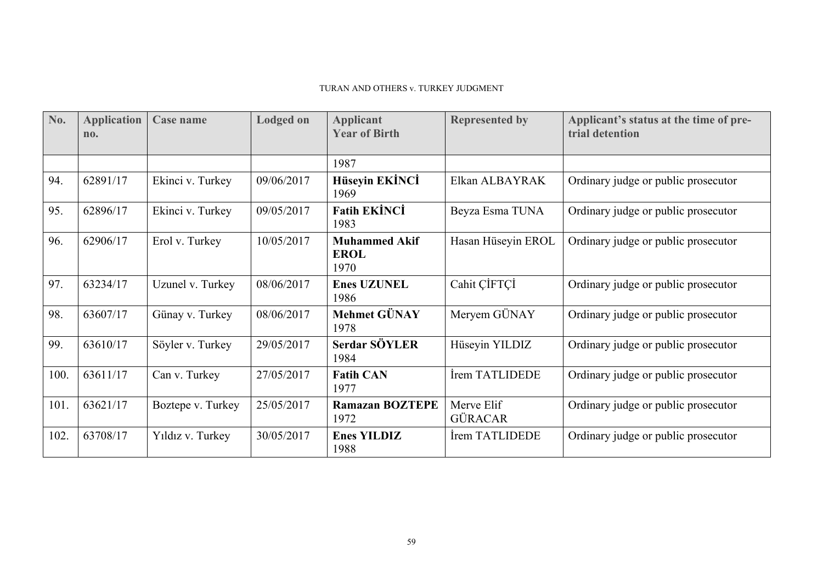| No.  | <b>Application</b><br>no. | Case name         | <b>Lodged on</b> | <b>Applicant</b><br><b>Year of Birth</b>    | <b>Represented by</b>        | Applicant's status at the time of pre-<br>trial detention |
|------|---------------------------|-------------------|------------------|---------------------------------------------|------------------------------|-----------------------------------------------------------|
|      |                           |                   |                  | 1987                                        |                              |                                                           |
| 94.  | 62891/17                  | Ekinci v. Turkey  | 09/06/2017       | Hüseyin EKİNCİ<br>1969                      | Elkan ALBAYRAK               | Ordinary judge or public prosecutor                       |
| 95.  | 62896/17                  | Ekinci v. Turkey  | 09/05/2017       | <b>Fatih EKİNCİ</b><br>1983                 | Beyza Esma TUNA              | Ordinary judge or public prosecutor                       |
| 96.  | 62906/17                  | Erol v. Turkey    | 10/05/2017       | <b>Muhammed Akif</b><br><b>EROL</b><br>1970 | Hasan Hüseyin EROL           | Ordinary judge or public prosecutor                       |
| 97.  | 63234/17                  | Uzunel v. Turkey  | 08/06/2017       | <b>Enes UZUNEL</b><br>1986                  | Cahit CİFTCİ                 | Ordinary judge or public prosecutor                       |
| 98.  | 63607/17                  | Günay v. Turkey   | 08/06/2017       | <b>Mehmet GÜNAY</b><br>1978                 | Meryem GÜNAY                 | Ordinary judge or public prosecutor                       |
| 99.  | 63610/17                  | Söyler v. Turkey  | 29/05/2017       | Serdar SÖYLER<br>1984                       | Hüseyin YILDIZ               | Ordinary judge or public prosecutor                       |
| 100. | 63611/17                  | Can v. Turkey     | 27/05/2017       | <b>Fatih CAN</b><br>1977                    | Irem TATLIDEDE               | Ordinary judge or public prosecutor                       |
| 101. | 63621/17                  | Boztepe v. Turkey | 25/05/2017       | <b>Ramazan BOZTEPE</b><br>1972              | Merve Elif<br><b>GÜRACAR</b> | Ordinary judge or public prosecutor                       |
| 102. | 63708/17                  | Yıldız v. Turkey  | 30/05/2017       | <b>Enes YILDIZ</b><br>1988                  | İrem TATLIDEDE               | Ordinary judge or public prosecutor                       |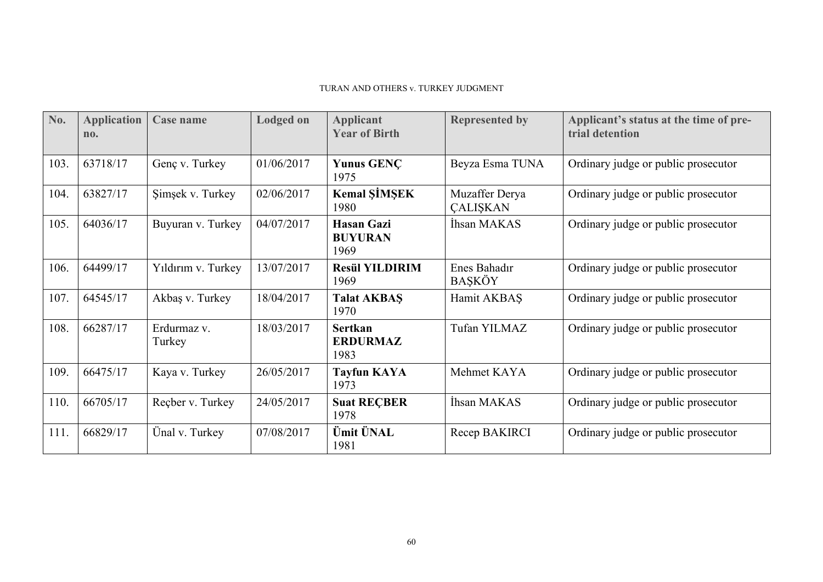| No.  | <b>Application</b><br>no. | <b>Case name</b>      | <b>Lodged on</b> | <b>Applicant</b><br><b>Year of Birth</b>    | <b>Represented by</b>                    | Applicant's status at the time of pre-<br>trial detention |
|------|---------------------------|-----------------------|------------------|---------------------------------------------|------------------------------------------|-----------------------------------------------------------|
| 103. | 63718/17                  | Genç v. Turkey        | 01/06/2017       | <b>Yunus GENC</b><br>1975                   | Beyza Esma TUNA                          | Ordinary judge or public prosecutor                       |
| 104. | 63827/17                  | Simsek v. Turkey      | 02/06/2017       | <b>Kemal ŞİMŞEK</b><br>1980                 | Muzaffer Derya<br><b><i>CALISKAN</i></b> | Ordinary judge or public prosecutor                       |
| 105. | 64036/17                  | Buyuran v. Turkey     | 04/07/2017       | <b>Hasan Gazi</b><br><b>BUYURAN</b><br>1969 | İhsan MAKAS                              | Ordinary judge or public prosecutor                       |
| 106. | 64499/17                  | Yıldırım v. Turkey    | 13/07/2017       | <b>Resül YILDIRIM</b><br>1969               | Enes Bahadır<br><b>BAŞKÖY</b>            | Ordinary judge or public prosecutor                       |
| 107. | 64545/17                  | Akbaş v. Turkey       | 18/04/2017       | <b>Talat AKBAS</b><br>1970                  | Hamit AKBAŞ                              | Ordinary judge or public prosecutor                       |
| 108. | 66287/17                  | Erdurmaz v.<br>Turkey | 18/03/2017       | <b>Sertkan</b><br><b>ERDURMAZ</b><br>1983   | Tufan YILMAZ                             | Ordinary judge or public prosecutor                       |
| 109. | 66475/17                  | Kaya v. Turkey        | 26/05/2017       | <b>Tayfun KAYA</b><br>1973                  | Mehmet KAYA                              | Ordinary judge or public prosecutor                       |
| 110. | 66705/17                  | Recber v. Turkey      | 24/05/2017       | <b>Suat RECBER</b><br>1978                  | İhsan MAKAS                              | Ordinary judge or public prosecutor                       |
| 111. | 66829/17                  | Ünal v. Turkey        | 07/08/2017       | Ümit ÜNAL<br>1981                           | Recep BAKIRCI                            | Ordinary judge or public prosecutor                       |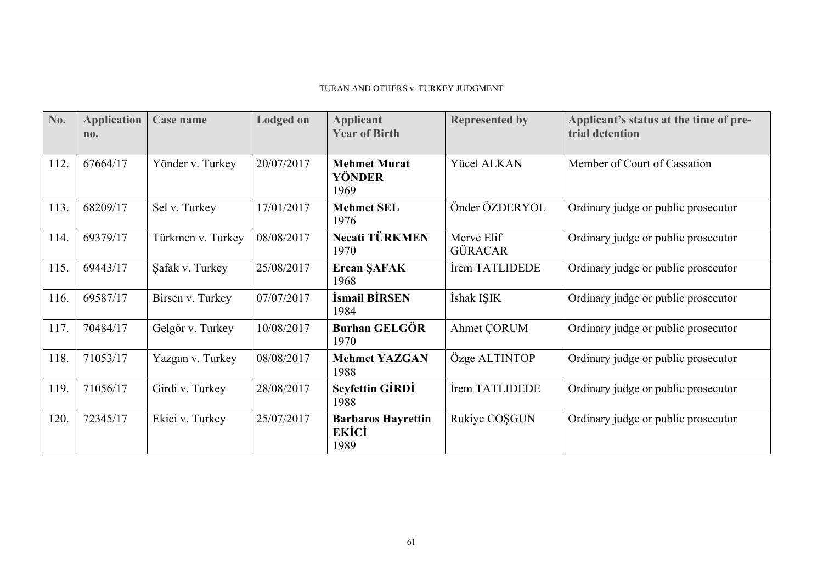| No.  | <b>Application</b><br>no. | Case name         | <b>Lodged on</b> | <b>Applicant</b><br><b>Year of Birth</b>          | <b>Represented by</b>        | Applicant's status at the time of pre-<br>trial detention |
|------|---------------------------|-------------------|------------------|---------------------------------------------------|------------------------------|-----------------------------------------------------------|
| 112. | 67664/17                  | Yönder v. Turkey  | 20/07/2017       | <b>Mehmet Murat</b><br>YÖNDER<br>1969             | Yücel ALKAN                  | Member of Court of Cassation                              |
| 113. | 68209/17                  | Sel v. Turkey     | 17/01/2017       | <b>Mehmet SEL</b><br>1976                         | Önder ÖZDERYOL               | Ordinary judge or public prosecutor                       |
| 114. | 69379/17                  | Türkmen v. Turkey | 08/08/2017       | Necati TÜRKMEN<br>1970                            | Merve Elif<br><b>GÜRACAR</b> | Ordinary judge or public prosecutor                       |
| 115. | 69443/17                  | Safak v. Turkey   | 25/08/2017       | <b>Ercan SAFAK</b><br>1968                        | Irem TATLIDEDE               | Ordinary judge or public prosecutor                       |
| 116. | 69587/17                  | Birsen v. Turkey  | 07/07/2017       | <b>İsmail BİRSEN</b><br>1984                      | İshak IŞIK                   | Ordinary judge or public prosecutor                       |
| 117. | 70484/17                  | Gelgör v. Turkey  | 10/08/2017       | <b>Burhan GELGÖR</b><br>1970                      | Ahmet CORUM                  | Ordinary judge or public prosecutor                       |
| 118. | 71053/17                  | Yazgan v. Turkey  | 08/08/2017       | <b>Mehmet YAZGAN</b><br>1988                      | Özge ALTINTOP                | Ordinary judge or public prosecutor                       |
| 119. | 71056/17                  | Girdi v. Turkey   | 28/08/2017       | <b>Seyfettin GİRDİ</b><br>1988                    | Irem TATLIDEDE               | Ordinary judge or public prosecutor                       |
| 120. | 72345/17                  | Ekici v. Turkey   | 25/07/2017       | <b>Barbaros Hayrettin</b><br><b>EKİCİ</b><br>1989 | Rukiye COŞGUN                | Ordinary judge or public prosecutor                       |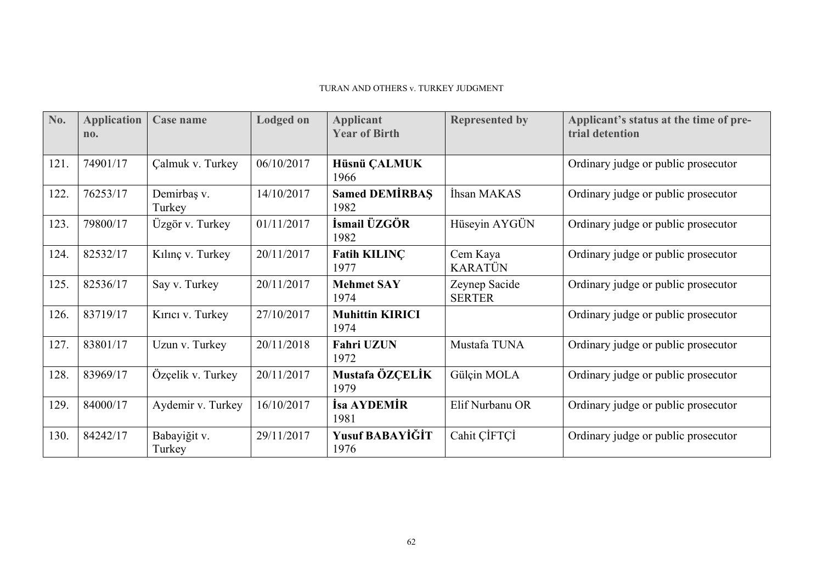| No.  | <b>Application</b><br>no. | Case name              | <b>Lodged on</b> | <b>Applicant</b><br><b>Year of Birth</b> | <b>Represented by</b>          | Applicant's status at the time of pre-<br>trial detention |
|------|---------------------------|------------------------|------------------|------------------------------------------|--------------------------------|-----------------------------------------------------------|
| 121. | 74901/17                  | Çalmuk v. Turkey       | 06/10/2017       | Hüsnü ÇALMUK<br>1966                     |                                | Ordinary judge or public prosecutor                       |
| 122. | 76253/17                  | Demirbas v.<br>Turkey  | 14/10/2017       | <b>Samed DEMIRBAS</b><br>1982            | İhsan MAKAS                    | Ordinary judge or public prosecutor                       |
| 123. | 79800/17                  | Üzgör v. Turkey        | 01/11/2017       | İsmail ÜZGÖR<br>1982                     | Hüseyin AYGÜN                  | Ordinary judge or public prosecutor                       |
| 124. | 82532/17                  | Kılınç v. Turkey       | 20/11/2017       | <b>Fatih KILINC</b><br>1977              | Cem Kaya<br><b>KARATÜN</b>     | Ordinary judge or public prosecutor                       |
| 125. | 82536/17                  | Say v. Turkey          | 20/11/2017       | <b>Mehmet SAY</b><br>1974                | Zeynep Sacide<br><b>SERTER</b> | Ordinary judge or public prosecutor                       |
| 126. | 83719/17                  | Kırıcı v. Turkey       | 27/10/2017       | <b>Muhittin KIRICI</b><br>1974           |                                | Ordinary judge or public prosecutor                       |
| 127. | 83801/17                  | Uzun v. Turkey         | 20/11/2018       | <b>Fahri UZUN</b><br>1972                | Mustafa TUNA                   | Ordinary judge or public prosecutor                       |
| 128. | 83969/17                  | Özçelik v. Turkey      | 20/11/2017       | Mustafa ÖZÇELİK<br>1979                  | Gülçin MOLA                    | Ordinary judge or public prosecutor                       |
| 129. | 84000/17                  | Aydemir v. Turkey      | 16/10/2017       | İsa AYDEMİR<br>1981                      | Elif Nurbanu OR                | Ordinary judge or public prosecutor                       |
| 130. | 84242/17                  | Babayiğit v.<br>Turkey | 29/11/2017       | <b>Yusuf BABAYİĞİT</b><br>1976           | Cahit CİFTÇİ                   | Ordinary judge or public prosecutor                       |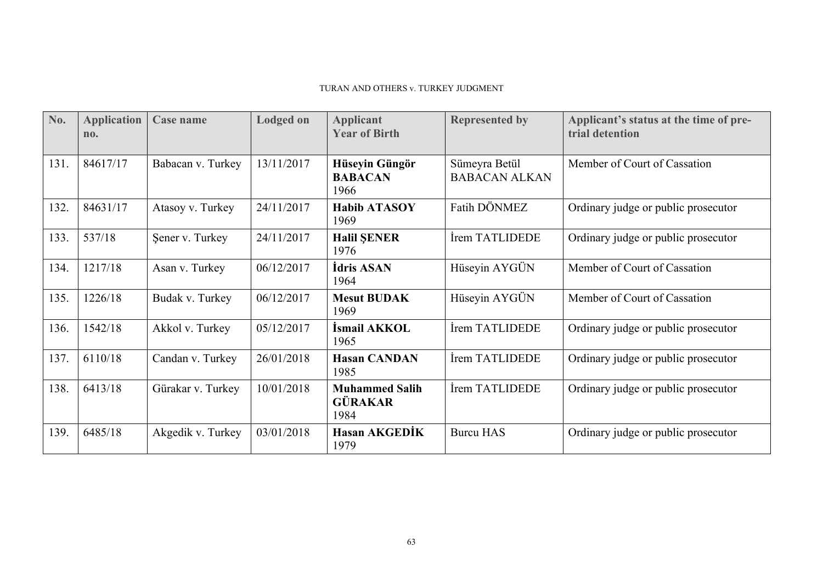| No.  | <b>Application</b><br>no. | <b>Case name</b>  | <b>Lodged on</b> | <b>Applicant</b><br><b>Year of Birth</b>        | <b>Represented by</b>                 | Applicant's status at the time of pre-<br>trial detention |
|------|---------------------------|-------------------|------------------|-------------------------------------------------|---------------------------------------|-----------------------------------------------------------|
| 131. | 84617/17                  | Babacan v. Turkey | 13/11/2017       | Hüseyin Güngör<br><b>BABACAN</b><br>1966        | Sümeyra Betül<br><b>BABACAN ALKAN</b> | Member of Court of Cassation                              |
| 132. | 84631/17                  | Atasoy v. Turkey  | 24/11/2017       | <b>Habib ATASOY</b><br>1969                     | Fatih DÖNMEZ                          | Ordinary judge or public prosecutor                       |
| 133. | 537/18                    | Sener v. Turkey   | 24/11/2017       | <b>Halil ŞENER</b><br>1976                      | Irem TATLIDEDE                        | Ordinary judge or public prosecutor                       |
| 134. | 1217/18                   | Asan v. Turkey    | 06/12/2017       | <b>Idris ASAN</b><br>1964                       | Hüseyin AYGÜN                         | Member of Court of Cassation                              |
| 135. | 1226/18                   | Budak v. Turkey   | 06/12/2017       | <b>Mesut BUDAK</b><br>1969                      | Hüseyin AYGÜN                         | Member of Court of Cassation                              |
| 136. | 1542/18                   | Akkol v. Turkey   | 05/12/2017       | İsmail AKKOL<br>1965                            | Irem TATLIDEDE                        | Ordinary judge or public prosecutor                       |
| 137. | 6110/18                   | Candan v. Turkey  | 26/01/2018       | <b>Hasan CANDAN</b><br>1985                     | İrem TATLIDEDE                        | Ordinary judge or public prosecutor                       |
| 138. | 6413/18                   | Gürakar v. Turkey | 10/01/2018       | <b>Muhammed Salih</b><br><b>GÜRAKAR</b><br>1984 | Irem TATLIDEDE                        | Ordinary judge or public prosecutor                       |
| 139. | 6485/18                   | Akgedik v. Turkey | 03/01/2018       | <b>Hasan AKGEDİK</b><br>1979                    | <b>Burcu HAS</b>                      | Ordinary judge or public prosecutor                       |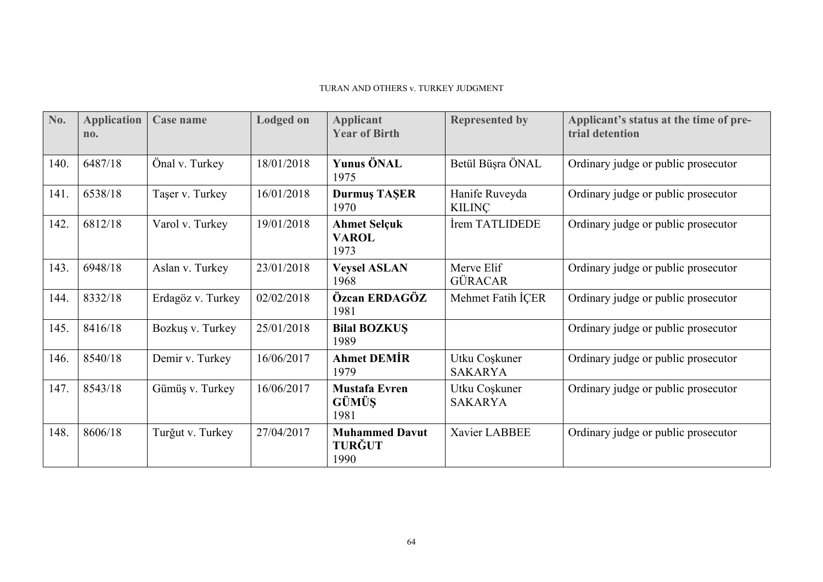| No.  | <b>Application</b><br>no. | <b>Case name</b>  | <b>Lodged on</b> | <b>Applicant</b><br><b>Year of Birth</b>       | <b>Represented by</b>           | Applicant's status at the time of pre-<br>trial detention |
|------|---------------------------|-------------------|------------------|------------------------------------------------|---------------------------------|-----------------------------------------------------------|
| 140. | 6487/18                   | Önal v. Turkey    | 18/01/2018       | <b>Yunus ÖNAL</b><br>1975                      | Betül Büşra ÖNAL                | Ordinary judge or public prosecutor                       |
| 141. | 6538/18                   | Taşer v. Turkey   | 16/01/2018       | <b>Durmuş TAŞER</b><br>1970                    | Hanife Ruveyda<br><b>KILINC</b> | Ordinary judge or public prosecutor                       |
| 142. | 6812/18                   | Varol v. Turkey   | 19/01/2018       | <b>Ahmet Selçuk</b><br><b>VAROL</b><br>1973    | İrem TATLIDEDE                  | Ordinary judge or public prosecutor                       |
| 143. | 6948/18                   | Aslan v. Turkey   | 23/01/2018       | <b>Veysel ASLAN</b><br>1968                    | Merve Elif<br><b>GÜRACAR</b>    | Ordinary judge or public prosecutor                       |
| 144. | 8332/18                   | Erdagöz v. Turkey | 02/02/2018       | Özcan ERDAGÖZ<br>1981                          | Mehmet Fatih ICER               | Ordinary judge or public prosecutor                       |
| 145. | 8416/18                   | Bozkuş v. Turkey  | 25/01/2018       | <b>Bilal BOZKUS</b><br>1989                    |                                 | Ordinary judge or public prosecutor                       |
| 146. | 8540/18                   | Demir v. Turkey   | 16/06/2017       | <b>Ahmet DEMIR</b><br>1979                     | Utku Coşkuner<br><b>SAKARYA</b> | Ordinary judge or public prosecutor                       |
| 147. | 8543/18                   | Gümüş v. Turkey   | 16/06/2017       | <b>Mustafa Evren</b><br><b>GÜMÜS</b><br>1981   | Utku Coşkuner<br><b>SAKARYA</b> | Ordinary judge or public prosecutor                       |
| 148. | 8606/18                   | Turğut v. Turkey  | 27/04/2017       | <b>Muhammed Davut</b><br><b>TURĞUT</b><br>1990 | Xavier LABBEE                   | Ordinary judge or public prosecutor                       |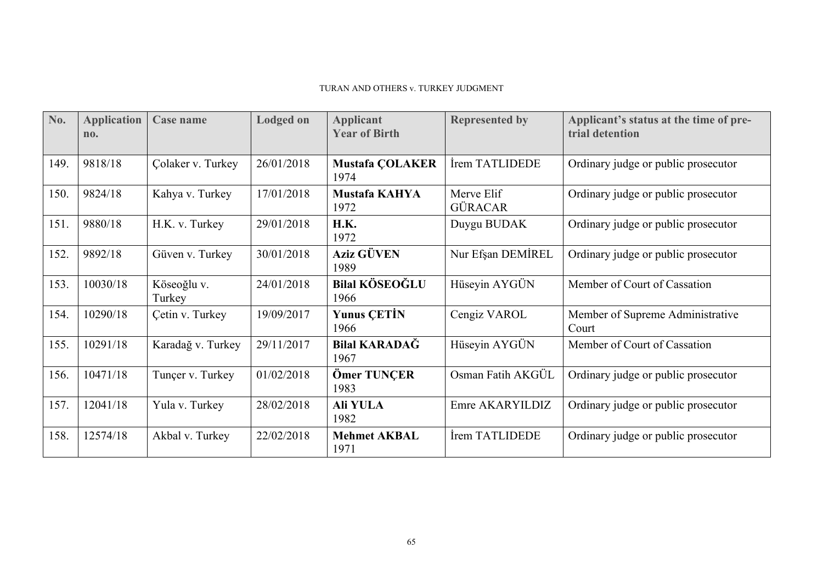| No.  | <b>Application</b><br>no. | Case name             | <b>Lodged on</b> | <b>Applicant</b><br><b>Year of Birth</b> | <b>Represented by</b>        | Applicant's status at the time of pre-<br>trial detention |
|------|---------------------------|-----------------------|------------------|------------------------------------------|------------------------------|-----------------------------------------------------------|
| 149. | 9818/18                   | Colaker v. Turkey     | 26/01/2018       | <b>Mustafa COLAKER</b><br>1974           | İrem TATLIDEDE               | Ordinary judge or public prosecutor                       |
| 150. | 9824/18                   | Kahya v. Turkey       | 17/01/2018       | <b>Mustafa KAHYA</b><br>1972             | Merve Elif<br><b>GÜRACAR</b> | Ordinary judge or public prosecutor                       |
| 151. | 9880/18                   | H.K. v. Turkey        | 29/01/2018       | <b>H.K.</b><br>1972                      | Duygu BUDAK                  | Ordinary judge or public prosecutor                       |
| 152. | 9892/18                   | Güven v. Turkey       | 30/01/2018       | <b>Aziz GÜVEN</b><br>1989                | Nur Efşan DEMİREL            | Ordinary judge or public prosecutor                       |
| 153. | 10030/18                  | Köseoğlu v.<br>Turkey | 24/01/2018       | <b>Bilal KÖSEOĞLU</b><br>1966            | Hüseyin AYGÜN                | Member of Court of Cassation                              |
| 154. | 10290/18                  | Cetin v. Turkey       | 19/09/2017       | <b>Yunus CETIN</b><br>1966               | Cengiz VAROL                 | Member of Supreme Administrative<br>Court                 |
| 155. | 10291/18                  | Karadağ v. Turkey     | 29/11/2017       | <b>Bilal KARADAĞ</b><br>1967             | Hüseyin AYGÜN                | Member of Court of Cassation                              |
| 156. | 10471/18                  | Tunçer v. Turkey      | 01/02/2018       | Ömer TUNÇER<br>1983                      | Osman Fatih AKGÜL            | Ordinary judge or public prosecutor                       |
| 157. | 12041/18                  | Yula v. Turkey        | 28/02/2018       | <b>Ali YULA</b><br>1982                  | Emre AKARYILDIZ              | Ordinary judge or public prosecutor                       |
| 158. | 12574/18                  | Akbal v. Turkey       | 22/02/2018       | <b>Mehmet AKBAL</b><br>1971              | İrem TATLIDEDE               | Ordinary judge or public prosecutor                       |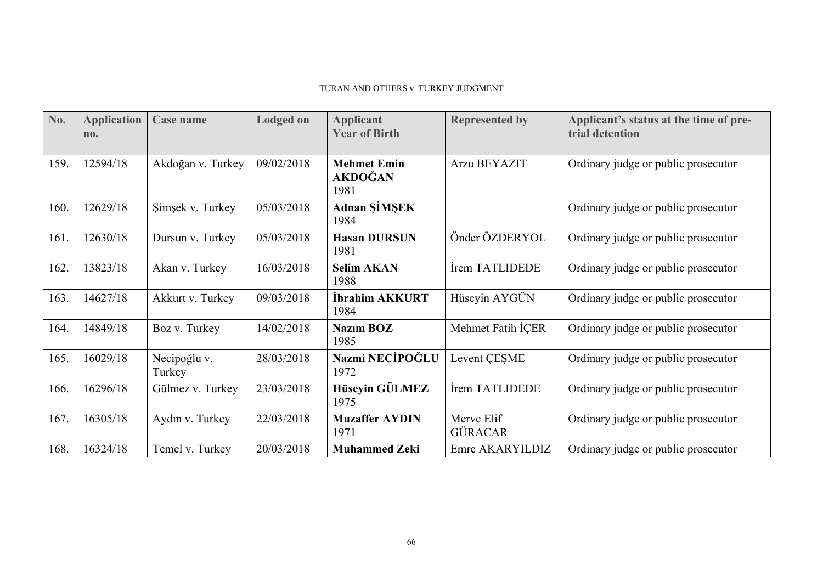| No.  | <b>Application</b><br>$n_{0}$ . | <b>Case name</b>       | <b>Lodged on</b> | <b>Applicant</b><br><b>Year of Birth</b>     | <b>Represented by</b>        | Applicant's status at the time of pre-<br>trial detention |
|------|---------------------------------|------------------------|------------------|----------------------------------------------|------------------------------|-----------------------------------------------------------|
| 159. | 12594/18                        | Akdoğan v. Turkey      | 09/02/2018       | <b>Mehmet Emin</b><br><b>AKDOĞAN</b><br>1981 | Arzu BEYAZIT                 | Ordinary judge or public prosecutor                       |
| 160. | 12629/18                        | Simsek v. Turkey       | 05/03/2018       | Adnan ŞİMŞEK<br>1984                         |                              | Ordinary judge or public prosecutor                       |
| 161. | 12630/18                        | Dursun v. Turkey       | 05/03/2018       | <b>Hasan DURSUN</b><br>1981                  | Önder ÖZDERYOL               | Ordinary judge or public prosecutor                       |
| 162. | 13823/18                        | Akan v. Turkey         | 16/03/2018       | <b>Selim AKAN</b><br>1988                    | Irem TATLIDEDE               | Ordinary judge or public prosecutor                       |
| 163. | 14627/18                        | Akkurt v. Turkey       | 09/03/2018       | İbrahim AKKURT<br>1984                       | Hüseyin AYGÜN                | Ordinary judge or public prosecutor                       |
| 164. | 14849/18                        | Boz v. Turkey          | 14/02/2018       | <b>Nazim BOZ</b><br>1985                     | Mehmet Fatih İÇER            | Ordinary judge or public prosecutor                       |
| 165. | 16029/18                        | Necipoğlu v.<br>Turkey | 28/03/2018       | Nazmi NECİPOĞLU<br>1972                      | Levent CESME                 | Ordinary judge or public prosecutor                       |
| 166. | 16296/18                        | Gülmez v. Turkey       | 23/03/2018       | Hüseyin GÜLMEZ<br>1975                       | İrem TATLIDEDE               | Ordinary judge or public prosecutor                       |
| 167. | 16305/18                        | Aydın v. Turkey        | 22/03/2018       | <b>Muzaffer AYDIN</b><br>1971                | Merve Elif<br><b>GÜRACAR</b> | Ordinary judge or public prosecutor                       |
| 168. | 16324/18                        | Temel v. Turkey        | 20/03/2018       | <b>Muhammed Zeki</b>                         | Emre AKARYILDIZ              | Ordinary judge or public prosecutor                       |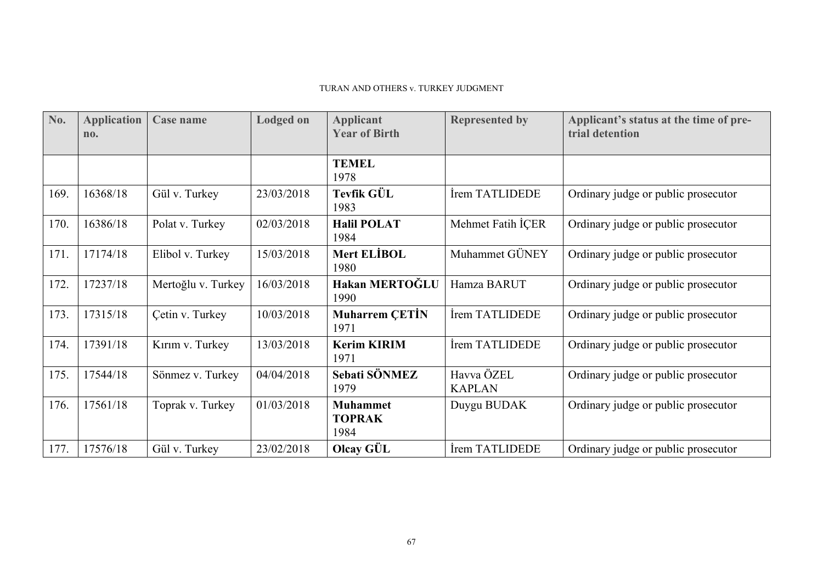| No.  | <b>Application</b><br>no. | <b>Case name</b>   | <b>Lodged on</b> | <b>Applicant</b><br><b>Year of Birth</b> | <b>Represented by</b>       | Applicant's status at the time of pre-<br>trial detention |
|------|---------------------------|--------------------|------------------|------------------------------------------|-----------------------------|-----------------------------------------------------------|
|      |                           |                    |                  | <b>TEMEL</b><br>1978                     |                             |                                                           |
| 169. | 16368/18                  | Gül v. Turkey      | 23/03/2018       | <b>Tevfik GÜL</b><br>1983                | İrem TATLIDEDE              | Ordinary judge or public prosecutor                       |
| 170. | 16386/18                  | Polat v. Turkey    | 02/03/2018       | <b>Halil POLAT</b><br>1984               | Mehmet Fatih İÇER           | Ordinary judge or public prosecutor                       |
| 171. | 17174/18                  | Elibol v. Turkey   | 15/03/2018       | <b>Mert ELIBOL</b><br>1980               | Muhammet GÜNEY              | Ordinary judge or public prosecutor                       |
| 172. | 17237/18                  | Mertoğlu v. Turkey | 16/03/2018       | Hakan MERTOĞLU<br>1990                   | Hamza BARUT                 | Ordinary judge or public prosecutor                       |
| 173. | 17315/18                  | Çetin v. Turkey    | 10/03/2018       | <b>Muharrem CETIN</b><br>1971            | İrem TATLIDEDE              | Ordinary judge or public prosecutor                       |
| 174. | 17391/18                  | Kırım v. Turkey    | 13/03/2018       | <b>Kerim KIRIM</b><br>1971               | Irem TATLIDEDE              | Ordinary judge or public prosecutor                       |
| 175. | 17544/18                  | Sönmez v. Turkey   | 04/04/2018       | Sebati SÖNMEZ<br>1979                    | Havva ÖZEL<br><b>KAPLAN</b> | Ordinary judge or public prosecutor                       |
| 176. | 17561/18                  | Toprak v. Turkey   | 01/03/2018       | <b>Muhammet</b><br><b>TOPRAK</b><br>1984 | Duygu BUDAK                 | Ordinary judge or public prosecutor                       |
| 177. | 17576/18                  | Gül v. Turkey      | 23/02/2018       | Olcay GÜL                                | İrem TATLIDEDE              | Ordinary judge or public prosecutor                       |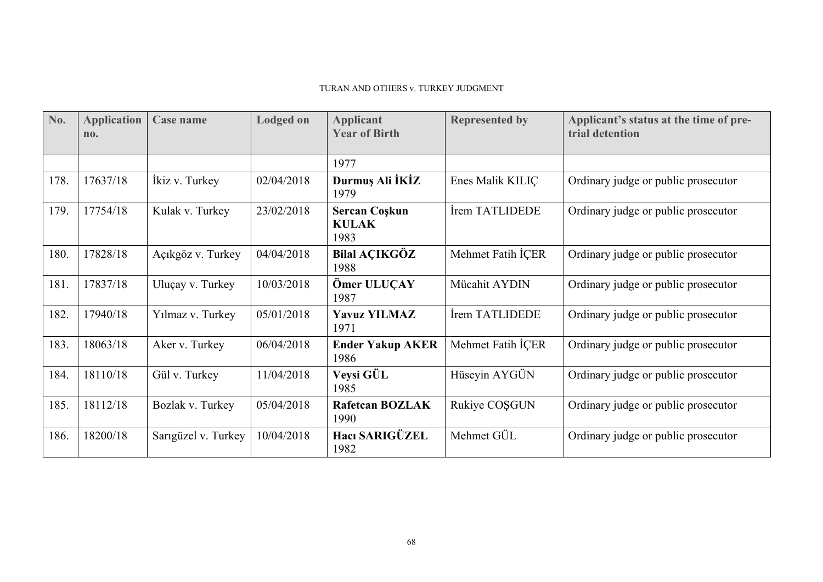| No.  | <b>Application</b><br>no. | <b>Case name</b>    | <b>Lodged on</b> | <b>Applicant</b><br><b>Year of Birth</b>     | <b>Represented by</b> | Applicant's status at the time of pre-<br>trial detention |
|------|---------------------------|---------------------|------------------|----------------------------------------------|-----------------------|-----------------------------------------------------------|
|      |                           |                     |                  | 1977                                         |                       |                                                           |
| 178. | 17637/18                  | İkiz v. Turkey      | 02/04/2018       | Durmuş Ali İKİZ<br>1979                      | Enes Malik KILIÇ      | Ordinary judge or public prosecutor                       |
| 179. | 17754/18                  | Kulak v. Turkey     | 23/02/2018       | <b>Sercan Coşkun</b><br><b>KULAK</b><br>1983 | Irem TATLIDEDE        | Ordinary judge or public prosecutor                       |
| 180. | 17828/18                  | Açıkgöz v. Turkey   | 04/04/2018       | <b>Bilal AÇIKGÖZ</b><br>1988                 | Mehmet Fatih İÇER     | Ordinary judge or public prosecutor                       |
| 181. | 17837/18                  | Uluçay v. Turkey    | 10/03/2018       | Ömer ULUÇAY<br>1987                          | Mücahit AYDIN         | Ordinary judge or public prosecutor                       |
| 182. | 17940/18                  | Yılmaz v. Turkey    | 05/01/2018       | <b>Yavuz YILMAZ</b><br>1971                  | İrem TATLIDEDE        | Ordinary judge or public prosecutor                       |
| 183. | 18063/18                  | Aker v. Turkey      | 06/04/2018       | <b>Ender Yakup AKER</b><br>1986              | Mehmet Fatih ICER     | Ordinary judge or public prosecutor                       |
| 184. | 18110/18                  | Gül v. Turkey       | 11/04/2018       | Veysi GÜL<br>1985                            | Hüseyin AYGÜN         | Ordinary judge or public prosecutor                       |
| 185. | 18112/18                  | Bozlak v. Turkey    | 05/04/2018       | <b>Rafetcan BOZLAK</b><br>1990               | Rukiye COSGUN         | Ordinary judge or public prosecutor                       |
| 186. | 18200/18                  | Sarıgüzel v. Turkey | 10/04/2018       | <b>Hacı SARIGÜZEL</b><br>1982                | Mehmet GÜL            | Ordinary judge or public prosecutor                       |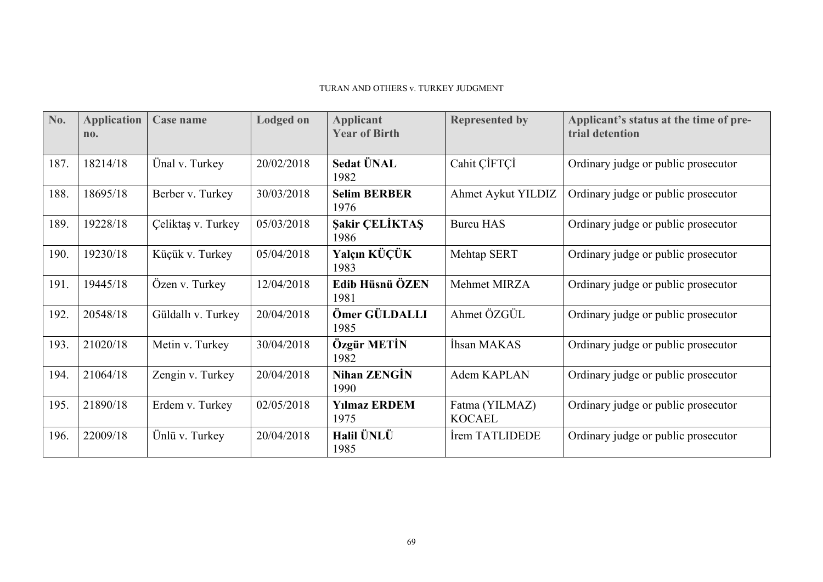| No.  | <b>Application</b><br>no. | <b>Case name</b>   | <b>Lodged on</b> | <b>Applicant</b><br><b>Year of Birth</b> | <b>Represented by</b>           | Applicant's status at the time of pre-<br>trial detention |
|------|---------------------------|--------------------|------------------|------------------------------------------|---------------------------------|-----------------------------------------------------------|
| 187. | 18214/18                  | Ünal v. Turkey     | 20/02/2018       | Sedat UNAL<br>1982                       | Cahit CİFTCİ                    | Ordinary judge or public prosecutor                       |
| 188. | 18695/18                  | Berber v. Turkey   | 30/03/2018       | <b>Selim BERBER</b><br>1976              | Ahmet Aykut YILDIZ              | Ordinary judge or public prosecutor                       |
| 189. | 19228/18                  | Çeliktaş v. Turkey | 05/03/2018       | Sakir CELIKTAS<br>1986                   | <b>Burcu HAS</b>                | Ordinary judge or public prosecutor                       |
| 190. | 19230/18                  | Küçük v. Turkey    | 05/04/2018       | Yalçın KÜÇÜK<br>1983                     | Mehtap SERT                     | Ordinary judge or public prosecutor                       |
| 191. | 19445/18                  | Özen v. Turkey     | 12/04/2018       | Edib Hüsnü ÖZEN<br>1981                  | Mehmet MIRZA                    | Ordinary judge or public prosecutor                       |
| 192. | 20548/18                  | Güldallı v. Turkey | 20/04/2018       | Ömer GÜLDALLI<br>1985                    | Ahmet ÖZGÜL                     | Ordinary judge or public prosecutor                       |
| 193. | 21020/18                  | Metin v. Turkey    | 30/04/2018       | Özgür METİN<br>1982                      | İhsan MAKAS                     | Ordinary judge or public prosecutor                       |
| 194. | 21064/18                  | Zengin v. Turkey   | 20/04/2018       | <b>Nihan ZENGIN</b><br>1990              | Adem KAPLAN                     | Ordinary judge or public prosecutor                       |
| 195. | 21890/18                  | Erdem v. Turkey    | 02/05/2018       | <b>Yilmaz ERDEM</b><br>1975              | Fatma (YILMAZ)<br><b>KOCAEL</b> | Ordinary judge or public prosecutor                       |
| 196. | 22009/18                  | Ünlü v. Turkey     | 20/04/2018       | Halil ÜNLÜ<br>1985                       | Irem TATLIDEDE                  | Ordinary judge or public prosecutor                       |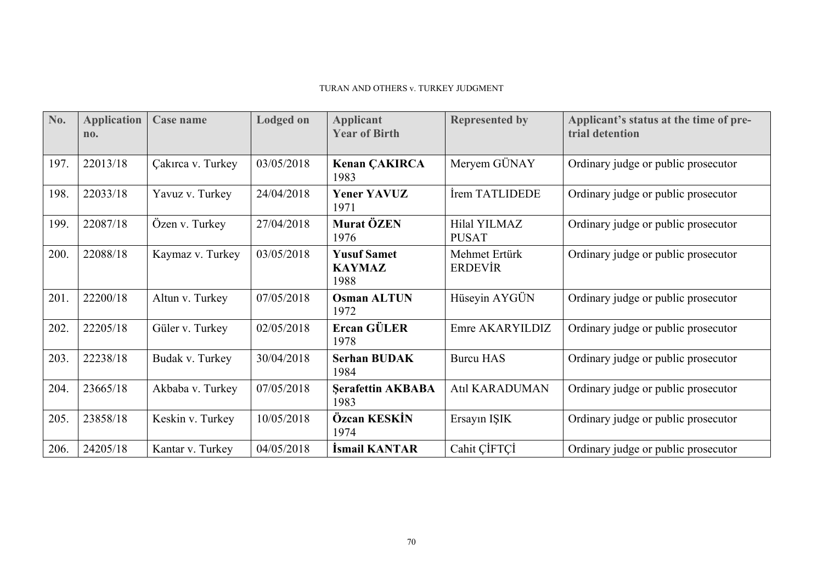| No.  | <b>Application</b><br>n <sub>0</sub> | <b>Case name</b>  | <b>Lodged on</b> | <b>Applicant</b><br><b>Year of Birth</b>    | <b>Represented by</b>               | Applicant's status at the time of pre-<br>trial detention |
|------|--------------------------------------|-------------------|------------------|---------------------------------------------|-------------------------------------|-----------------------------------------------------------|
| 197. | 22013/18                             | Çakırca v. Turkey | 03/05/2018       | <b>Kenan ÇAKIRCA</b><br>1983                | Meryem GÜNAY                        | Ordinary judge or public prosecutor                       |
| 198. | 22033/18                             | Yavuz v. Turkey   | 24/04/2018       | <b>Yener YAVUZ</b><br>1971                  | İrem TATLIDEDE                      | Ordinary judge or public prosecutor                       |
| 199. | 22087/18                             | Özen v. Turkey    | 27/04/2018       | Murat ÖZEN<br>1976                          | <b>Hilal YILMAZ</b><br><b>PUSAT</b> | Ordinary judge or public prosecutor                       |
| 200. | 22088/18                             | Kaymaz v. Turkey  | 03/05/2018       | <b>Yusuf Samet</b><br><b>KAYMAZ</b><br>1988 | Mehmet Ertürk<br><b>ERDEVIR</b>     | Ordinary judge or public prosecutor                       |
| 201. | 22200/18                             | Altun v. Turkey   | 07/05/2018       | <b>Osman ALTUN</b><br>1972                  | Hüseyin AYGÜN                       | Ordinary judge or public prosecutor                       |
| 202. | 22205/18                             | Güler v. Turkey   | 02/05/2018       | Ercan GÜLER<br>1978                         | Emre AKARYILDIZ                     | Ordinary judge or public prosecutor                       |
| 203. | 22238/18                             | Budak v. Turkey   | 30/04/2018       | <b>Serhan BUDAK</b><br>1984                 | <b>Burcu HAS</b>                    | Ordinary judge or public prosecutor                       |
| 204. | 23665/18                             | Akbaba v. Turkey  | 07/05/2018       | <b>Serafettin AKBABA</b><br>1983            | <b>Atıl KARADUMAN</b>               | Ordinary judge or public prosecutor                       |
| 205. | 23858/18                             | Keskin v. Turkey  | 10/05/2018       | Özcan KESKİN<br>1974                        | Ersayın IŞIK                        | Ordinary judge or public prosecutor                       |
| 206. | 24205/18                             | Kantar v. Turkey  | 04/05/2018       | İsmail KANTAR                               | Cahit CIFTCI                        | Ordinary judge or public prosecutor                       |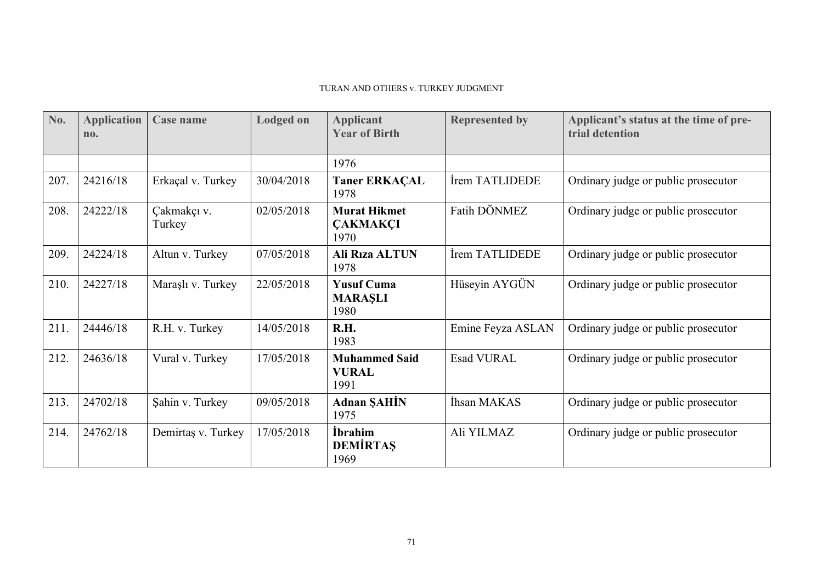| No.  | <b>Application</b><br>no. | <b>Case name</b>      | <b>Lodged on</b> | <b>Applicant</b><br><b>Year of Birth</b>       | <b>Represented by</b> | Applicant's status at the time of pre-<br>trial detention |
|------|---------------------------|-----------------------|------------------|------------------------------------------------|-----------------------|-----------------------------------------------------------|
|      |                           |                       |                  | 1976                                           |                       |                                                           |
| 207. | 24216/18                  | Erkaçal v. Turkey     | 30/04/2018       | <b>Taner ERKAÇAL</b><br>1978                   | Irem TATLIDEDE        | Ordinary judge or public prosecutor                       |
| 208. | 24222/18                  | Çakmakçı v.<br>Turkey | 02/05/2018       | <b>Murat Hikmet</b><br><b>ÇAKMAKÇI</b><br>1970 | Fatih DÖNMEZ          | Ordinary judge or public prosecutor                       |
| 209. | 24224/18                  | Altun v. Turkey       | 07/05/2018       | <b>Ali Riza ALTUN</b><br>1978                  | İrem TATLIDEDE        | Ordinary judge or public prosecutor                       |
| 210. | 24227/18                  | Maraşlı v. Turkey     | 22/05/2018       | <b>Yusuf Cuma</b><br><b>MARAŞLI</b><br>1980    | Hüseyin AYGÜN         | Ordinary judge or public prosecutor                       |
| 211. | 24446/18                  | R.H. v. Turkey        | 14/05/2018       | R.H.<br>1983                                   | Emine Feyza ASLAN     | Ordinary judge or public prosecutor                       |
| 212. | 24636/18                  | Vural v. Turkey       | 17/05/2018       | <b>Muhammed Said</b><br><b>VURAL</b><br>1991   | <b>Esad VURAL</b>     | Ordinary judge or public prosecutor                       |
| 213. | 24702/18                  | Şahin v. Turkey       | 09/05/2018       | <b>Adnan SAHIN</b><br>1975                     | İhsan MAKAS           | Ordinary judge or public prosecutor                       |
| 214. | 24762/18                  | Demirtaş v. Turkey    | 17/05/2018       | <i>i</i> brahim<br><b>DEMIRTAS</b><br>1969     | Ali YILMAZ            | Ordinary judge or public prosecutor                       |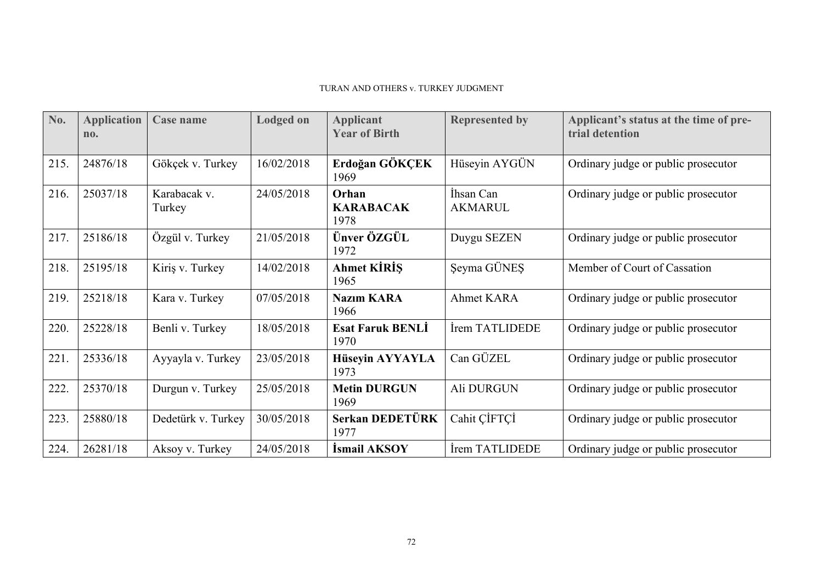| No.  | <b>Application</b><br>$n_{0}$ . | Case name              | <b>Lodged on</b> | <b>Applicant</b><br><b>Year of Birth</b> | <b>Represented by</b>       | Applicant's status at the time of pre-<br>trial detention |
|------|---------------------------------|------------------------|------------------|------------------------------------------|-----------------------------|-----------------------------------------------------------|
| 215. | 24876/18                        | Gökçek v. Turkey       | 16/02/2018       | Erdoğan GÖKÇEK<br>1969                   | Hüseyin AYGÜN               | Ordinary judge or public prosecutor                       |
| 216. | 25037/18                        | Karabacak v.<br>Turkey | 24/05/2018       | Orhan<br><b>KARABACAK</b><br>1978        | Ihsan Can<br><b>AKMARUL</b> | Ordinary judge or public prosecutor                       |
| 217. | 25186/18                        | Özgül v. Turkey        | 21/05/2018       | Ünver ÖZGÜL<br>1972                      | Duygu SEZEN                 | Ordinary judge or public prosecutor                       |
| 218. | 25195/18                        | Kiriş v. Turkey        | 14/02/2018       | <b>Ahmet KİRİŞ</b><br>1965               | Şeyma GÜNEŞ                 | Member of Court of Cassation                              |
| 219. | 25218/18                        | Kara v. Turkey         | 07/05/2018       | <b>Nazım KARA</b><br>1966                | Ahmet KARA                  | Ordinary judge or public prosecutor                       |
| 220. | 25228/18                        | Benli v. Turkey        | 18/05/2018       | <b>Esat Faruk BENLI</b><br>1970          | İrem TATLIDEDE              | Ordinary judge or public prosecutor                       |
| 221. | 25336/18                        | Ayyayla v. Turkey      | 23/05/2018       | Hüseyin AYYAYLA<br>1973                  | Can GÜZEL                   | Ordinary judge or public prosecutor                       |
| 222. | 25370/18                        | Durgun v. Turkey       | 25/05/2018       | <b>Metin DURGUN</b><br>1969              | Ali DURGUN                  | Ordinary judge or public prosecutor                       |
| 223. | 25880/18                        | Dedetürk v. Turkey     | 30/05/2018       | Serkan DEDETÜRK<br>1977                  | Cahit CİFTCİ                | Ordinary judge or public prosecutor                       |
| 224. | 26281/18                        | Aksoy v. Turkey        | 24/05/2018       | <b>İsmail AKSOY</b>                      | Irem TATLIDEDE              | Ordinary judge or public prosecutor                       |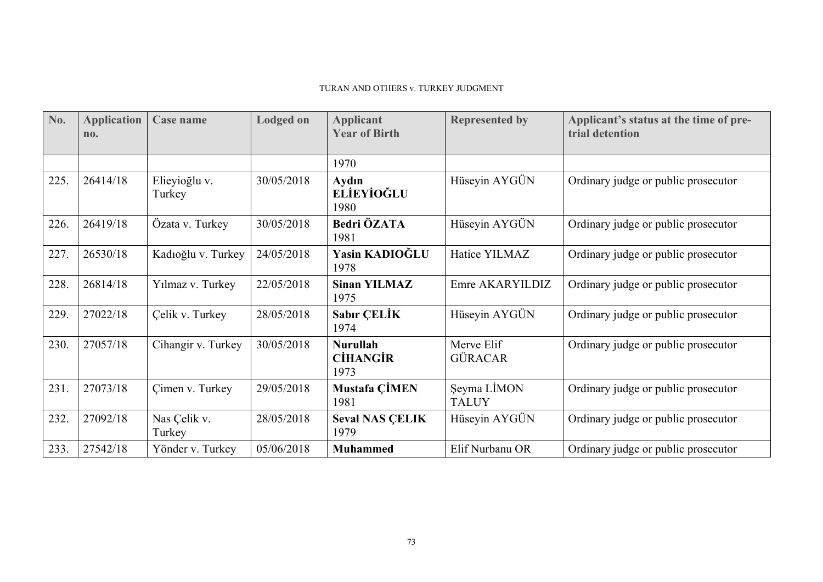| No.  | <b>Application</b><br>no. | Case name               | <b>Lodged on</b> | <b>Applicant</b><br><b>Year of Birth</b>   | <b>Represented by</b>        | Applicant's status at the time of pre-<br>trial detention |
|------|---------------------------|-------------------------|------------------|--------------------------------------------|------------------------------|-----------------------------------------------------------|
|      |                           |                         |                  | 1970                                       |                              |                                                           |
| 225. | 26414/18                  | Elieyioğlu v.<br>Turkey | 30/05/2018       | Aydın<br><b>ELIEYIOĞLU</b><br>1980         | Hüseyin AYGÜN                | Ordinary judge or public prosecutor                       |
| 226. | 26419/18                  | Özata v. Turkey         | 30/05/2018       | Bedri ÖZATA<br>1981                        | Hüseyin AYGÜN                | Ordinary judge or public prosecutor                       |
| 227. | 26530/18                  | Kadıoğlu v. Turkey      | 24/05/2018       | Yasin KADIOĞLU<br>1978                     | Hatice YILMAZ                | Ordinary judge or public prosecutor                       |
| 228. | 26814/18                  | Yılmaz v. Turkey        | 22/05/2018       | <b>Sinan YILMAZ</b><br>1975                | Emre AKARYILDIZ              | Ordinary judge or public prosecutor                       |
| 229. | 27022/18                  | Çelik v. Turkey         | 28/05/2018       | <b>Sabir CELIK</b><br>1974                 | Hüseyin AYGÜN                | Ordinary judge or public prosecutor                       |
| 230. | 27057/18                  | Cihangir v. Turkey      | 30/05/2018       | <b>Nurullah</b><br><b>CİHANGİR</b><br>1973 | Merve Elif<br><b>GÜRACAR</b> | Ordinary judge or public prosecutor                       |
| 231. | 27073/18                  | Cimen v. Turkey         | 29/05/2018       | <b>Mustafa CIMEN</b><br>1981               | Şeyma LİMON<br><b>TALUY</b>  | Ordinary judge or public prosecutor                       |
| 232. | 27092/18                  | Nas Çelik v.<br>Turkey  | 28/05/2018       | <b>Seval NAS CELIK</b><br>1979             | Hüseyin AYGÜN                | Ordinary judge or public prosecutor                       |
| 233. | 27542/18                  | Yönder v. Turkey        | 05/06/2018       | <b>Muhammed</b>                            | Elif Nurbanu OR              | Ordinary judge or public prosecutor                       |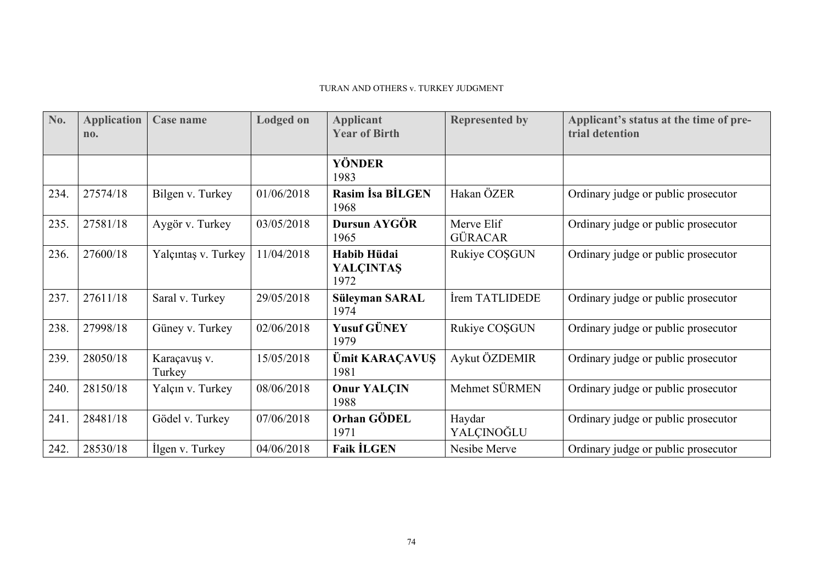| No.  | <b>Application</b><br>no. | Case name              | <b>Lodged on</b> | <b>Applicant</b><br><b>Year of Birth</b> | <b>Represented by</b>        | Applicant's status at the time of pre-<br>trial detention |
|------|---------------------------|------------------------|------------------|------------------------------------------|------------------------------|-----------------------------------------------------------|
|      |                           |                        |                  | YÖNDER<br>1983                           |                              |                                                           |
| 234. | 27574/18                  | Bilgen v. Turkey       | 01/06/2018       | <b>Rasim Isa BILGEN</b><br>1968          | Hakan ÖZER                   | Ordinary judge or public prosecutor                       |
| 235. | 27581/18                  | Aygör v. Turkey        | 03/05/2018       | Dursun AYGÖR<br>1965                     | Merve Elif<br><b>GÜRACAR</b> | Ordinary judge or public prosecutor                       |
| 236. | 27600/18                  | Yalçıntaş v. Turkey    | 11/04/2018       | Habib Hüdai<br><b>YALCINTAS</b><br>1972  | Rukiye COŞGUN                | Ordinary judge or public prosecutor                       |
| 237. | 27611/18                  | Saral v. Turkey        | 29/05/2018       | Süleyman SARAL<br>1974                   | İrem TATLIDEDE               | Ordinary judge or public prosecutor                       |
| 238. | 27998/18                  | Güney v. Turkey        | 02/06/2018       | <b>Yusuf GÜNEY</b><br>1979               | Rukiye COSGUN                | Ordinary judge or public prosecutor                       |
| 239. | 28050/18                  | Karaçavuş v.<br>Turkey | 15/05/2018       | <b>Ümit KARAÇAVUŞ</b><br>1981            | Aykut ÖZDEMIR                | Ordinary judge or public prosecutor                       |
| 240. | 28150/18                  | Yalçın v. Turkey       | 08/06/2018       | <b>Onur YALCIN</b><br>1988               | Mehmet SÜRMEN                | Ordinary judge or public prosecutor                       |
| 241. | 28481/18                  | Gödel v. Turkey        | 07/06/2018       | Orhan GÖDEL<br>1971                      | Haydar<br>YALÇINOĞLU         | Ordinary judge or public prosecutor                       |
| 242. | 28530/18                  | Ilgen v. Turkey        | 04/06/2018       | <b>Faik İLGEN</b>                        | Nesibe Merve                 | Ordinary judge or public prosecutor                       |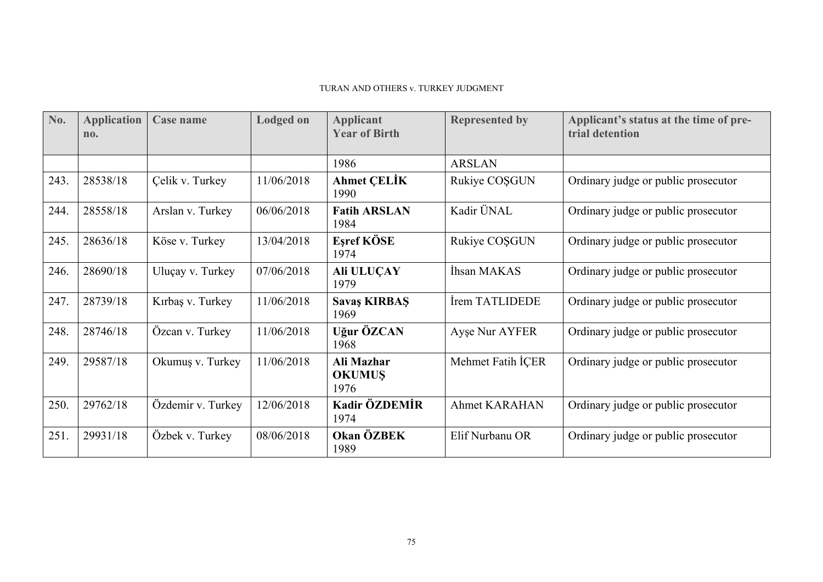| No.  | <b>Application</b><br>no. | <b>Case name</b>  | <b>Lodged</b> on | <b>Applicant</b><br><b>Year of Birth</b> | <b>Represented by</b> | Applicant's status at the time of pre-<br>trial detention |
|------|---------------------------|-------------------|------------------|------------------------------------------|-----------------------|-----------------------------------------------------------|
|      |                           |                   |                  | 1986                                     | <b>ARSLAN</b>         |                                                           |
| 243. | 28538/18                  | Çelik v. Turkey   | 11/06/2018       | <b>Ahmet CELIK</b><br>1990               | Rukiye COŞGUN         | Ordinary judge or public prosecutor                       |
| 244. | 28558/18                  | Arslan v. Turkey  | 06/06/2018       | <b>Fatih ARSLAN</b><br>1984              | Kadir ÜNAL            | Ordinary judge or public prosecutor                       |
| 245. | 28636/18                  | Köse v. Turkey    | 13/04/2018       | Esref KÖSE<br>1974                       | Rukiye COŞGUN         | Ordinary judge or public prosecutor                       |
| 246. | 28690/18                  | Uluçay v. Turkey  | 07/06/2018       | Ali ULUÇAY<br>1979                       | İhsan MAKAS           | Ordinary judge or public prosecutor                       |
| 247. | 28739/18                  | Kırbaş v. Turkey  | 11/06/2018       | <b>Savaş KIRBAŞ</b><br>1969              | Irem TATLIDEDE        | Ordinary judge or public prosecutor                       |
| 248. | 28746/18                  | Özcan v. Turkey   | 11/06/2018       | Uğur ÖZCAN<br>1968                       | Ayse Nur AYFER        | Ordinary judge or public prosecutor                       |
| 249. | 29587/18                  | Okumuş v. Turkey  | 11/06/2018       | Ali Mazhar<br><b>OKUMUŞ</b><br>1976      | Mehmet Fatih İÇER     | Ordinary judge or public prosecutor                       |
| 250. | 29762/18                  | Özdemir v. Turkey | 12/06/2018       | Kadir ÖZDEMİR<br>1974                    | <b>Ahmet KARAHAN</b>  | Ordinary judge or public prosecutor                       |
| 251. | 29931/18                  | Özbek v. Turkey   | 08/06/2018       | Okan ÖZBEK<br>1989                       | Elif Nurbanu OR       | Ordinary judge or public prosecutor                       |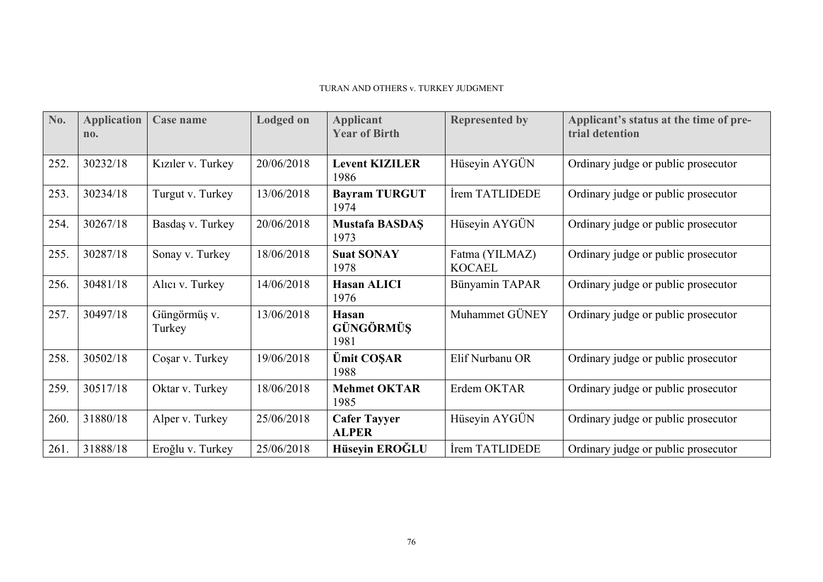| No.  | <b>Application</b><br>n <sub>0</sub> | Case name              | <b>Lodged on</b> | <b>Applicant</b><br><b>Year of Birth</b> | <b>Represented by</b>           | Applicant's status at the time of pre-<br>trial detention |
|------|--------------------------------------|------------------------|------------------|------------------------------------------|---------------------------------|-----------------------------------------------------------|
| 252. | 30232/18                             | Kiziler v. Turkey      | 20/06/2018       | <b>Levent KIZILER</b><br>1986            | Hüseyin AYGÜN                   | Ordinary judge or public prosecutor                       |
| 253. | 30234/18                             | Turgut v. Turkey       | 13/06/2018       | <b>Bayram TURGUT</b><br>1974             | Irem TATLIDEDE                  | Ordinary judge or public prosecutor                       |
| 254. | 30267/18                             | Basdaş v. Turkey       | 20/06/2018       | <b>Mustafa BASDAS</b><br>1973            | Hüseyin AYGÜN                   | Ordinary judge or public prosecutor                       |
| 255. | 30287/18                             | Sonay v. Turkey        | 18/06/2018       | <b>Suat SONAY</b><br>1978                | Fatma (YILMAZ)<br><b>KOCAEL</b> | Ordinary judge or public prosecutor                       |
| 256. | 30481/18                             | Alici v. Turkey        | 14/06/2018       | <b>Hasan ALICI</b><br>1976               | Bünyamin TAPAR                  | Ordinary judge or public prosecutor                       |
| 257. | 30497/18                             | Güngörmüş v.<br>Turkey | 13/06/2018       | Hasan<br><b>GÜNGÖRMÜS</b><br>1981        | Muhammet GÜNEY                  | Ordinary judge or public prosecutor                       |
| 258. | 30502/18                             | Coşar v. Turkey        | 19/06/2018       | Ümit COŞAR<br>1988                       | Elif Nurbanu OR                 | Ordinary judge or public prosecutor                       |
| 259. | 30517/18                             | Oktar v. Turkey        | 18/06/2018       | <b>Mehmet OKTAR</b><br>1985              | Erdem OKTAR                     | Ordinary judge or public prosecutor                       |
| 260. | 31880/18                             | Alper v. Turkey        | 25/06/2018       | <b>Cafer Tayyer</b><br><b>ALPER</b>      | Hüseyin AYGÜN                   | Ordinary judge or public prosecutor                       |
| 261. | 31888/18                             | Eroğlu v. Turkey       | 25/06/2018       | Hüseyin EROĞLU                           | Irem TATLIDEDE                  | Ordinary judge or public prosecutor                       |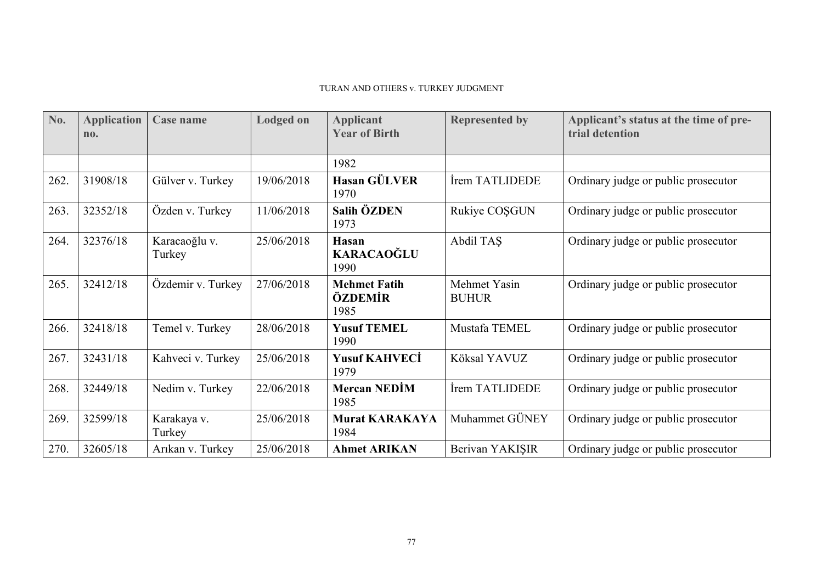| No.  | <b>Application</b><br>no. | <b>Case name</b>        | <b>Lodged on</b> | <b>Applicant</b><br><b>Year of Birth</b> | <b>Represented by</b>        | Applicant's status at the time of pre-<br>trial detention |
|------|---------------------------|-------------------------|------------------|------------------------------------------|------------------------------|-----------------------------------------------------------|
|      |                           |                         |                  | 1982                                     |                              |                                                           |
| 262. | 31908/18                  | Gülver v. Turkey        | 19/06/2018       | <b>Hasan GÜLVER</b><br>1970              | İrem TATLIDEDE               | Ordinary judge or public prosecutor                       |
| 263. | 32352/18                  | Özden v. Turkey         | 11/06/2018       | Salih ÖZDEN<br>1973                      | Rukiye COŞGUN                | Ordinary judge or public prosecutor                       |
| 264. | 32376/18                  | Karacaoğlu v.<br>Turkey | 25/06/2018       | Hasan<br><b>KARACAOĞLU</b><br>1990       | Abdil TAS                    | Ordinary judge or public prosecutor                       |
| 265. | 32412/18                  | Özdemir v. Turkey       | 27/06/2018       | <b>Mehmet Fatih</b><br>ÖZDEMİR<br>1985   | Mehmet Yasin<br><b>BUHUR</b> | Ordinary judge or public prosecutor                       |
| 266. | 32418/18                  | Temel v. Turkey         | 28/06/2018       | <b>Yusuf TEMEL</b><br>1990               | Mustafa TEMEL                | Ordinary judge or public prosecutor                       |
| 267. | 32431/18                  | Kahveci v. Turkey       | 25/06/2018       | <b>Yusuf KAHVECI</b><br>1979             | Köksal YAVUZ                 | Ordinary judge or public prosecutor                       |
| 268. | 32449/18                  | Nedim v. Turkey         | 22/06/2018       | <b>Mercan NEDIM</b><br>1985              | İrem TATLIDEDE               | Ordinary judge or public prosecutor                       |
| 269. | 32599/18                  | Karakaya v.<br>Turkey   | 25/06/2018       | <b>Murat KARAKAYA</b><br>1984            | Muhammet GÜNEY               | Ordinary judge or public prosecutor                       |
| 270. | 32605/18                  | Arıkan v. Turkey        | 25/06/2018       | <b>Ahmet ARIKAN</b>                      | Berivan YAKIŞIR              | Ordinary judge or public prosecutor                       |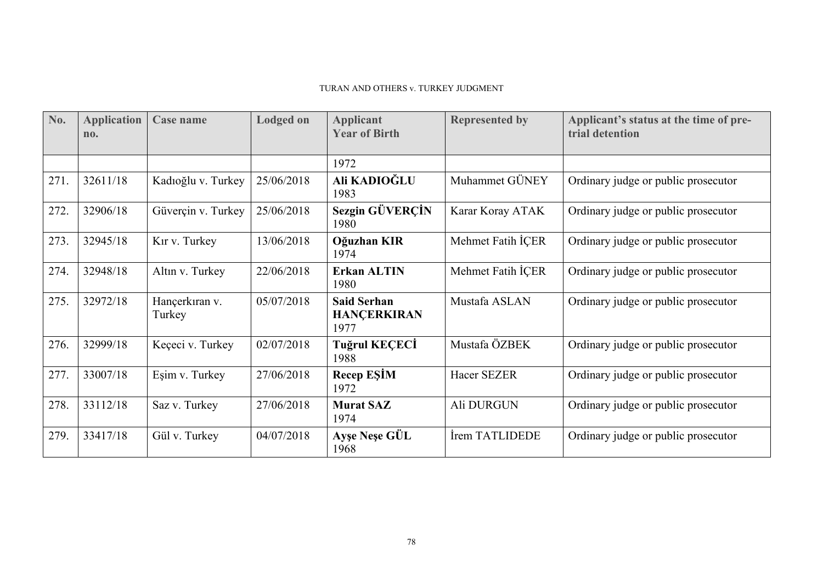| No.  | <b>Application</b><br>no. | <b>Case name</b>         | <b>Lodged on</b> | <b>Applicant</b><br><b>Year of Birth</b>         | <b>Represented by</b> | Applicant's status at the time of pre-<br>trial detention |
|------|---------------------------|--------------------------|------------------|--------------------------------------------------|-----------------------|-----------------------------------------------------------|
|      |                           |                          |                  | 1972                                             |                       |                                                           |
| 271. | 32611/18                  | Kadıoğlu v. Turkey       | 25/06/2018       | Ali KADIOĞLU<br>1983                             | Muhammet GÜNEY        | Ordinary judge or public prosecutor                       |
| 272. | 32906/18                  | Güverçin v. Turkey       | 25/06/2018       | <b>Sezgin GÜVERÇİN</b><br>1980                   | Karar Koray ATAK      | Ordinary judge or public prosecutor                       |
| 273. | 32945/18                  | Kır v. Turkey            | 13/06/2018       | Oğuzhan KIR<br>1974                              | Mehmet Fatih İÇER     | Ordinary judge or public prosecutor                       |
| 274. | 32948/18                  | Altın v. Turkey          | 22/06/2018       | <b>Erkan ALTIN</b><br>1980                       | Mehmet Fatih ICER     | Ordinary judge or public prosecutor                       |
| 275. | 32972/18                  | Hançerkıran v.<br>Turkey | 05/07/2018       | <b>Said Serhan</b><br><b>HANCERKIRAN</b><br>1977 | Mustafa ASLAN         | Ordinary judge or public prosecutor                       |
| 276. | 32999/18                  | Keçeci v. Turkey         | 02/07/2018       | Tuğrul KEÇECİ<br>1988                            | Mustafa ÖZBEK         | Ordinary judge or public prosecutor                       |
| 277. | 33007/18                  | Eşim v. Turkey           | 27/06/2018       | Recep ESIM<br>1972                               | <b>Hacer SEZER</b>    | Ordinary judge or public prosecutor                       |
| 278. | 33112/18                  | Saz v. Turkey            | 27/06/2018       | <b>Murat SAZ</b><br>1974                         | Ali DURGUN            | Ordinary judge or public prosecutor                       |
| 279. | 33417/18                  | Gül v. Turkey            | 04/07/2018       | Ayse Nese GÜL<br>1968                            | İrem TATLIDEDE        | Ordinary judge or public prosecutor                       |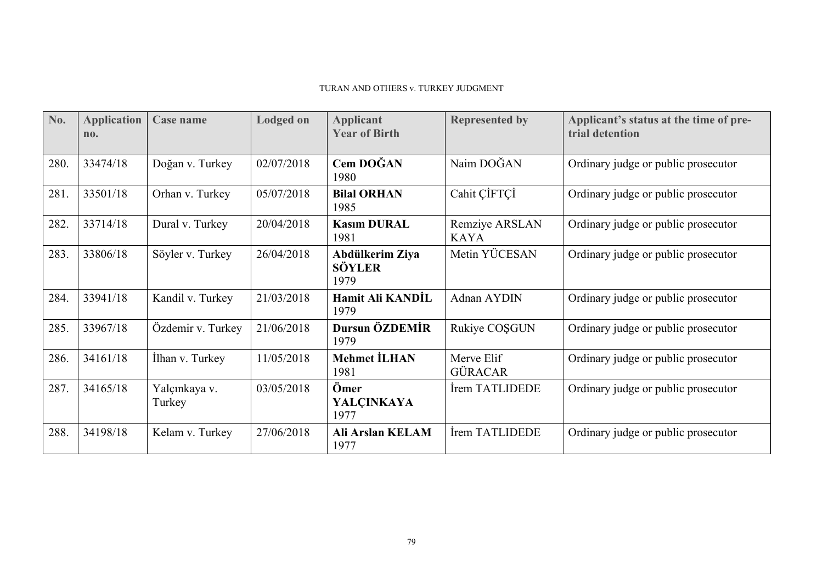| No.  | <b>Application</b><br>no. | <b>Case name</b>        | <b>Lodged on</b> | <b>Applicant</b><br><b>Year of Birth</b> | <b>Represented by</b>         | Applicant's status at the time of pre-<br>trial detention |
|------|---------------------------|-------------------------|------------------|------------------------------------------|-------------------------------|-----------------------------------------------------------|
| 280. | 33474/18                  | Doğan v. Turkey         | 02/07/2018       | Cem DOĞAN<br>1980                        | Naim DOĞAN                    | Ordinary judge or public prosecutor                       |
| 281. | 33501/18                  | Orhan v. Turkey         | 05/07/2018       | <b>Bilal ORHAN</b><br>1985               | Cahit CİFTÇİ                  | Ordinary judge or public prosecutor                       |
| 282. | 33714/18                  | Dural v. Turkey         | 20/04/2018       | <b>Kasım DURAL</b><br>1981               | Remziye ARSLAN<br><b>KAYA</b> | Ordinary judge or public prosecutor                       |
| 283. | 33806/18                  | Söyler v. Turkey        | 26/04/2018       | Abdülkerim Ziya<br><b>SÖYLER</b><br>1979 | Metin YÜCESAN                 | Ordinary judge or public prosecutor                       |
| 284. | 33941/18                  | Kandil v. Turkey        | 21/03/2018       | Hamit Ali KANDİL<br>1979                 | Adnan AYDIN                   | Ordinary judge or public prosecutor                       |
| 285. | 33967/18                  | Özdemir v. Turkey       | 21/06/2018       | Dursun ÖZDEMİR<br>1979                   | Rukiye COSGUN                 | Ordinary judge or public prosecutor                       |
| 286. | 34161/18                  | İlhan v. Turkey         | 11/05/2018       | <b>Mehmet İLHAN</b><br>1981              | Merve Elif<br><b>GÜRACAR</b>  | Ordinary judge or public prosecutor                       |
| 287. | 34165/18                  | Yalçınkaya v.<br>Turkey | 03/05/2018       | Ömer<br><b>YALÇINKAYA</b><br>1977        | Irem TATLIDEDE                | Ordinary judge or public prosecutor                       |
| 288. | 34198/18                  | Kelam v. Turkey         | 27/06/2018       | Ali Arslan KELAM<br>1977                 | Irem TATLIDEDE                | Ordinary judge or public prosecutor                       |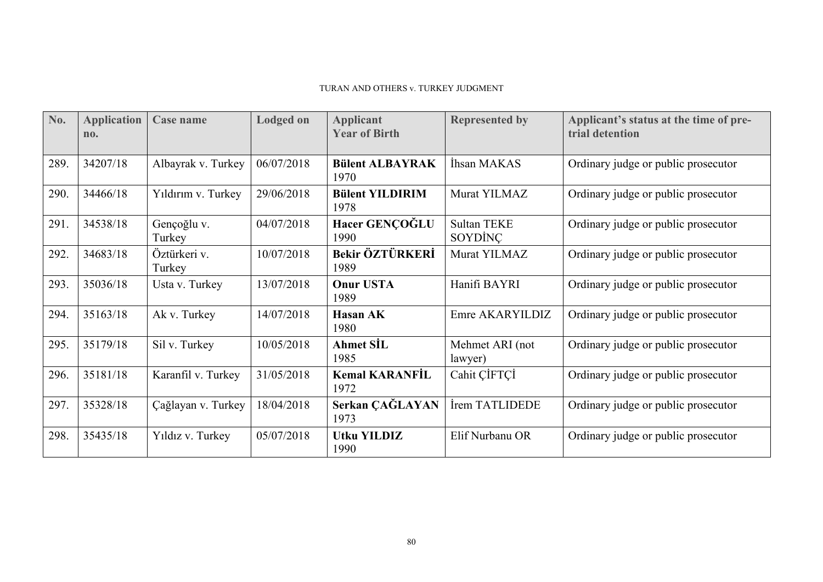| No.  | <b>Application</b><br>no. | Case name              | <b>Lodged on</b> | <b>Applicant</b><br><b>Year of Birth</b> | <b>Represented by</b>         | Applicant's status at the time of pre-<br>trial detention |
|------|---------------------------|------------------------|------------------|------------------------------------------|-------------------------------|-----------------------------------------------------------|
| 289. | 34207/18                  | Albayrak v. Turkey     | 06/07/2018       | <b>Bülent ALBAYRAK</b><br>1970           | İhsan MAKAS                   | Ordinary judge or public prosecutor                       |
| 290. | 34466/18                  | Yıldırım v. Turkey     | 29/06/2018       | <b>Bülent YILDIRIM</b><br>1978           | Murat YILMAZ                  | Ordinary judge or public prosecutor                       |
| 291. | 34538/18                  | Gençoğlu v.<br>Turkey  | 04/07/2018       | <b>Hacer GENCOGLU</b><br>1990            | <b>Sultan TEKE</b><br>SOYDINC | Ordinary judge or public prosecutor                       |
| 292. | 34683/18                  | Öztürkeri v.<br>Turkey | 10/07/2018       | <b>Bekir ÖZTÜRKERİ</b><br>1989           | Murat YILMAZ                  | Ordinary judge or public prosecutor                       |
| 293. | 35036/18                  | Usta v. Turkey         | 13/07/2018       | <b>Onur USTA</b><br>1989                 | Hanifi BAYRI                  | Ordinary judge or public prosecutor                       |
| 294. | 35163/18                  | Ak v. Turkey           | 14/07/2018       | <b>Hasan AK</b><br>1980                  | Emre AKARYILDIZ               | Ordinary judge or public prosecutor                       |
| 295. | 35179/18                  | Sil v. Turkey          | 10/05/2018       | <b>Ahmet SIL</b><br>1985                 | Mehmet ARI (not<br>lawyer)    | Ordinary judge or public prosecutor                       |
| 296. | 35181/18                  | Karanfil v. Turkey     | 31/05/2018       | <b>Kemal KARANFIL</b><br>1972            | Cahit CIFTCI                  | Ordinary judge or public prosecutor                       |
| 297. | 35328/18                  | Çağlayan v. Turkey     | 18/04/2018       | Serkan ÇAĞLAYAN<br>1973                  | İrem TATLIDEDE                | Ordinary judge or public prosecutor                       |
| 298. | 35435/18                  | Yıldız v. Turkey       | 05/07/2018       | <b>Utku YILDIZ</b><br>1990               | Elif Nurbanu OR               | Ordinary judge or public prosecutor                       |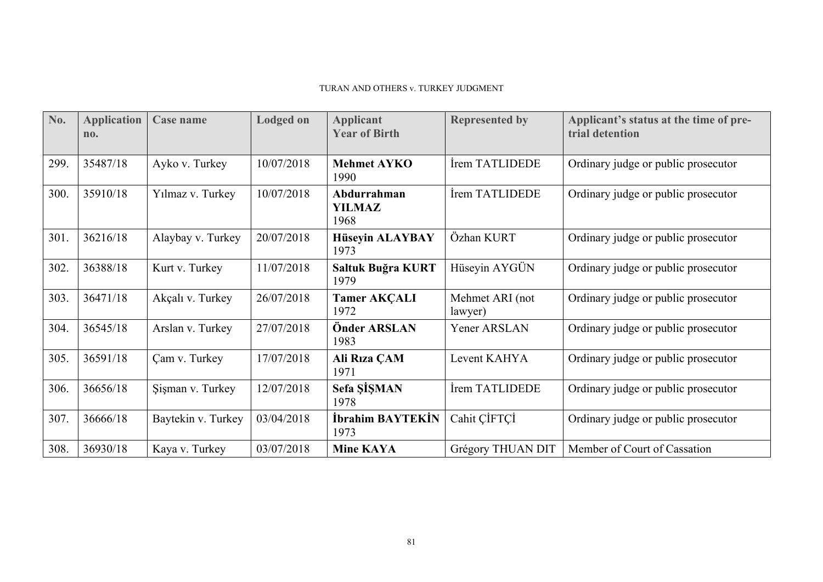| No.  | <b>Application</b><br>no. | Case name          | <b>Lodged on</b> | <b>Applicant</b><br><b>Year of Birth</b> | <b>Represented by</b>      | Applicant's status at the time of pre-<br>trial detention |
|------|---------------------------|--------------------|------------------|------------------------------------------|----------------------------|-----------------------------------------------------------|
| 299. | 35487/18                  | Ayko v. Turkey     | 10/07/2018       | <b>Mehmet AYKO</b><br>1990               | İrem TATLIDEDE             | Ordinary judge or public prosecutor                       |
| 300. | 35910/18                  | Yılmaz v. Turkey   | 10/07/2018       | Abdurrahman<br><b>YILMAZ</b><br>1968     | İrem TATLIDEDE             | Ordinary judge or public prosecutor                       |
| 301. | 36216/18                  | Alaybay v. Turkey  | 20/07/2018       | <b>Hüseyin ALAYBAY</b><br>1973           | Özhan KURT                 | Ordinary judge or public prosecutor                       |
| 302. | 36388/18                  | Kurt v. Turkey     | 11/07/2018       | Saltuk Buğra KURT<br>1979                | Hüseyin AYGÜN              | Ordinary judge or public prosecutor                       |
| 303. | 36471/18                  | Akçalı v. Turkey   | 26/07/2018       | <b>Tamer AKCALI</b><br>1972              | Mehmet ARI (not<br>lawyer) | Ordinary judge or public prosecutor                       |
| 304. | 36545/18                  | Arslan v. Turkey   | 27/07/2018       | Önder ARSLAN<br>1983                     | Yener ARSLAN               | Ordinary judge or public prosecutor                       |
| 305. | 36591/18                  | Çam v. Turkey      | 17/07/2018       | Ali Rıza ÇAM<br>1971                     | Levent KAHYA               | Ordinary judge or public prosecutor                       |
| 306. | 36656/18                  | Sişman v. Turkey   | 12/07/2018       | Sefa ŞİŞMAN<br>1978                      | İrem TATLIDEDE             | Ordinary judge or public prosecutor                       |
| 307. | 36666/18                  | Baytekin v. Turkey | 03/04/2018       | <b>İbrahim BAYTEKİN</b><br>1973          | Cahit CİFTCİ               | Ordinary judge or public prosecutor                       |
| 308. | 36930/18                  | Kaya v. Turkey     | 03/07/2018       | <b>Mine KAYA</b>                         | Grégory THUAN DIT          | Member of Court of Cassation                              |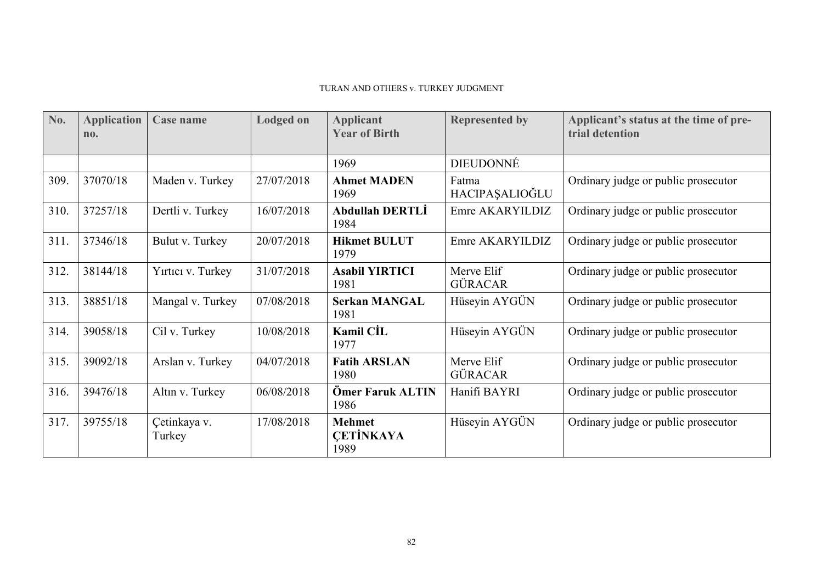| No.  | <b>Application</b><br>no. | <b>Case name</b>       | <b>Lodged on</b> | <b>Applicant</b><br><b>Year of Birth</b>  | <b>Represented by</b>        | Applicant's status at the time of pre-<br>trial detention |
|------|---------------------------|------------------------|------------------|-------------------------------------------|------------------------------|-----------------------------------------------------------|
|      |                           |                        |                  | 1969                                      | <b>DIEUDONNÉ</b>             |                                                           |
| 309. | 37070/18                  | Maden v. Turkey        | 27/07/2018       | <b>Ahmet MADEN</b><br>1969                | Fatma<br>HACIPAȘALIOĞLU      | Ordinary judge or public prosecutor                       |
| 310. | 37257/18                  | Dertli v. Turkey       | 16/07/2018       | <b>Abdullah DERTLİ</b><br>1984            | Emre AKARYILDIZ              | Ordinary judge or public prosecutor                       |
| 311. | 37346/18                  | Bulut v. Turkey        | 20/07/2018       | <b>Hikmet BULUT</b><br>1979               | Emre AKARYILDIZ              | Ordinary judge or public prosecutor                       |
| 312. | 38144/18                  | Yirtici v. Turkey      | 31/07/2018       | <b>Asabil YIRTICI</b><br>1981             | Merve Elif<br><b>GÜRACAR</b> | Ordinary judge or public prosecutor                       |
| 313. | 38851/18                  | Mangal v. Turkey       | 07/08/2018       | <b>Serkan MANGAL</b><br>1981              | Hüseyin AYGÜN                | Ordinary judge or public prosecutor                       |
| 314. | 39058/18                  | Cil v. Turkey          | 10/08/2018       | <b>Kamil CIL</b><br>1977                  | Hüseyin AYGÜN                | Ordinary judge or public prosecutor                       |
| 315. | 39092/18                  | Arslan v. Turkey       | 04/07/2018       | <b>Fatih ARSLAN</b><br>1980               | Merve Elif<br><b>GÜRACAR</b> | Ordinary judge or public prosecutor                       |
| 316. | 39476/18                  | Altın v. Turkey        | 06/08/2018       | Ömer Faruk ALTIN<br>1986                  | Hanifi BAYRI                 | Ordinary judge or public prosecutor                       |
| 317. | 39755/18                  | Çetinkaya v.<br>Turkey | 17/08/2018       | <b>Mehmet</b><br><b>CETINKAYA</b><br>1989 | Hüseyin AYGÜN                | Ordinary judge or public prosecutor                       |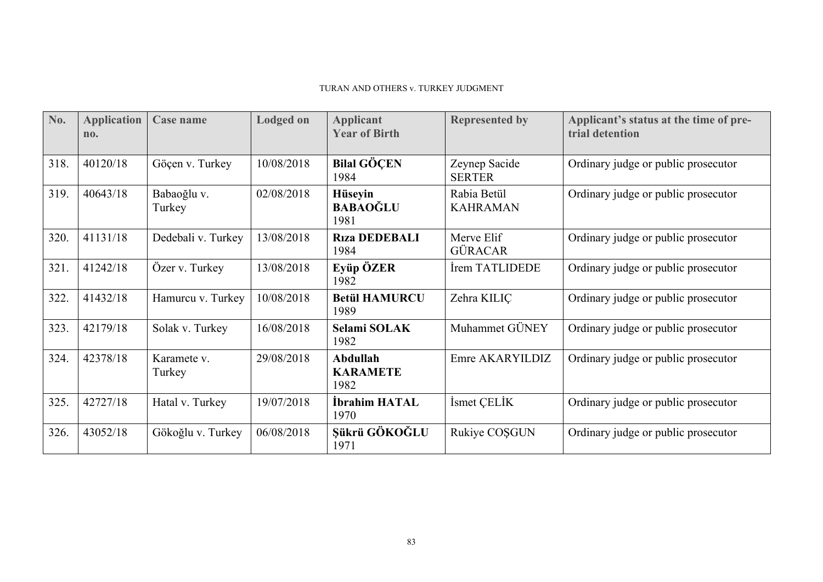| No.  | <b>Application</b><br>no. | Case name             | <b>Lodged</b> on | <b>Applicant</b><br><b>Year of Birth</b>  | <b>Represented by</b>          | Applicant's status at the time of pre-<br>trial detention |
|------|---------------------------|-----------------------|------------------|-------------------------------------------|--------------------------------|-----------------------------------------------------------|
| 318. | 40120/18                  | Göçen v. Turkey       | 10/08/2018       | <b>Bilal GÖÇEN</b><br>1984                | Zeynep Sacide<br><b>SERTER</b> | Ordinary judge or public prosecutor                       |
| 319. | 40643/18                  | Babaoğlu v.<br>Turkey | 02/08/2018       | <b>Hüseyin</b><br><b>BABAOĞLU</b><br>1981 | Rabia Betül<br><b>KAHRAMAN</b> | Ordinary judge or public prosecutor                       |
| 320. | 41131/18                  | Dedebali v. Turkey    | 13/08/2018       | <b>Riza DEDEBALI</b><br>1984              | Merve Elif<br><b>GÜRACAR</b>   | Ordinary judge or public prosecutor                       |
| 321. | 41242/18                  | Özer v. Turkey        | 13/08/2018       | Eyüp ÖZER<br>1982                         | İrem TATLIDEDE                 | Ordinary judge or public prosecutor                       |
| 322. | 41432/18                  | Hamurcu v. Turkey     | 10/08/2018       | <b>Betül HAMURCU</b><br>1989              | Zehra KILIC                    | Ordinary judge or public prosecutor                       |
| 323. | 42179/18                  | Solak v. Turkey       | 16/08/2018       | Selami SOLAK<br>1982                      | Muhammet GÜNEY                 | Ordinary judge or public prosecutor                       |
| 324. | 42378/18                  | Karamete v.<br>Turkey | 29/08/2018       | Abdullah<br><b>KARAMETE</b><br>1982       | Emre AKARYILDIZ                | Ordinary judge or public prosecutor                       |
| 325. | 42727/18                  | Hatal v. Turkey       | 19/07/2018       | İbrahim HATAL<br>1970                     | İsmet ÇELİK                    | Ordinary judge or public prosecutor                       |
| 326. | 43052/18                  | Gökoğlu v. Turkey     | 06/08/2018       | Şükrü GÖKOĞLU<br>1971                     | Rukiye COŞGUN                  | Ordinary judge or public prosecutor                       |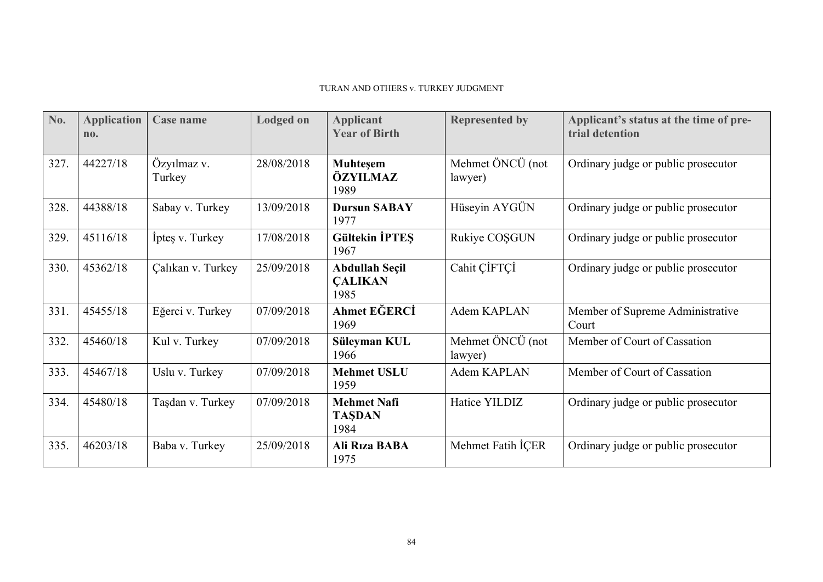| No.  | <b>Application</b><br>n <sub>0</sub> | <b>Case name</b>      | <b>Lodged on</b> | <b>Applicant</b><br><b>Year of Birth</b>        | <b>Represented by</b>       | Applicant's status at the time of pre-<br>trial detention |
|------|--------------------------------------|-----------------------|------------------|-------------------------------------------------|-----------------------------|-----------------------------------------------------------|
| 327. | 44227/18                             | Özyılmaz v.<br>Turkey | 28/08/2018       | Muhteşem<br>ÖZYILMAZ<br>1989                    | Mehmet ÖNCÜ (not<br>lawyer) | Ordinary judge or public prosecutor                       |
| 328. | 44388/18                             | Sabay v. Turkey       | 13/09/2018       | <b>Dursun SABAY</b><br>1977                     | Hüseyin AYGÜN               | Ordinary judge or public prosecutor                       |
| 329. | 45116/18                             | Iptes v. Turkey       | 17/08/2018       | <b>Gültekin IPTES</b><br>1967                   | Rukiye COŞGUN               | Ordinary judge or public prosecutor                       |
| 330. | 45362/18                             | Çalıkan v. Turkey     | 25/09/2018       | <b>Abdullah Seçil</b><br><b>CALIKAN</b><br>1985 | Cahit CIFTCI                | Ordinary judge or public prosecutor                       |
| 331. | 45455/18                             | Eğerci v. Turkey      | 07/09/2018       | Ahmet EĞERCİ<br>1969                            | Adem KAPLAN                 | Member of Supreme Administrative<br>Court                 |
| 332. | 45460/18                             | Kul v. Turkey         | 07/09/2018       | Süleyman KUL<br>1966                            | Mehmet ÖNCÜ (not<br>lawyer) | Member of Court of Cassation                              |
| 333. | 45467/18                             | Uslu v. Turkey        | 07/09/2018       | <b>Mehmet USLU</b><br>1959                      | Adem KAPLAN                 | Member of Court of Cassation                              |
| 334. | 45480/18                             | Taşdan v. Turkey      | 07/09/2018       | <b>Mehmet Nafi</b><br><b>TAŞDAN</b><br>1984     | Hatice YILDIZ               | Ordinary judge or public prosecutor                       |
| 335. | 46203/18                             | Baba v. Turkey        | 25/09/2018       | Ali Rıza BABA<br>1975                           | Mehmet Fatih ICER           | Ordinary judge or public prosecutor                       |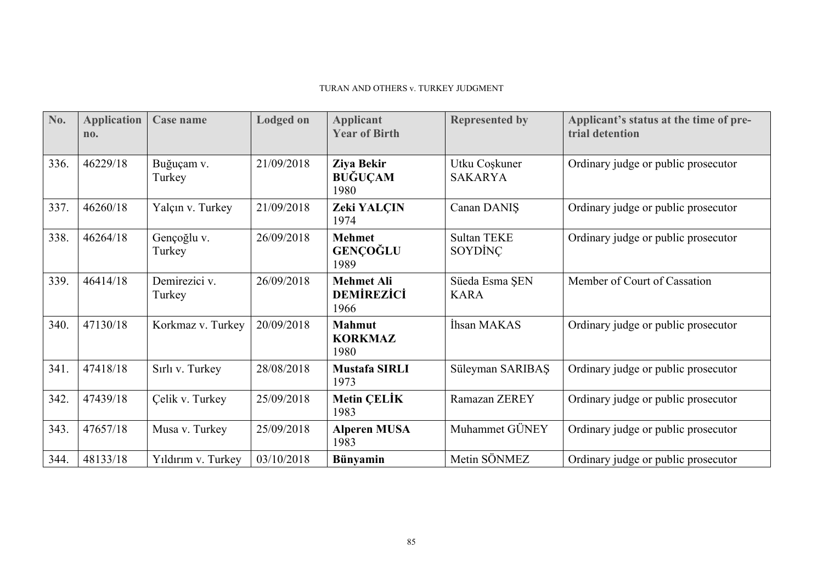| No.  | <b>Application</b><br>no. | <b>Case name</b>        | <b>Lodged on</b> | <b>Applicant</b><br><b>Year of Birth</b>       | <b>Represented by</b>           | Applicant's status at the time of pre-<br>trial detention |
|------|---------------------------|-------------------------|------------------|------------------------------------------------|---------------------------------|-----------------------------------------------------------|
| 336. | 46229/18                  | Buğuçam v.<br>Turkey    | 21/09/2018       | <b>Ziya Bekir</b><br><b>BUĞUÇAM</b><br>1980    | Utku Coşkuner<br><b>SAKARYA</b> | Ordinary judge or public prosecutor                       |
| 337. | 46260/18                  | Yalçın v. Turkey        | 21/09/2018       | Zeki YALÇIN<br>1974                            | Canan DANIS                     | Ordinary judge or public prosecutor                       |
| 338. | 46264/18                  | Gençoğlu v.<br>Turkey   | 26/09/2018       | <b>Mehmet</b><br><b>GENCOĞLU</b><br>1989       | <b>Sultan TEKE</b><br>SOYDINC   | Ordinary judge or public prosecutor                       |
| 339. | 46414/18                  | Demirezici v.<br>Turkey | 26/09/2018       | <b>Mehmet Ali</b><br><b>DEMIREZICI</b><br>1966 | Süeda Esma ŞEN<br><b>KARA</b>   | Member of Court of Cassation                              |
| 340. | 47130/18                  | Korkmaz v. Turkey       | 20/09/2018       | <b>Mahmut</b><br><b>KORKMAZ</b><br>1980        | İhsan MAKAS                     | Ordinary judge or public prosecutor                       |
| 341. | 47418/18                  | Sırlı v. Turkey         | 28/08/2018       | <b>Mustafa SIRLI</b><br>1973                   | Süleyman SARIBAŞ                | Ordinary judge or public prosecutor                       |
| 342. | 47439/18                  | Çelik v. Turkey         | 25/09/2018       | <b>Metin CELİK</b><br>1983                     | Ramazan ZEREY                   | Ordinary judge or public prosecutor                       |
| 343. | 47657/18                  | Musa v. Turkey          | 25/09/2018       | <b>Alperen MUSA</b><br>1983                    | Muhammet GÜNEY                  | Ordinary judge or public prosecutor                       |
| 344. | 48133/18                  | Yildirim v. Turkey      | 03/10/2018       | <b>Bünyamin</b>                                | Metin SÖNMEZ                    | Ordinary judge or public prosecutor                       |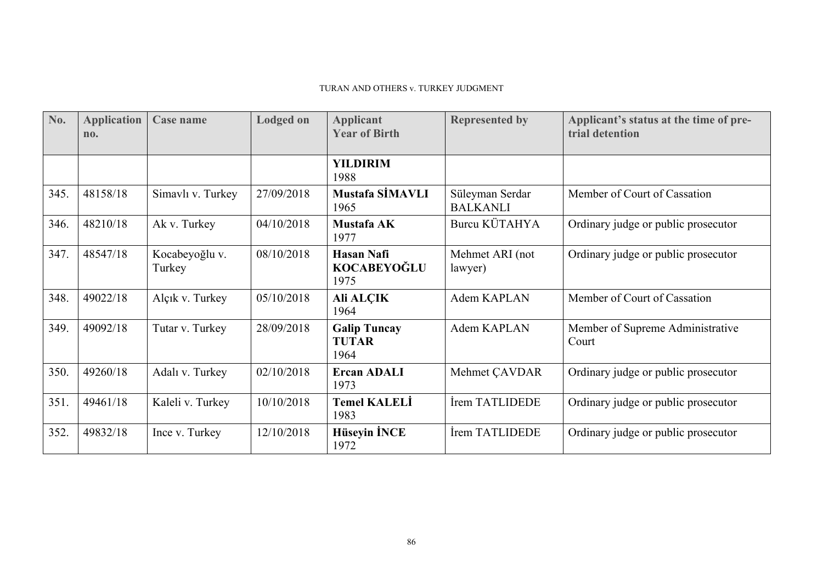| No.  | <b>Application</b><br>no. | Case name                | <b>Lodged on</b> | <b>Applicant</b><br><b>Year of Birth</b>        | <b>Represented by</b>              | Applicant's status at the time of pre-<br>trial detention |
|------|---------------------------|--------------------------|------------------|-------------------------------------------------|------------------------------------|-----------------------------------------------------------|
|      |                           |                          |                  | <b>YILDIRIM</b><br>1988                         |                                    |                                                           |
| 345. | 48158/18                  | Simavlı v. Turkey        | 27/09/2018       | <b>Mustafa SIMAVLI</b><br>1965                  | Süleyman Serdar<br><b>BALKANLI</b> | Member of Court of Cassation                              |
| 346. | 48210/18                  | Ak v. Turkey             | 04/10/2018       | Mustafa AK<br>1977                              | Burcu KÜTAHYA                      | Ordinary judge or public prosecutor                       |
| 347. | 48547/18                  | Kocabeyoğlu v.<br>Turkey | 08/10/2018       | <b>Hasan Nafi</b><br><b>KOCABEYOĞLU</b><br>1975 | Mehmet ARI (not<br>lawyer)         | Ordinary judge or public prosecutor                       |
| 348. | 49022/18                  | Alçık v. Turkey          | 05/10/2018       | Ali ALÇIK<br>1964                               | Adem KAPLAN                        | Member of Court of Cassation                              |
| 349. | 49092/18                  | Tutar v. Turkey          | 28/09/2018       | <b>Galip Tuncay</b><br><b>TUTAR</b><br>1964     | Adem KAPLAN                        | Member of Supreme Administrative<br>Court                 |
| 350. | 49260/18                  | Adalı v. Turkey          | 02/10/2018       | <b>Ercan ADALI</b><br>1973                      | Mehmet CAVDAR                      | Ordinary judge or public prosecutor                       |
| 351. | 49461/18                  | Kaleli v. Turkey         | 10/10/2018       | <b>Temel KALELI</b><br>1983                     | Irem TATLIDEDE                     | Ordinary judge or public prosecutor                       |
| 352. | 49832/18                  | Ince v. Turkey           | 12/10/2018       | <b>Hüseyin İNCE</b><br>1972                     | İrem TATLIDEDE                     | Ordinary judge or public prosecutor                       |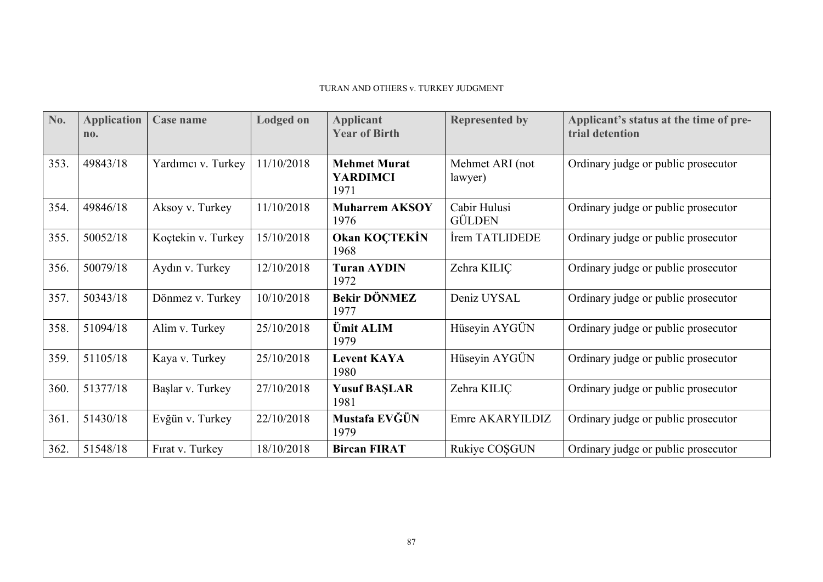| No.  | <b>Application</b><br>$n_{0}$ . | Case name          | <b>Lodged on</b> | <b>Applicant</b><br><b>Year of Birth</b>       | <b>Represented by</b>         | Applicant's status at the time of pre-<br>trial detention |
|------|---------------------------------|--------------------|------------------|------------------------------------------------|-------------------------------|-----------------------------------------------------------|
| 353. | 49843/18                        | Yardımcı v. Turkey | 11/10/2018       | <b>Mehmet Murat</b><br><b>YARDIMCI</b><br>1971 | Mehmet ARI (not<br>lawyer)    | Ordinary judge or public prosecutor                       |
| 354. | 49846/18                        | Aksoy v. Turkey    | 11/10/2018       | <b>Muharrem AKSOY</b><br>1976                  | Cabir Hulusi<br><b>GÜLDEN</b> | Ordinary judge or public prosecutor                       |
| 355. | 50052/18                        | Koçtekin v. Turkey | 15/10/2018       | <b>Okan KOÇTEKİN</b><br>1968                   | İrem TATLIDEDE                | Ordinary judge or public prosecutor                       |
| 356. | 50079/18                        | Aydın v. Turkey    | 12/10/2018       | <b>Turan AYDIN</b><br>1972                     | Zehra KILIC                   | Ordinary judge or public prosecutor                       |
| 357. | 50343/18                        | Dönmez v. Turkey   | 10/10/2018       | <b>Bekir DÖNMEZ</b><br>1977                    | Deniz UYSAL                   | Ordinary judge or public prosecutor                       |
| 358. | 51094/18                        | Alim v. Turkey     | 25/10/2018       | Ümit ALIM<br>1979                              | Hüseyin AYGÜN                 | Ordinary judge or public prosecutor                       |
| 359. | 51105/18                        | Kaya v. Turkey     | 25/10/2018       | <b>Levent KAYA</b><br>1980                     | Hüseyin AYGÜN                 | Ordinary judge or public prosecutor                       |
| 360. | 51377/18                        | Başlar v. Turkey   | 27/10/2018       | <b>Yusuf BAŞLAR</b><br>1981                    | Zehra KILIC                   | Ordinary judge or public prosecutor                       |
| 361. | 51430/18                        | Evğün v. Turkey    | 22/10/2018       | Mustafa EVĞÜN<br>1979                          | Emre AKARYILDIZ               | Ordinary judge or public prosecutor                       |
| 362. | 51548/18                        | Firat v. Turkey    | 18/10/2018       | <b>Bircan FIRAT</b>                            | Rukiye COSGUN                 | Ordinary judge or public prosecutor                       |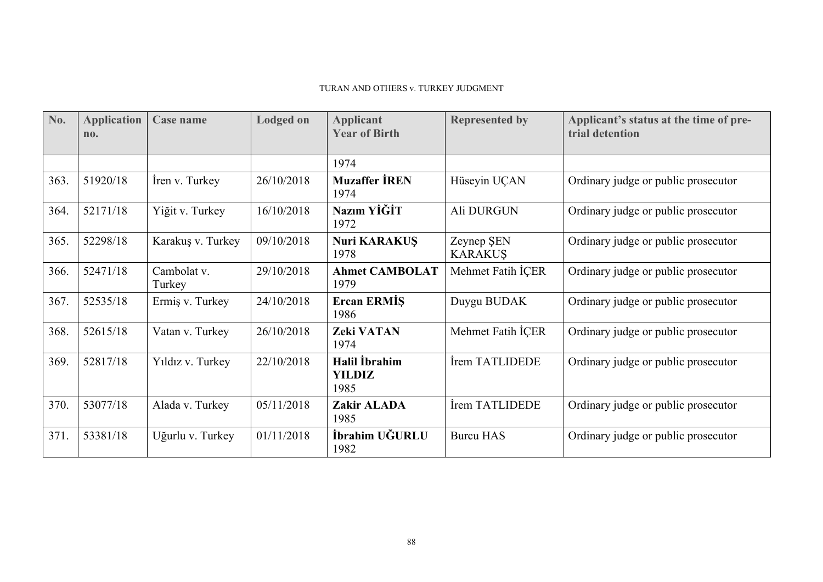| No.  | <b>Application</b><br>no. | Case name             | <b>Lodged on</b> | <b>Applicant</b><br><b>Year of Birth</b> | <b>Represented by</b>        | Applicant's status at the time of pre-<br>trial detention |
|------|---------------------------|-----------------------|------------------|------------------------------------------|------------------------------|-----------------------------------------------------------|
|      |                           |                       |                  | 1974                                     |                              |                                                           |
| 363. | 51920/18                  | Iren v. Turkey        | 26/10/2018       | <b>Muzaffer IREN</b><br>1974             | Hüseyin UÇAN                 | Ordinary judge or public prosecutor                       |
| 364. | 52171/18                  | Yiğit v. Turkey       | 16/10/2018       | Nazım YİĞİT<br>1972                      | Ali DURGUN                   | Ordinary judge or public prosecutor                       |
| 365. | 52298/18                  | Karakuş v. Turkey     | 09/10/2018       | <b>Nuri KARAKUŞ</b><br>1978              | Zeynep ŞEN<br><b>KARAKUS</b> | Ordinary judge or public prosecutor                       |
| 366. | 52471/18                  | Cambolat v.<br>Turkey | 29/10/2018       | <b>Ahmet CAMBOLAT</b><br>1979            | Mehmet Fatih İCER            | Ordinary judge or public prosecutor                       |
| 367. | 52535/18                  | Ermiş v. Turkey       | 24/10/2018       | Ercan ERMIS<br>1986                      | Duygu BUDAK                  | Ordinary judge or public prosecutor                       |
| 368. | 52615/18                  | Vatan v. Turkey       | 26/10/2018       | <b>Zeki VATAN</b><br>1974                | Mehmet Fatih ICER            | Ordinary judge or public prosecutor                       |
| 369. | 52817/18                  | Yıldız v. Turkey      | 22/10/2018       | Halil İbrahim<br><b>YILDIZ</b><br>1985   | İrem TATLIDEDE               | Ordinary judge or public prosecutor                       |
| 370. | 53077/18                  | Alada v. Turkey       | 05/11/2018       | Zakir ALADA<br>1985                      | İrem TATLIDEDE               | Ordinary judge or public prosecutor                       |
| 371. | 53381/18                  | Uğurlu v. Turkey      | 01/11/2018       | İbrahim UĞURLU<br>1982                   | <b>Burcu HAS</b>             | Ordinary judge or public prosecutor                       |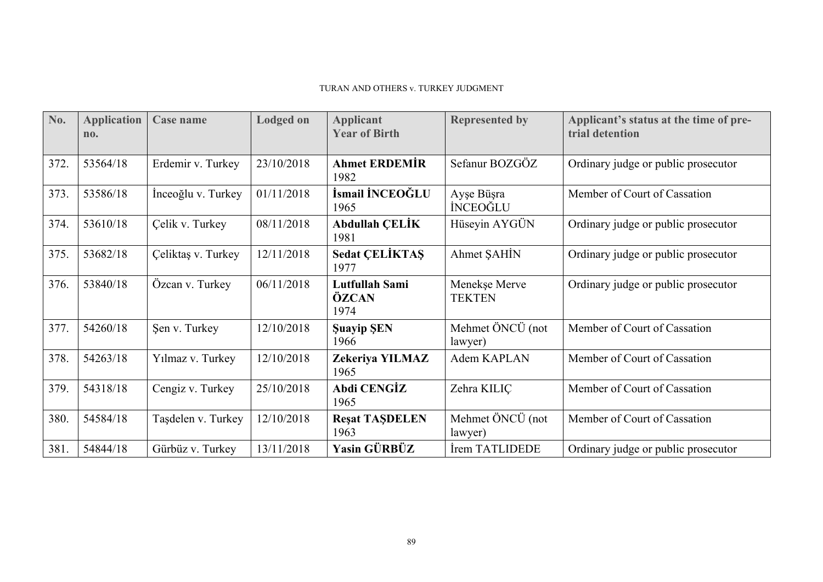| No.  | <b>Application</b><br>no. | Case name          | <b>Lodged on</b> | <b>Applicant</b><br><b>Year of Birth</b> | <b>Represented by</b>          | Applicant's status at the time of pre-<br>trial detention |
|------|---------------------------|--------------------|------------------|------------------------------------------|--------------------------------|-----------------------------------------------------------|
| 372. | 53564/18                  | Erdemir v. Turkey  | 23/10/2018       | <b>Ahmet ERDEMİR</b><br>1982             | Sefanur BOZGÖZ                 | Ordinary judge or public prosecutor                       |
| 373. | 53586/18                  | Inceoğlu v. Turkey | 01/11/2018       | İsmail İNCEOĞLU<br>1965                  | Ayşe Büşra<br><b>INCEOGLU</b>  | Member of Court of Cassation                              |
| 374. | 53610/18                  | Çelik v. Turkey    | 08/11/2018       | <b>Abdullah ÇELİK</b><br>1981            | Hüseyin AYGÜN                  | Ordinary judge or public prosecutor                       |
| 375. | 53682/18                  | Çeliktaş v. Turkey | 12/11/2018       | <b>Sedat CELIKTAS</b><br>1977            | Ahmet SAHIN                    | Ordinary judge or public prosecutor                       |
| 376. | 53840/18                  | Özcan v. Turkey    | 06/11/2018       | Lutfullah Sami<br>ÖZCAN<br>1974          | Menekse Merve<br><b>TEKTEN</b> | Ordinary judge or public prosecutor                       |
| 377. | 54260/18                  | Şen v. Turkey      | 12/10/2018       | <b>Şuayip ŞEN</b><br>1966                | Mehmet ÖNCÜ (not<br>lawyer)    | Member of Court of Cassation                              |
| 378. | 54263/18                  | Yılmaz v. Turkey   | 12/10/2018       | Zekeriya YILMAZ<br>1965                  | Adem KAPLAN                    | Member of Court of Cassation                              |
| 379. | 54318/18                  | Cengiz v. Turkey   | 25/10/2018       | Abdi CENGIZ<br>1965                      | Zehra KILIÇ                    | Member of Court of Cassation                              |
| 380. | 54584/18                  | Taşdelen v. Turkey | 12/10/2018       | <b>Resat TASDELEN</b><br>1963            | Mehmet ÖNCÜ (not<br>lawyer)    | Member of Court of Cassation                              |
| 381. | 54844/18                  | Gürbüz v. Turkey   | 13/11/2018       | Yasin GÜRBÜZ                             | Irem TATLIDEDE                 | Ordinary judge or public prosecutor                       |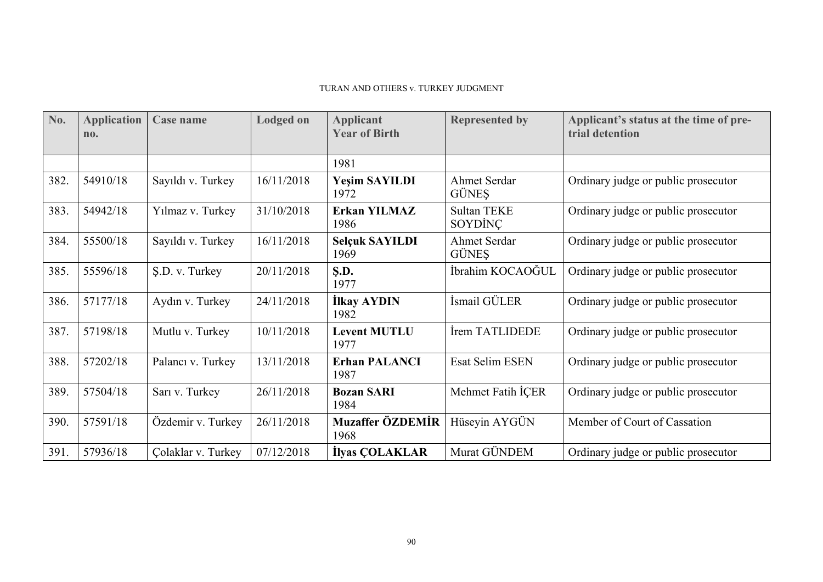| No.  | <b>Application</b><br>n <sub>0</sub> | Case name          | <b>Lodged on</b> | <b>Applicant</b><br><b>Year of Birth</b> | <b>Represented by</b>         | Applicant's status at the time of pre-<br>trial detention |
|------|--------------------------------------|--------------------|------------------|------------------------------------------|-------------------------------|-----------------------------------------------------------|
|      |                                      |                    |                  | 1981                                     |                               |                                                           |
| 382. | 54910/18                             | Sayıldı v. Turkey  | 16/11/2018       | <b>Yeşim SAYILDI</b><br>1972             | Ahmet Serdar<br><b>GÜNES</b>  | Ordinary judge or public prosecutor                       |
| 383. | 54942/18                             | Yılmaz v. Turkey   | 31/10/2018       | <b>Erkan YILMAZ</b><br>1986              | <b>Sultan TEKE</b><br>SOYDINC | Ordinary judge or public prosecutor                       |
| 384. | 55500/18                             | Sayıldı v. Turkey  | 16/11/2018       | <b>Selçuk SAYILDI</b><br>1969            | Ahmet Serdar<br><b>GÜNES</b>  | Ordinary judge or public prosecutor                       |
| 385. | 55596/18                             | S.D. v. Turkey     | 20/11/2018       | S.D.<br>1977                             | İbrahim KOCAOĞUL              | Ordinary judge or public prosecutor                       |
| 386. | 57177/18                             | Aydın v. Turkey    | 24/11/2018       | İlkay AYDIN<br>1982                      | İsmail GÜLER                  | Ordinary judge or public prosecutor                       |
| 387. | 57198/18                             | Mutlu v. Turkey    | 10/11/2018       | <b>Levent MUTLU</b><br>1977              | İrem TATLIDEDE                | Ordinary judge or public prosecutor                       |
| 388. | 57202/18                             | Palancı v. Turkey  | 13/11/2018       | <b>Erhan PALANCI</b><br>1987             | <b>Esat Selim ESEN</b>        | Ordinary judge or public prosecutor                       |
| 389. | 57504/18                             | Sarı v. Turkey     | 26/11/2018       | <b>Bozan SARI</b><br>1984                | Mehmet Fatih ICER             | Ordinary judge or public prosecutor                       |
| 390. | 57591/18                             | Özdemir v. Turkey  | 26/11/2018       | Muzaffer ÖZDEMİR<br>1968                 | Hüseyin AYGÜN                 | Member of Court of Cassation                              |
| 391. | 57936/18                             | Colaklar v. Turkey | 07/12/2018       | <b>İlyas ÇOLAKLAR</b>                    | Murat GÜNDEM                  | Ordinary judge or public prosecutor                       |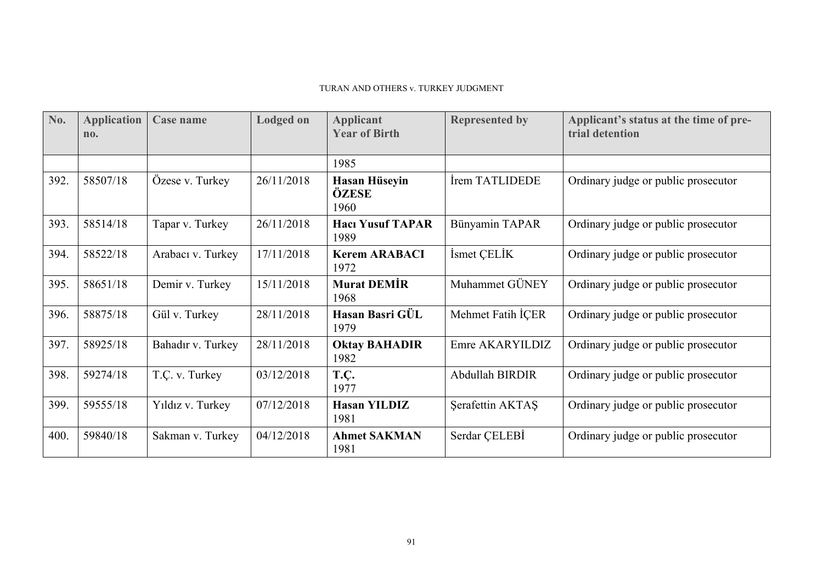| No.  | <b>Application</b><br>n <sub>0</sub> | <b>Case name</b>  | <b>Lodged on</b> | <b>Applicant</b><br><b>Year of Birth</b> | <b>Represented by</b>  | Applicant's status at the time of pre-<br>trial detention |
|------|--------------------------------------|-------------------|------------------|------------------------------------------|------------------------|-----------------------------------------------------------|
|      |                                      |                   |                  | 1985                                     |                        |                                                           |
| 392. | 58507/18                             | Özese v. Turkey   | 26/11/2018       | Hasan Hüseyin<br>ÖZESE<br>1960           | <b>Irem TATLIDEDE</b>  | Ordinary judge or public prosecutor                       |
| 393. | 58514/18                             | Tapar v. Turkey   | 26/11/2018       | <b>Hacı Yusuf TAPAR</b><br>1989          | Bünyamin TAPAR         | Ordinary judge or public prosecutor                       |
| 394. | 58522/18                             | Arabacı v. Turkey | 17/11/2018       | <b>Kerem ARABACI</b><br>1972             | İsmet ÇELİK            | Ordinary judge or public prosecutor                       |
| 395. | 58651/18                             | Demir v. Turkey   | 15/11/2018       | <b>Murat DEMIR</b><br>1968               | Muhammet GÜNEY         | Ordinary judge or public prosecutor                       |
| 396. | 58875/18                             | Gül v. Turkey     | 28/11/2018       | Hasan Basri GÜL<br>1979                  | Mehmet Fatih İÇER      | Ordinary judge or public prosecutor                       |
| 397. | 58925/18                             | Bahadır v. Turkey | 28/11/2018       | <b>Oktay BAHADIR</b><br>1982             | Emre AKARYILDIZ        | Ordinary judge or public prosecutor                       |
| 398. | 59274/18                             | T.C. v. Turkey    | 03/12/2018       | T.C.<br>1977                             | <b>Abdullah BIRDIR</b> | Ordinary judge or public prosecutor                       |
| 399. | 59555/18                             | Yıldız v. Turkey  | 07/12/2018       | <b>Hasan YILDIZ</b><br>1981              | Serafettin AKTAS       | Ordinary judge or public prosecutor                       |
| 400. | 59840/18                             | Sakman v. Turkey  | 04/12/2018       | <b>Ahmet SAKMAN</b><br>1981              | Serdar CELEBI          | Ordinary judge or public prosecutor                       |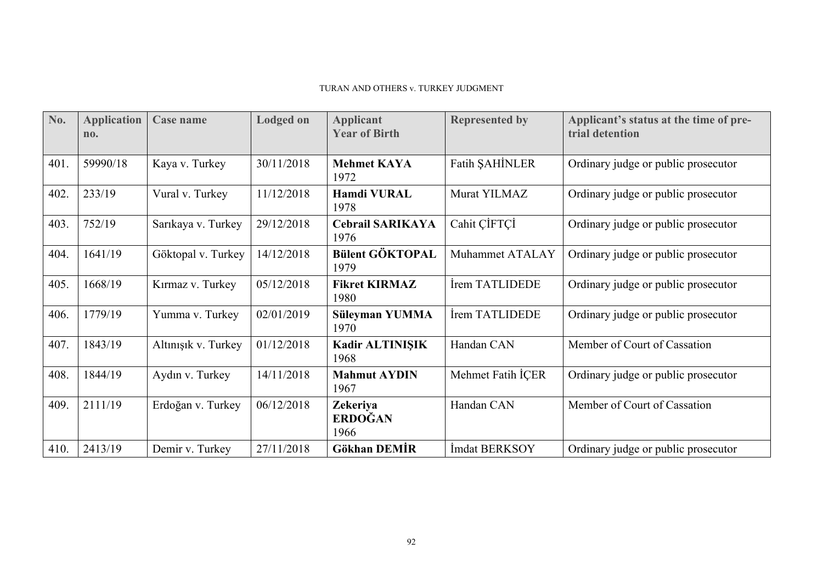| No.  | <b>Application</b><br>no. | Case name           | <b>Lodged on</b> | <b>Applicant</b><br><b>Year of Birth</b> | <b>Represented by</b> | Applicant's status at the time of pre-<br>trial detention |
|------|---------------------------|---------------------|------------------|------------------------------------------|-----------------------|-----------------------------------------------------------|
| 401. | 59990/18                  | Kaya v. Turkey      | 30/11/2018       | <b>Mehmet KAYA</b><br>1972               | <b>Fatih SAHİNLER</b> | Ordinary judge or public prosecutor                       |
| 402. | 233/19                    | Vural v. Turkey     | 11/12/2018       | <b>Hamdi VURAL</b><br>1978               | Murat YILMAZ          | Ordinary judge or public prosecutor                       |
| 403. | 752/19                    | Sarıkaya v. Turkey  | 29/12/2018       | <b>Cebrail SARIKAYA</b><br>1976          | Cahit CİFTCİ          | Ordinary judge or public prosecutor                       |
| 404. | 1641/19                   | Göktopal v. Turkey  | 14/12/2018       | <b>Bülent GÖKTOPAL</b><br>1979           | Muhammet ATALAY       | Ordinary judge or public prosecutor                       |
| 405. | 1668/19                   | Kırmaz v. Turkey    | 05/12/2018       | <b>Fikret KIRMAZ</b><br>1980             | İrem TATLIDEDE        | Ordinary judge or public prosecutor                       |
| 406. | 1779/19                   | Yumma v. Turkey     | 02/01/2019       | Süleyman YUMMA<br>1970                   | İrem TATLIDEDE        | Ordinary judge or public prosecutor                       |
| 407. | 1843/19                   | Altınışık v. Turkey | 01/12/2018       | <b>Kadir ALTINIŞIK</b><br>1968           | Handan CAN            | Member of Court of Cassation                              |
| 408. | 1844/19                   | Aydın v. Turkey     | 14/11/2018       | <b>Mahmut AYDIN</b><br>1967              | Mehmet Fatih ICER     | Ordinary judge or public prosecutor                       |
| 409. | 2111/19                   | Erdoğan v. Turkey   | 06/12/2018       | Zekeriya<br><b>ERDOĞAN</b><br>1966       | Handan CAN            | Member of Court of Cassation                              |
| 410. | 2413/19                   | Demir v. Turkey     | 27/11/2018       | Gökhan DEMİR                             | Imdat BERKSOY         | Ordinary judge or public prosecutor                       |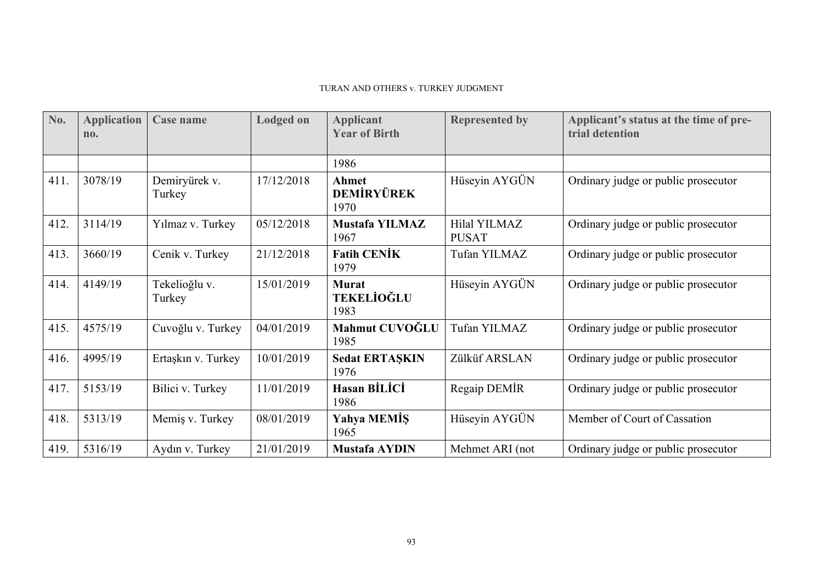| No.  | <b>Application</b><br>no. | <b>Case name</b>        | <b>Lodged on</b> | <b>Applicant</b><br><b>Year of Birth</b>  | <b>Represented by</b>        | Applicant's status at the time of pre-<br>trial detention |
|------|---------------------------|-------------------------|------------------|-------------------------------------------|------------------------------|-----------------------------------------------------------|
|      |                           |                         |                  | 1986                                      |                              |                                                           |
| 411. | 3078/19                   | Demiryürek v.<br>Turkey | 17/12/2018       | <b>Ahmet</b><br><b>DEMİRYÜREK</b><br>1970 | Hüseyin AYGÜN                | Ordinary judge or public prosecutor                       |
| 412. | 3114/19                   | Yılmaz v. Turkey        | 05/12/2018       | <b>Mustafa YILMAZ</b><br>1967             | Hilal YILMAZ<br><b>PUSAT</b> | Ordinary judge or public prosecutor                       |
| 413. | 3660/19                   | Cenik v. Turkey         | 21/12/2018       | <b>Fatih CENIK</b><br>1979                | Tufan YILMAZ                 | Ordinary judge or public prosecutor                       |
| 414. | 4149/19                   | Tekelioğlu v.<br>Turkey | 15/01/2019       | <b>Murat</b><br><b>TEKELİOĞLU</b><br>1983 | Hüseyin AYGÜN                | Ordinary judge or public prosecutor                       |
| 415. | 4575/19                   | Cuvoğlu v. Turkey       | 04/01/2019       | Mahmut CUVOĞLU<br>1985                    | Tufan YILMAZ                 | Ordinary judge or public prosecutor                       |
| 416. | 4995/19                   | Ertaşkın v. Turkey      | 10/01/2019       | <b>Sedat ERTAŞKIN</b><br>1976             | Zülküf ARSLAN                | Ordinary judge or public prosecutor                       |
| 417. | 5153/19                   | Bilici v. Turkey        | 11/01/2019       | <b>Hasan BİLİCİ</b><br>1986               | Regaip DEMIR                 | Ordinary judge or public prosecutor                       |
| 418. | 5313/19                   | Memiş v. Turkey         | 08/01/2019       | Yahya MEMIŞ<br>1965                       | Hüseyin AYGÜN                | Member of Court of Cassation                              |
| 419. | 5316/19                   | Aydın v. Turkey         | 21/01/2019       | <b>Mustafa AYDIN</b>                      | Mehmet ARI (not              | Ordinary judge or public prosecutor                       |